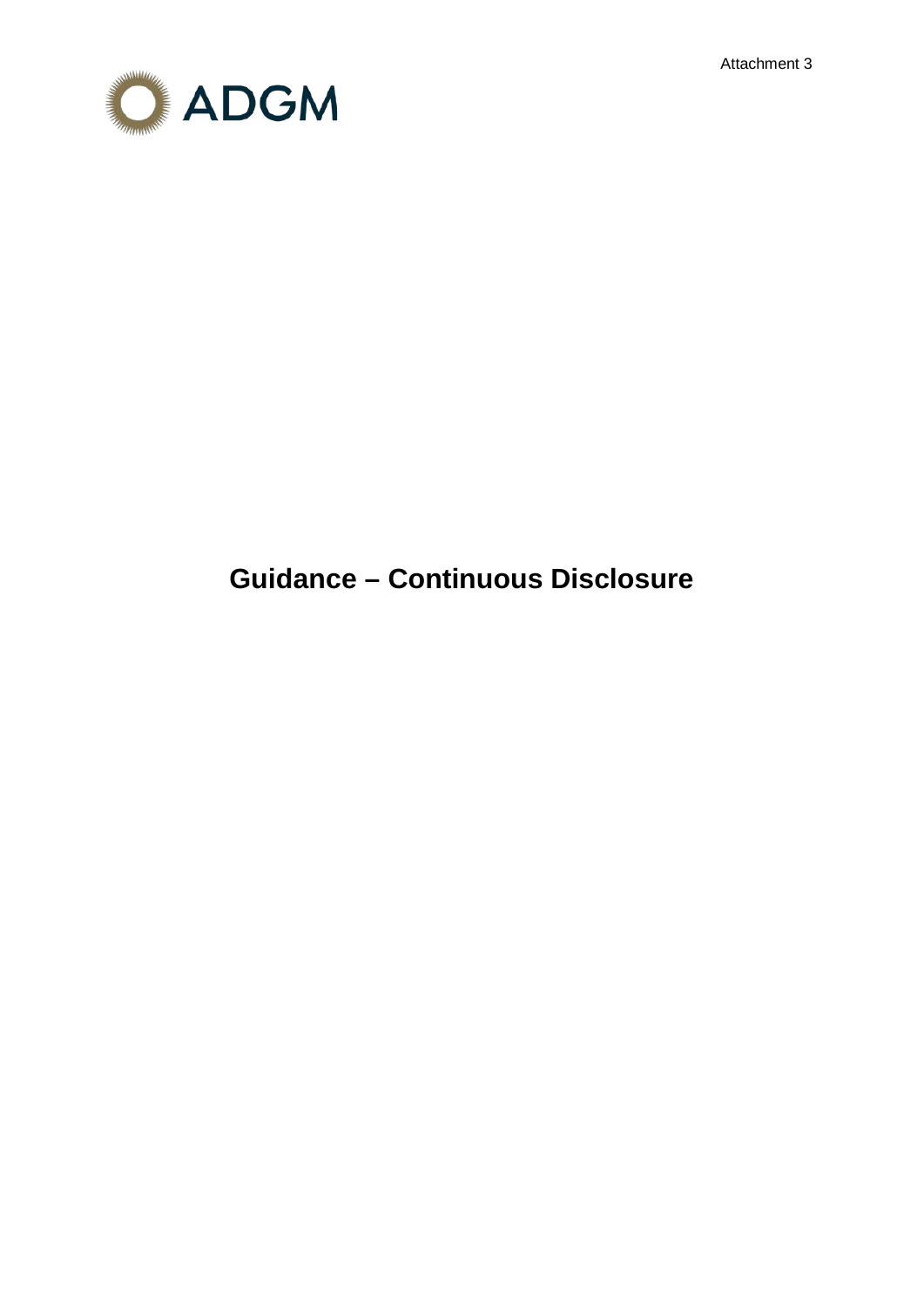Attachment 3



# **Guidance – Continuous Disclosure**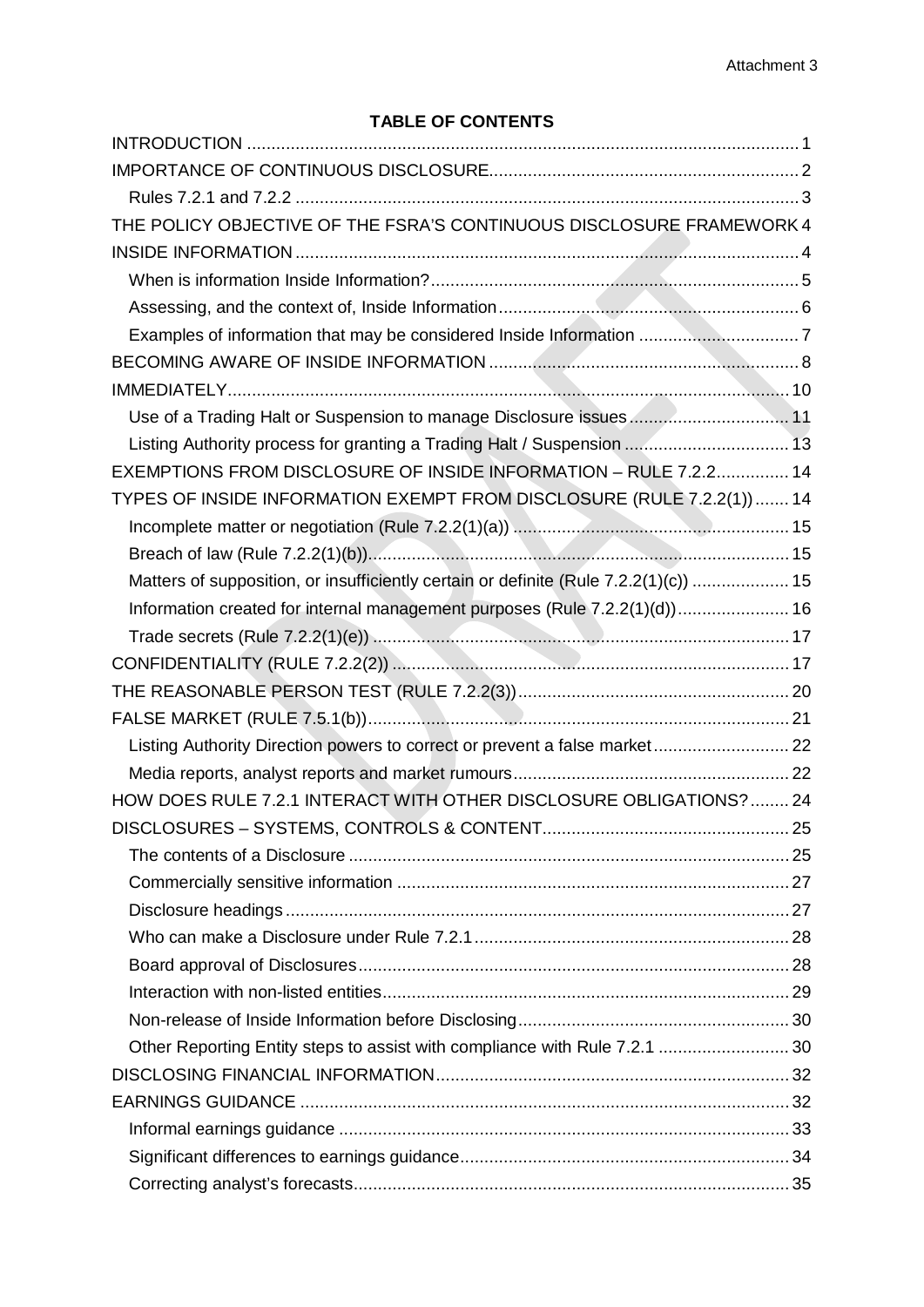# **TABLE OF CONTENTS**

| THE POLICY OBJECTIVE OF THE FSRA'S CONTINUOUS DISCLOSURE FRAMEWORK 4                 |  |
|--------------------------------------------------------------------------------------|--|
|                                                                                      |  |
|                                                                                      |  |
|                                                                                      |  |
| Examples of information that may be considered Inside Information 7                  |  |
|                                                                                      |  |
|                                                                                      |  |
|                                                                                      |  |
| Listing Authority process for granting a Trading Halt / Suspension  13               |  |
| EXEMPTIONS FROM DISCLOSURE OF INSIDE INFORMATION - RULE 7.2.2 14                     |  |
| TYPES OF INSIDE INFORMATION EXEMPT FROM DISCLOSURE (RULE 7.2.2(1)) 14                |  |
|                                                                                      |  |
|                                                                                      |  |
| Matters of supposition, or insufficiently certain or definite (Rule 7.2.2(1)(c))  15 |  |
| Information created for internal management purposes (Rule 7.2.2(1)(d)) 16           |  |
|                                                                                      |  |
|                                                                                      |  |
|                                                                                      |  |
|                                                                                      |  |
| Listing Authority Direction powers to correct or prevent a false market 22           |  |
|                                                                                      |  |
| HOW DOES RULE 7.2.1 INTERACT WITH OTHER DISCLOSURE OBLIGATIONS?  24                  |  |
| DISCLOSURES - SYSTEMS, CONTROLS & CONTENT.                                           |  |
|                                                                                      |  |
|                                                                                      |  |
|                                                                                      |  |
|                                                                                      |  |
|                                                                                      |  |
|                                                                                      |  |
|                                                                                      |  |
| Other Reporting Entity steps to assist with compliance with Rule 7.2.1  30           |  |
|                                                                                      |  |
|                                                                                      |  |
|                                                                                      |  |
|                                                                                      |  |
|                                                                                      |  |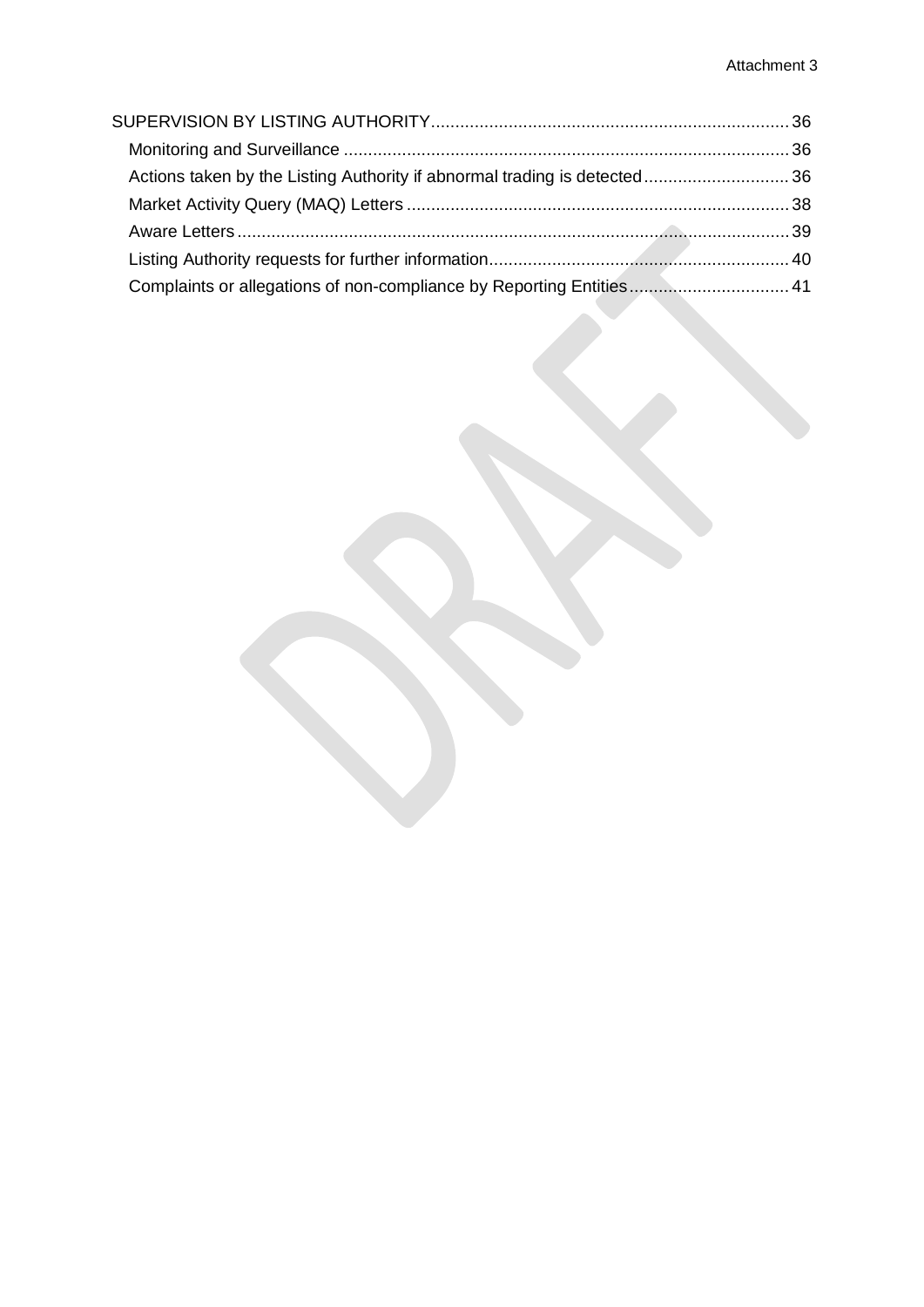| Complaints or allegations of non-compliance by Reporting Entities 41 |  |
|----------------------------------------------------------------------|--|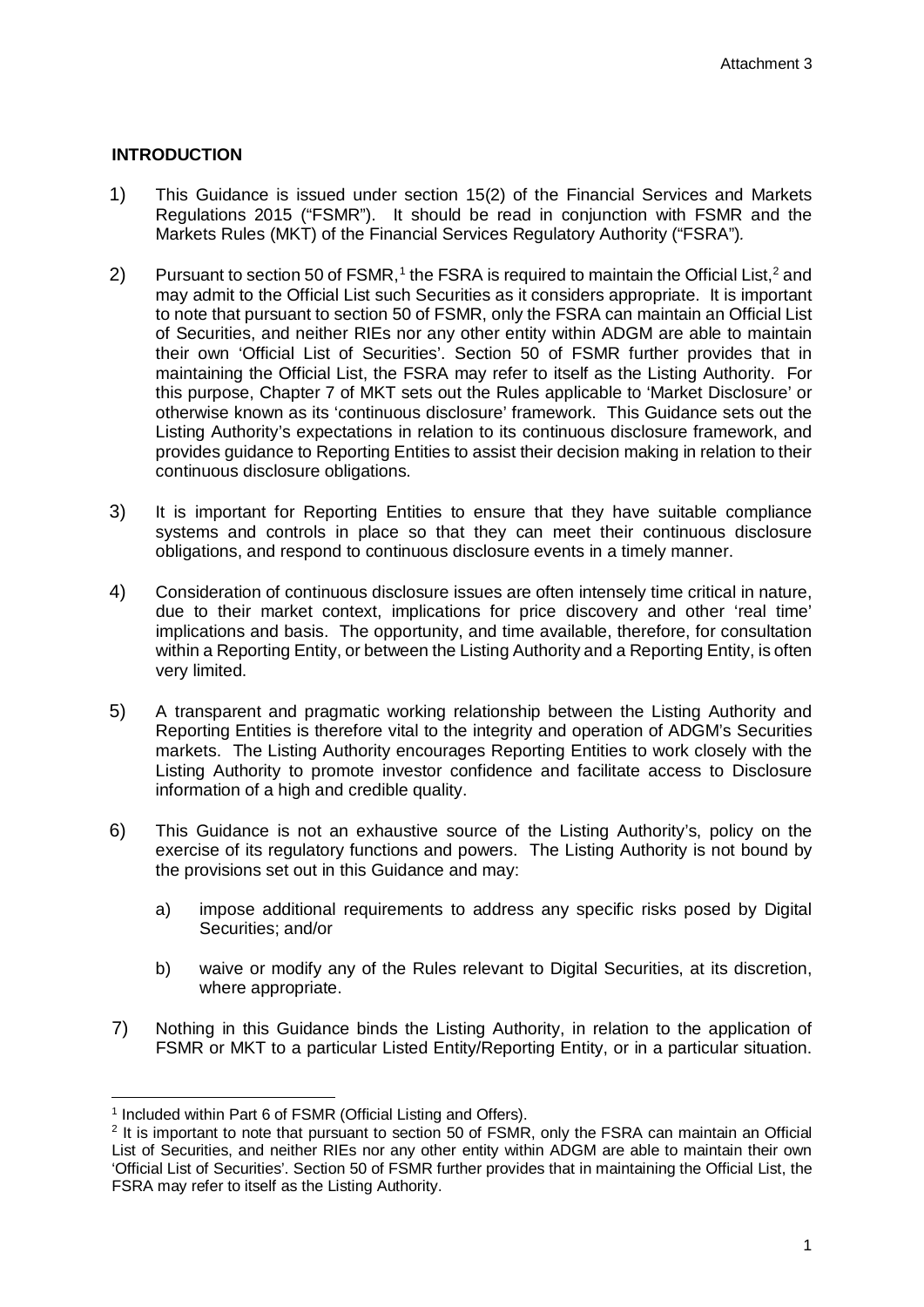## <span id="page-3-0"></span>**INTRODUCTION**

- 1) This Guidance is issued under section 15(2) of the Financial Services and Markets Regulations 2015 ("FSMR"). It should be read in conjunction with FSMR and the Markets Rules (MKT) of the Financial Services Regulatory Authority ("FSRA")*.*
- 2) Pursuant to section 50 of FSMR,<sup>[1](#page-3-1)</sup> the FSRA is required to maintain the Official List,<sup>[2](#page-3-2)</sup> and may admit to the Official List such Securities as it considers appropriate. It is important to note that pursuant to section 50 of FSMR, only the FSRA can maintain an Official List of Securities, and neither RIEs nor any other entity within ADGM are able to maintain their own 'Official List of Securities'. Section 50 of FSMR further provides that in maintaining the Official List, the FSRA may refer to itself as the Listing Authority. For this purpose, Chapter 7 of MKT sets out the Rules applicable to 'Market Disclosure' or otherwise known as its 'continuous disclosure' framework. This Guidance sets out the Listing Authority's expectations in relation to its continuous disclosure framework, and provides guidance to Reporting Entities to assist their decision making in relation to their continuous disclosure obligations.
- 3) It is important for Reporting Entities to ensure that they have suitable compliance systems and controls in place so that they can meet their continuous disclosure obligations, and respond to continuous disclosure events in a timely manner.
- 4) Consideration of continuous disclosure issues are often intensely time critical in nature, due to their market context, implications for price discovery and other 'real time' implications and basis. The opportunity, and time available, therefore, for consultation within a Reporting Entity, or between the Listing Authority and a Reporting Entity, is often very limited.
- 5) A transparent and pragmatic working relationship between the Listing Authority and Reporting Entities is therefore vital to the integrity and operation of ADGM's Securities markets. The Listing Authority encourages Reporting Entities to work closely with the Listing Authority to promote investor confidence and facilitate access to Disclosure information of a high and credible quality.
- 6) This Guidance is not an exhaustive source of the Listing Authority's, policy on the exercise of its regulatory functions and powers. The Listing Authority is not bound by the provisions set out in this Guidance and may:
	- a) impose additional requirements to address any specific risks posed by Digital Securities; and/or
	- b) waive or modify any of the Rules relevant to Digital Securities, at its discretion, where appropriate.
- 7) Nothing in this Guidance binds the Listing Authority, in relation to the application of FSMR or MKT to a particular Listed Entity/Reporting Entity, or in a particular situation.

<span id="page-3-1"></span><sup>1</sup> Included within Part 6 of FSMR (Official Listing and Offers).

<span id="page-3-2"></span><sup>&</sup>lt;sup>2</sup> It is important to note that pursuant to section 50 of FSMR, only the FSRA can maintain an Official List of Securities, and neither RIEs nor any other entity within ADGM are able to maintain their own 'Official List of Securities'. Section 50 of FSMR further provides that in maintaining the Official List, the FSRA may refer to itself as the Listing Authority.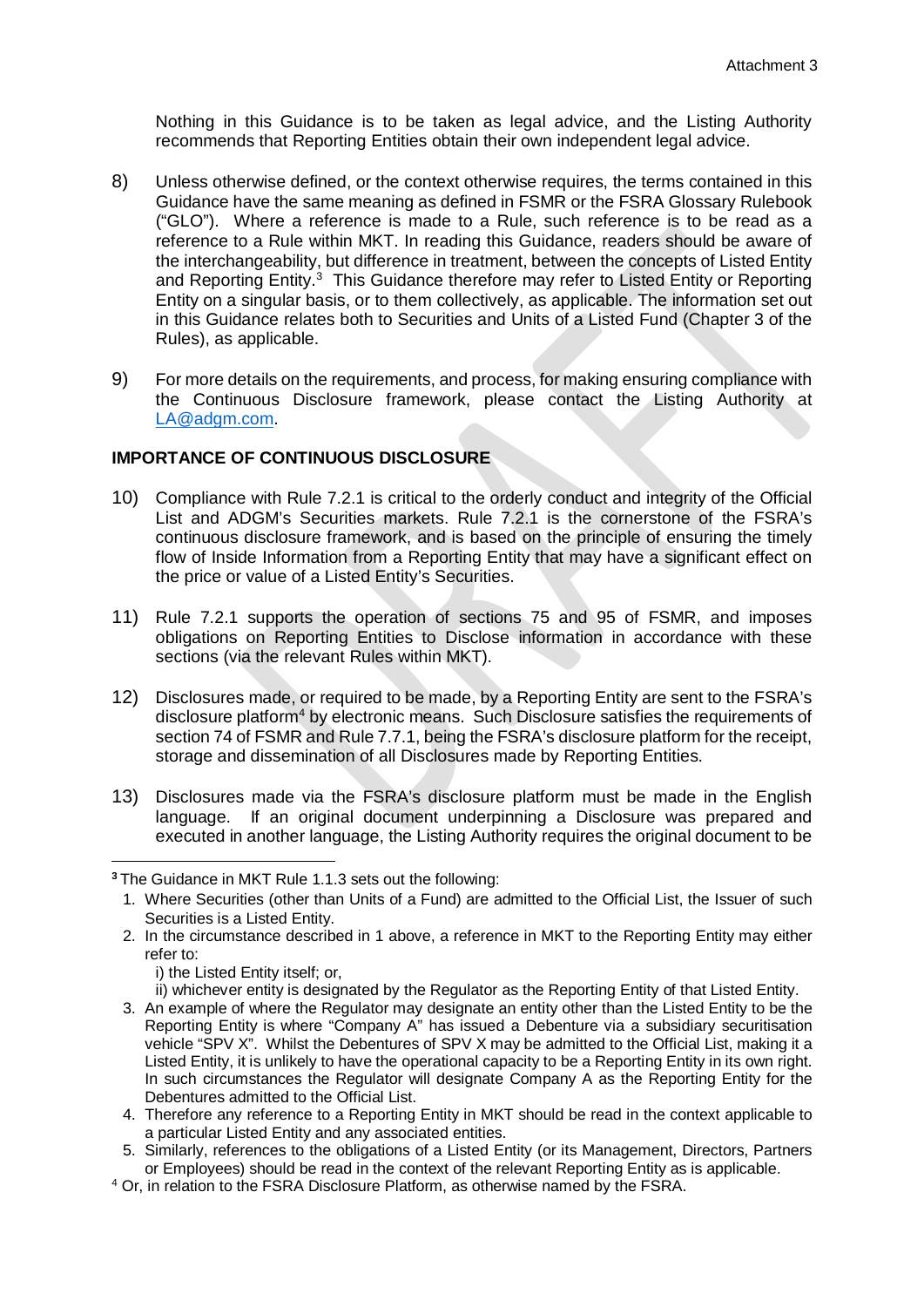Nothing in this Guidance is to be taken as legal advice, and the Listing Authority recommends that Reporting Entities obtain their own independent legal advice.

- 8) Unless otherwise defined, or the context otherwise requires, the terms contained in this Guidance have the same meaning as defined in FSMR or the FSRA Glossary Rulebook ("GLO"). Where a reference is made to a Rule, such reference is to be read as a reference to a Rule within MKT. In reading this Guidance, readers should be aware of the interchangeability, but difference in treatment, between the concepts of Listed Entity and Reporting Entity.<sup>[3](#page-4-1)</sup> This Guidance therefore may refer to Listed Entity or Reporting Entity on a singular basis, or to them collectively, as applicable. The information set out in this Guidance relates both to Securities and Units of a Listed Fund (Chapter 3 of the Rules), as applicable.
- 9) For more details on the requirements, and process, for making ensuring compliance with the Continuous Disclosure framework, please contact the Listing Authority at [LA@adgm.com.](mailto:LA@adgm.com)

# <span id="page-4-0"></span>**IMPORTANCE OF CONTINUOUS DISCLOSURE**

- 10) Compliance with Rule 7.2.1 is critical to the orderly conduct and integrity of the Official List and ADGM's Securities markets. Rule 7.2.1 is the cornerstone of the FSRA's continuous disclosure framework, and is based on the principle of ensuring the timely flow of Inside Information from a Reporting Entity that may have a significant effect on the price or value of a Listed Entity's Securities.
- 11) Rule 7.2.1 supports the operation of sections 75 and 95 of FSMR, and imposes obligations on Reporting Entities to Disclose information in accordance with these sections (via the relevant Rules within MKT).
- 12) Disclosures made, or required to be made, by a Reporting Entity are sent to the FSRA's disclosure platform[4](#page-4-2) by electronic means. Such Disclosure satisfies the requirements of section 74 of FSMR and Rule 7.7.1, being the FSRA's disclosure platform for the receipt, storage and dissemination of all Disclosures made by Reporting Entities.
- 13) Disclosures made via the FSRA's disclosure platform must be made in the English language. If an original document underpinning a Disclosure was prepared and executed in another language, the Listing Authority requires the original document to be

 $\overline{a}$ 

<span id="page-4-1"></span>**<sup>3</sup>** The Guidance in MKT Rule 1.1.3 sets out the following:

<sup>1.</sup> Where Securities (other than Units of a Fund) are admitted to the Official List, the Issuer of such Securities is a Listed Entity.

<sup>2.</sup> In the circumstance described in 1 above, a reference in MKT to the Reporting Entity may either refer to:

i) the Listed Entity itself; or,

ii) whichever entity is designated by the Regulator as the Reporting Entity of that Listed Entity.

<sup>3.</sup> An example of where the Regulator may designate an entity other than the Listed Entity to be the Reporting Entity is where "Company A" has issued a Debenture via a subsidiary securitisation vehicle "SPV X". Whilst the Debentures of SPV X may be admitted to the Official List, making it a Listed Entity, it is unlikely to have the operational capacity to be a Reporting Entity in its own right. In such circumstances the Regulator will designate Company A as the Reporting Entity for the Debentures admitted to the Official List.

<sup>4.</sup> Therefore any reference to a Reporting Entity in MKT should be read in the context applicable to a particular Listed Entity and any associated entities.

<sup>5.</sup> Similarly, references to the obligations of a Listed Entity (or its Management, Directors, Partners or Employees) should be read in the context of the relevant Reporting Entity as is applicable.

<span id="page-4-2"></span><sup>&</sup>lt;sup>4</sup> Or, in relation to the FSRA Disclosure Platform, as otherwise named by the FSRA.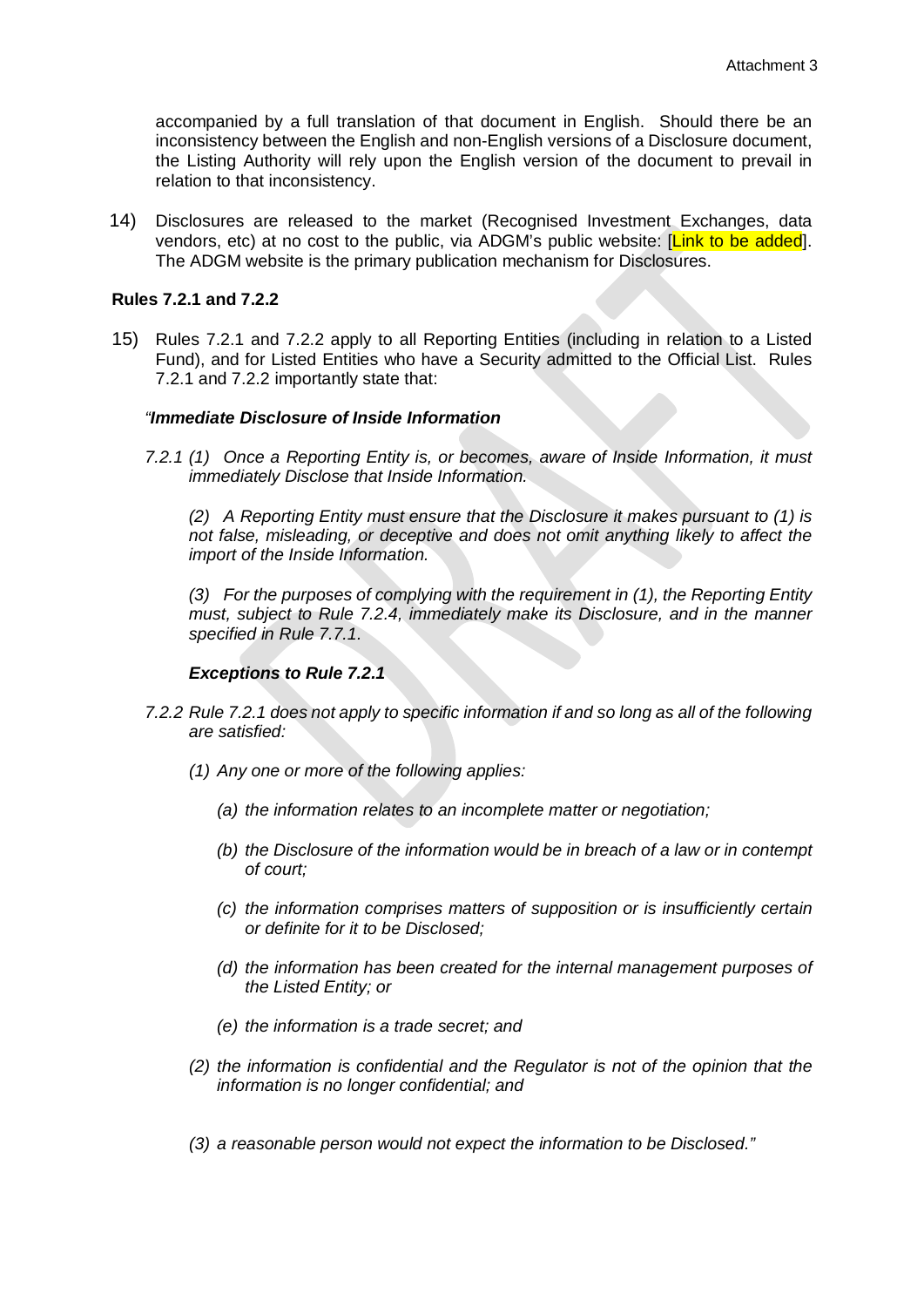accompanied by a full translation of that document in English. Should there be an inconsistency between the English and non-English versions of a Disclosure document, the Listing Authority will rely upon the English version of the document to prevail in relation to that inconsistency.

14) Disclosures are released to the market (Recognised Investment Exchanges, data vendors, etc) at no cost to the public, via ADGM's public website: [Link to be added]. The ADGM website is the primary publication mechanism for Disclosures.

## <span id="page-5-0"></span>**Rules 7.2.1 and 7.2.2**

15) Rules 7.2.1 and 7.2.2 apply to all Reporting Entities (including in relation to a Listed Fund), and for Listed Entities who have a Security admitted to the Official List. Rules 7.2.1 and 7.2.2 importantly state that:

## *"Immediate Disclosure of Inside Information*

*7.2.1 (1) Once a Reporting Entity is, or becomes, aware of Inside Information, it must immediately Disclose that Inside Information.*

*(2) A Reporting Entity must ensure that the Disclosure it makes pursuant to (1) is not false, misleading, or deceptive and does not omit anything likely to affect the import of the Inside Information.* 

*(3) For the purposes of complying with the requirement in (1), the Reporting Entity must, subject to Rule 7.2.4, immediately make its Disclosure, and in the manner specified in Rule 7.7.1.*

#### *Exceptions to Rule 7.2.1*

- *7.2.2 Rule 7.2.1 does not apply to specific information if and so long as all of the following are satisfied:*
	- *(1) Any one or more of the following applies:*
		- *(a) the information relates to an incomplete matter or negotiation;*
		- *(b) the Disclosure of the information would be in breach of a law or in contempt of court;*
		- *(c) the information comprises matters of supposition or is insufficiently certain or definite for it to be Disclosed;*
		- *(d) the information has been created for the internal management purposes of the Listed Entity; or*
		- *(e) the information is a trade secret; and*
	- *(2) the information is confidential and the Regulator is not of the opinion that the information is no longer confidential; and*
	- *(3) a reasonable person would not expect the information to be Disclosed."*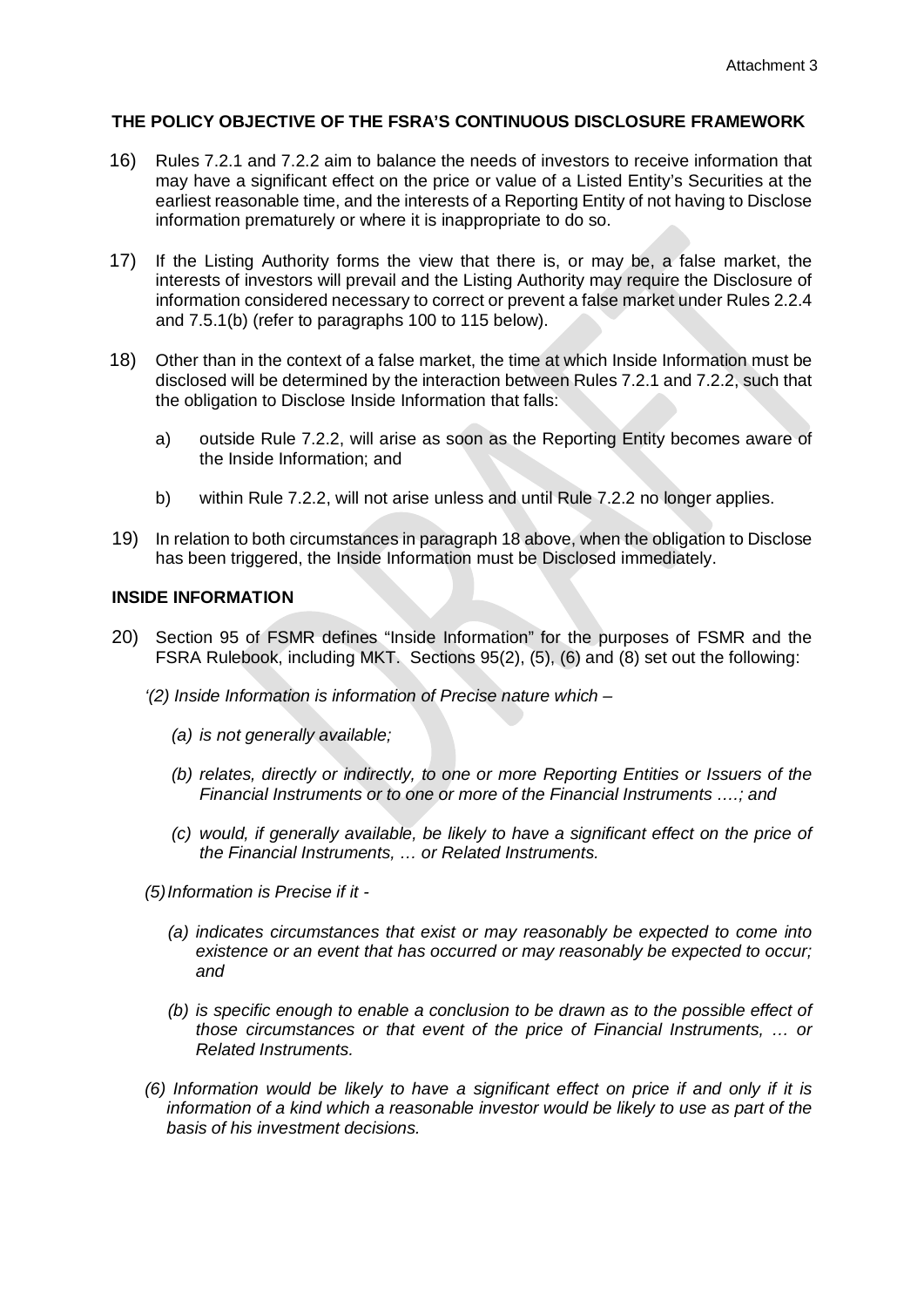# <span id="page-6-0"></span>**THE POLICY OBJECTIVE OF THE FSRA'S CONTINUOUS DISCLOSURE FRAMEWORK**

- 16) Rules 7.2.1 and 7.2.2 aim to balance the needs of investors to receive information that may have a significant effect on the price or value of a Listed Entity's Securities at the earliest reasonable time, and the interests of a Reporting Entity of not having to Disclose information prematurely or where it is inappropriate to do so.
- 17) If the Listing Authority forms the view that there is, or may be, a false market, the interests of investors will prevail and the Listing Authority may require the Disclosure of information considered necessary to correct or prevent a false market under Rules 2.2.4 and 7.5.1(b) (refer to paragraphs 100 to 115 below).
- 18) Other than in the context of a false market, the time at which Inside Information must be disclosed will be determined by the interaction between Rules 7.2.1 and 7.2.2, such that the obligation to Disclose Inside Information that falls:
	- a) outside Rule 7.2.2, will arise as soon as the Reporting Entity becomes aware of the Inside Information; and
	- b) within Rule 7.2.2, will not arise unless and until Rule 7.2.2 no longer applies.
- 19) In relation to both circumstances in paragraph 18 above, when the obligation to Disclose has been triggered, the Inside Information must be Disclosed immediately.

## <span id="page-6-1"></span>**INSIDE INFORMATION**

- 20) Section 95 of FSMR defines "Inside Information" for the purposes of FSMR and the FSRA Rulebook, including MKT. Sections 95(2), (5), (6) and (8) set out the following:
	- *'(2) Inside Information is information of Precise nature which –*
		- *(a) is not generally available;*
		- *(b) relates, directly or indirectly, to one or more Reporting Entities or Issuers of the Financial Instruments or to one or more of the Financial Instruments ….; and*
		- *(c) would, if generally available, be likely to have a significant effect on the price of the Financial Instruments, … or Related Instruments.*

*(5)Information is Precise if it -*

- *(a) indicates circumstances that exist or may reasonably be expected to come into existence or an event that has occurred or may reasonably be expected to occur; and*
- *(b) is specific enough to enable a conclusion to be drawn as to the possible effect of those circumstances or that event of the price of Financial Instruments, … or Related Instruments.*
- *(6) Information would be likely to have a significant effect on price if and only if it is information of a kind which a reasonable investor would be likely to use as part of the basis of his investment decisions.*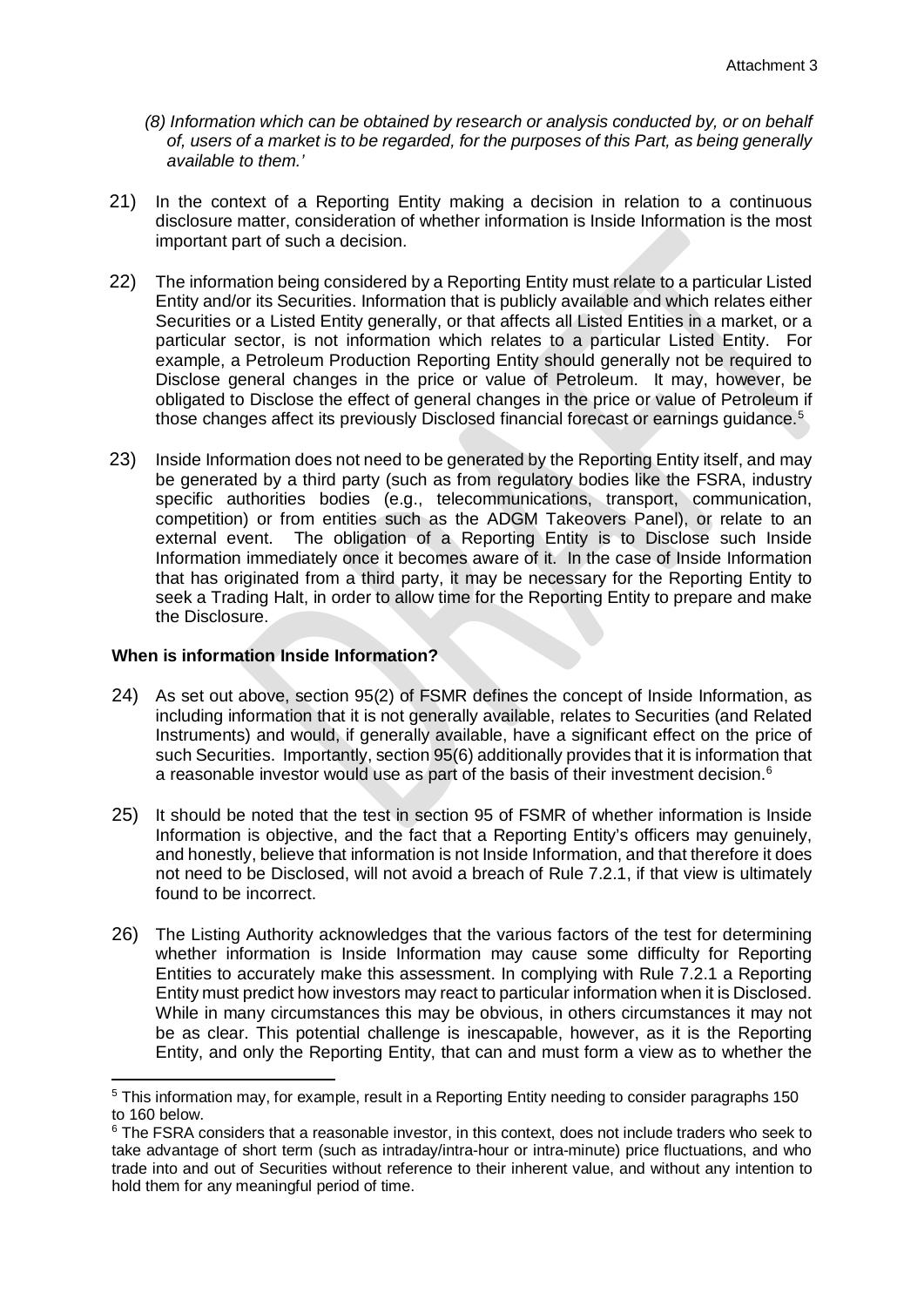- *(8) Information which can be obtained by research or analysis conducted by, or on behalf of, users of a market is to be regarded, for the purposes of this Part, as being generally available to them.'*
- 21) In the context of a Reporting Entity making a decision in relation to a continuous disclosure matter, consideration of whether information is Inside Information is the most important part of such a decision.
- 22) The information being considered by a Reporting Entity must relate to a particular Listed Entity and/or its Securities. Information that is publicly available and which relates either Securities or a Listed Entity generally, or that affects all Listed Entities in a market, or a particular sector, is not information which relates to a particular Listed Entity. For example, a Petroleum Production Reporting Entity should generally not be required to Disclose general changes in the price or value of Petroleum. It may, however, be obligated to Disclose the effect of general changes in the price or value of Petroleum if those changes affect its previously Disclosed financial forecast or earnings guidance.<sup>[5](#page-7-1)</sup>
- 23) Inside Information does not need to be generated by the Reporting Entity itself, and may be generated by a third party (such as from regulatory bodies like the FSRA, industry specific authorities bodies (e.g., telecommunications, transport, communication, competition) or from entities such as the ADGM Takeovers Panel), or relate to an external event. The obligation of a Reporting Entity is to Disclose such Inside Information immediately once it becomes aware of it. In the case of Inside Information that has originated from a third party, it may be necessary for the Reporting Entity to seek a Trading Halt, in order to allow time for the Reporting Entity to prepare and make the Disclosure.

#### <span id="page-7-0"></span>**When is information Inside Information?**

- 24) As set out above, section 95(2) of FSMR defines the concept of Inside Information, as including information that it is not generally available, relates to Securities (and Related Instruments) and would, if generally available, have a significant effect on the price of such Securities. Importantly, section 95(6) additionally provides that it is information that a reasonable investor would use as part of the basis of their investment decision.<sup>[6](#page-7-2)</sup>
- 25) It should be noted that the test in section 95 of FSMR of whether information is Inside Information is objective, and the fact that a Reporting Entity's officers may genuinely, and honestly, believe that information is not Inside Information, and that therefore it does not need to be Disclosed, will not avoid a breach of Rule 7.2.1, if that view is ultimately found to be incorrect.
- 26) The Listing Authority acknowledges that the various factors of the test for determining whether information is Inside Information may cause some difficulty for Reporting Entities to accurately make this assessment. In complying with Rule 7.2.1 a Reporting Entity must predict how investors may react to particular information when it is Disclosed. While in many circumstances this may be obvious, in others circumstances it may not be as clear. This potential challenge is inescapable, however, as it is the Reporting Entity, and only the Reporting Entity, that can and must form a view as to whether the

<span id="page-7-1"></span><sup>5</sup> This information may, for example, result in a Reporting Entity needing to consider paragraphs 150 to 160 below.

<span id="page-7-2"></span> $6$  The FSRA considers that a reasonable investor, in this context, does not include traders who seek to take advantage of short term (such as intraday/intra-hour or intra-minute) price fluctuations, and who trade into and out of Securities without reference to their inherent value, and without any intention to hold them for any meaningful period of time.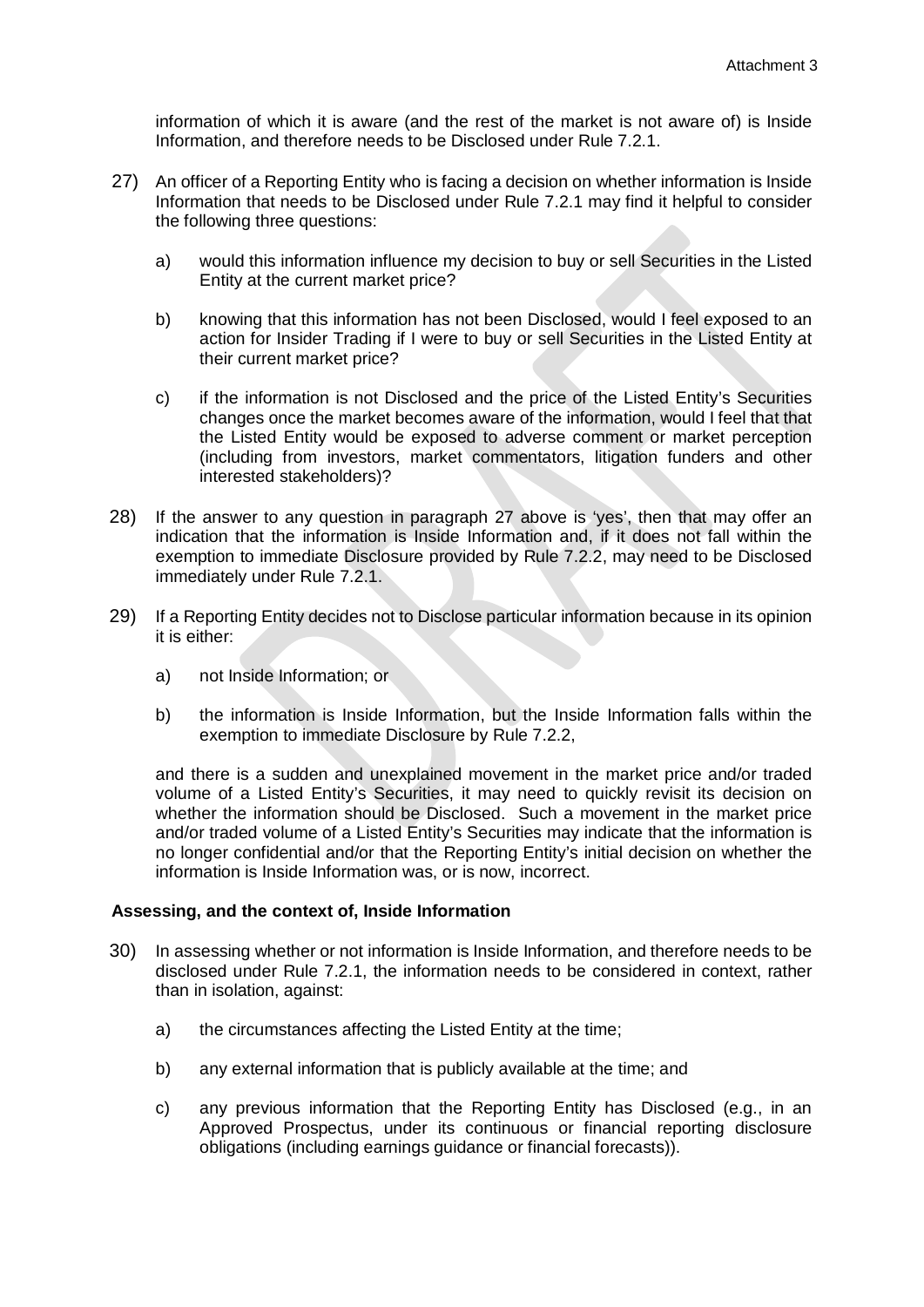information of which it is aware (and the rest of the market is not aware of) is Inside Information, and therefore needs to be Disclosed under Rule 7.2.1.

- 27) An officer of a Reporting Entity who is facing a decision on whether information is Inside Information that needs to be Disclosed under Rule 7.2.1 may find it helpful to consider the following three questions:
	- a) would this information influence my decision to buy or sell Securities in the Listed Entity at the current market price?
	- b) knowing that this information has not been Disclosed, would I feel exposed to an action for Insider Trading if I were to buy or sell Securities in the Listed Entity at their current market price?
	- c) if the information is not Disclosed and the price of the Listed Entity's Securities changes once the market becomes aware of the information, would I feel that that the Listed Entity would be exposed to adverse comment or market perception (including from investors, market commentators, litigation funders and other interested stakeholders)?
- 28) If the answer to any question in paragraph 27 above is 'yes', then that may offer an indication that the information is Inside Information and, if it does not fall within the exemption to immediate Disclosure provided by Rule 7.2.2, may need to be Disclosed immediately under Rule 7.2.1.
- 29) If a Reporting Entity decides not to Disclose particular information because in its opinion it is either:
	- a) not Inside Information; or
	- b) the information is Inside Information, but the Inside Information falls within the exemption to immediate Disclosure by Rule 7.2.2,

and there is a sudden and unexplained movement in the market price and/or traded volume of a Listed Entity's Securities, it may need to quickly revisit its decision on whether the information should be Disclosed. Such a movement in the market price and/or traded volume of a Listed Entity's Securities may indicate that the information is no longer confidential and/or that the Reporting Entity's initial decision on whether the information is Inside Information was, or is now, incorrect.

#### <span id="page-8-0"></span>**Assessing, and the context of, Inside Information**

- 30) In assessing whether or not information is Inside Information, and therefore needs to be disclosed under Rule 7.2.1, the information needs to be considered in context, rather than in isolation, against:
	- a) the circumstances affecting the Listed Entity at the time;
	- b) any external information that is publicly available at the time; and
	- c) any previous information that the Reporting Entity has Disclosed (e.g., in an Approved Prospectus, under its continuous or financial reporting disclosure obligations (including earnings guidance or financial forecasts)).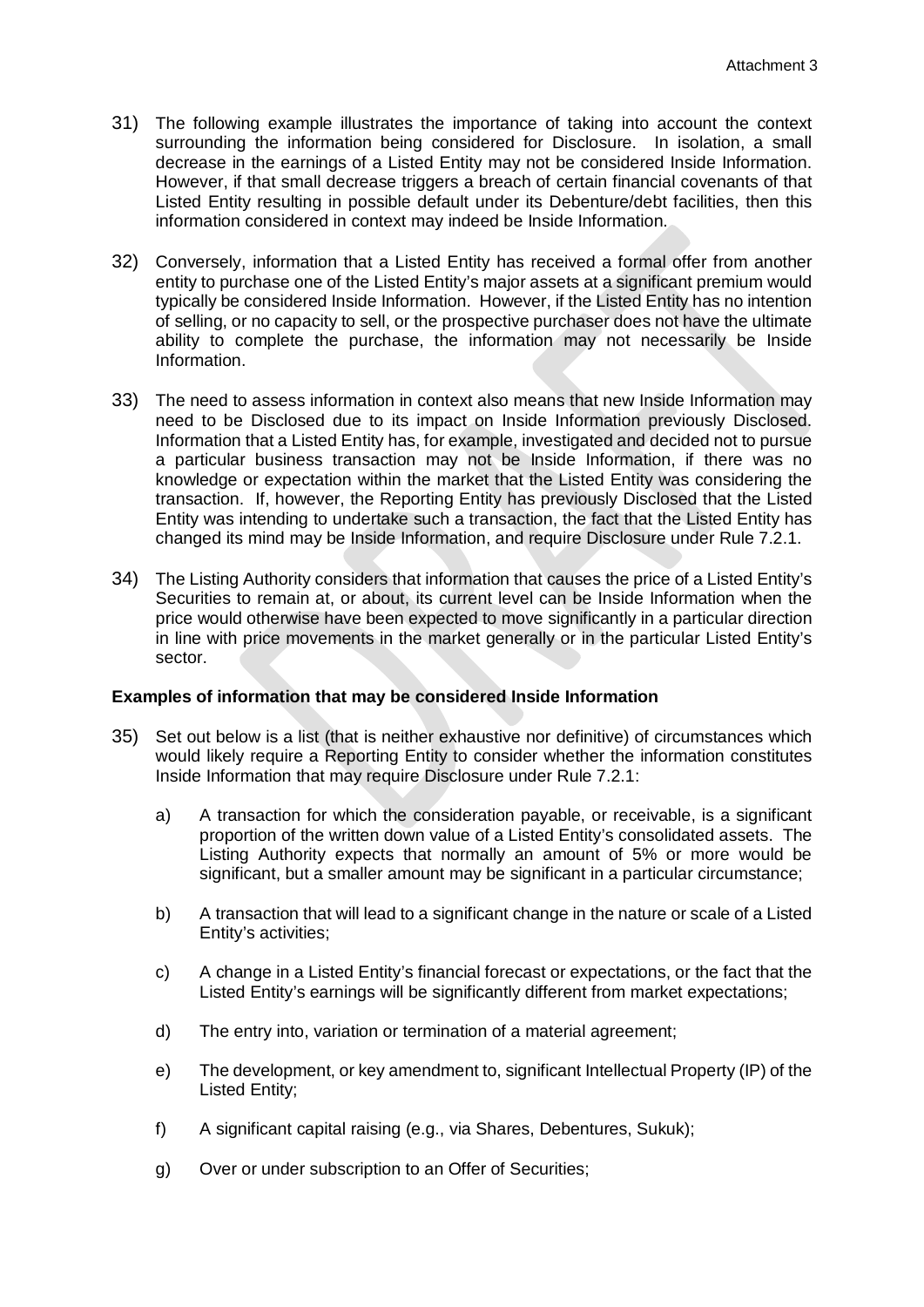- 31) The following example illustrates the importance of taking into account the context surrounding the information being considered for Disclosure. In isolation, a small decrease in the earnings of a Listed Entity may not be considered Inside Information. However, if that small decrease triggers a breach of certain financial covenants of that Listed Entity resulting in possible default under its Debenture/debt facilities, then this information considered in context may indeed be Inside Information.
- 32) Conversely, information that a Listed Entity has received a formal offer from another entity to purchase one of the Listed Entity's major assets at a significant premium would typically be considered Inside Information. However, if the Listed Entity has no intention of selling, or no capacity to sell, or the prospective purchaser does not have the ultimate ability to complete the purchase, the information may not necessarily be Inside Information.
- 33) The need to assess information in context also means that new Inside Information may need to be Disclosed due to its impact on Inside Information previously Disclosed. Information that a Listed Entity has, for example, investigated and decided not to pursue a particular business transaction may not be Inside Information, if there was no knowledge or expectation within the market that the Listed Entity was considering the transaction. If, however, the Reporting Entity has previously Disclosed that the Listed Entity was intending to undertake such a transaction, the fact that the Listed Entity has changed its mind may be Inside Information, and require Disclosure under Rule 7.2.1.
- 34) The Listing Authority considers that information that causes the price of a Listed Entity's Securities to remain at, or about, its current level can be Inside Information when the price would otherwise have been expected to move significantly in a particular direction in line with price movements in the market generally or in the particular Listed Entity's sector.

## <span id="page-9-0"></span>**Examples of information that may be considered Inside Information**

- 35) Set out below is a list (that is neither exhaustive nor definitive) of circumstances which would likely require a Reporting Entity to consider whether the information constitutes Inside Information that may require Disclosure under Rule 7.2.1:
	- a) A transaction for which the consideration payable, or receivable, is a significant proportion of the written down value of a Listed Entity's consolidated assets. The Listing Authority expects that normally an amount of 5% or more would be significant, but a smaller amount may be significant in a particular circumstance;
	- b) A transaction that will lead to a significant change in the nature or scale of a Listed Entity's activities;
	- c) A change in a Listed Entity's financial forecast or expectations, or the fact that the Listed Entity's earnings will be significantly different from market expectations;
	- d) The entry into, variation or termination of a material agreement;
	- e) The development, or key amendment to, significant Intellectual Property (IP) of the Listed Entity;
	- f) A significant capital raising (e.g., via Shares, Debentures, Sukuk);
	- g) Over or under subscription to an Offer of Securities;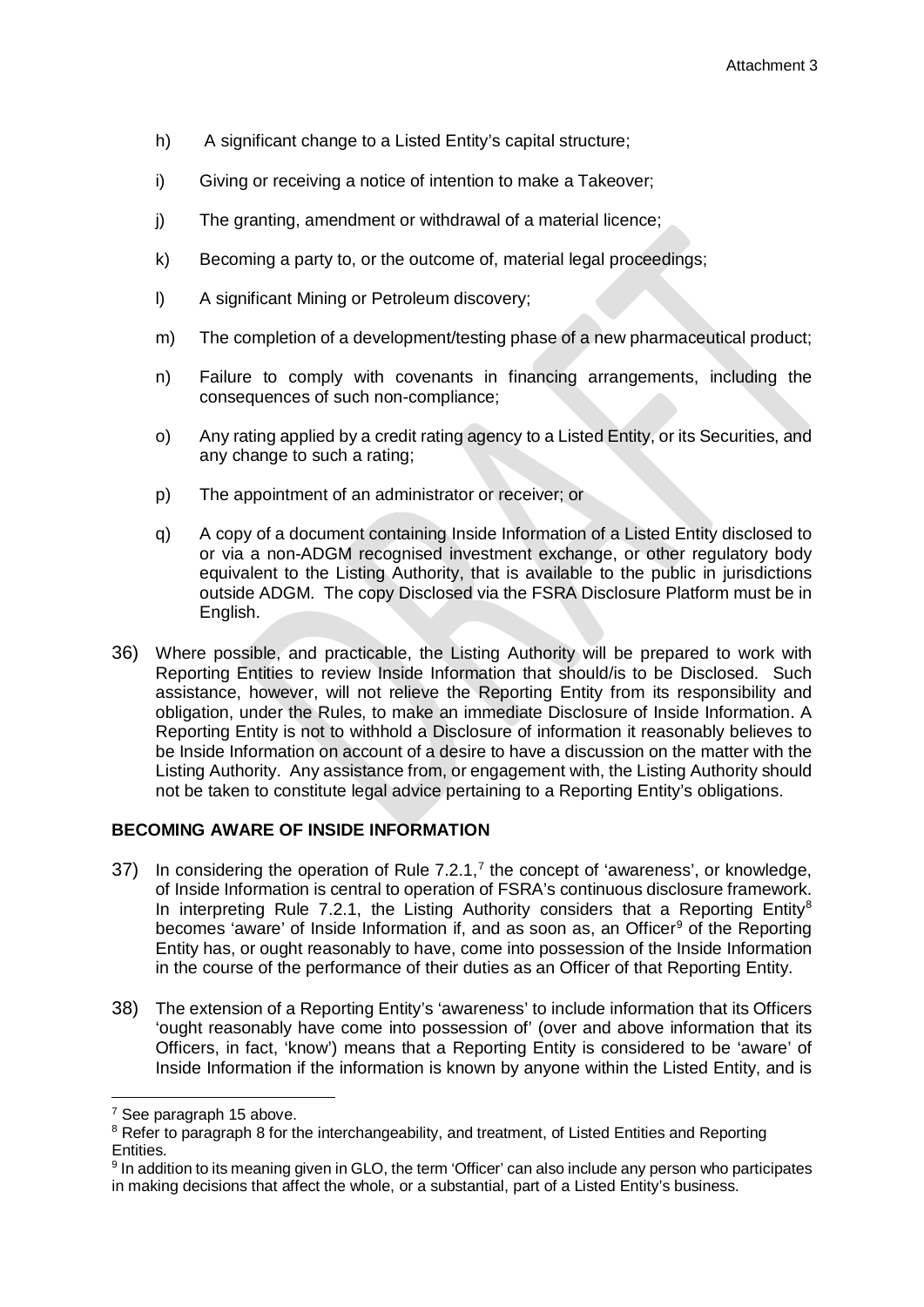- h) A significant change to a Listed Entity's capital structure;
- i) Giving or receiving a notice of intention to make a Takeover;
- j) The granting, amendment or withdrawal of a material licence;
- k) Becoming a party to, or the outcome of, material legal proceedings;
- l) A significant Mining or Petroleum discovery;
- m) The completion of a development/testing phase of a new pharmaceutical product;
- n) Failure to comply with covenants in financing arrangements, including the consequences of such non-compliance;
- o) Any rating applied by a credit rating agency to a Listed Entity, or its Securities, and any change to such a rating;
- p) The appointment of an administrator or receiver; or
- q) A copy of a document containing Inside Information of a Listed Entity disclosed to or via a non-ADGM recognised investment exchange, or other regulatory body equivalent to the Listing Authority, that is available to the public in jurisdictions outside ADGM. The copy Disclosed via the FSRA Disclosure Platform must be in English.
- 36) Where possible, and practicable, the Listing Authority will be prepared to work with Reporting Entities to review Inside Information that should/is to be Disclosed. Such assistance, however, will not relieve the Reporting Entity from its responsibility and obligation, under the Rules, to make an immediate Disclosure of Inside Information. A Reporting Entity is not to withhold a Disclosure of information it reasonably believes to be Inside Information on account of a desire to have a discussion on the matter with the Listing Authority. Any assistance from, or engagement with, the Listing Authority should not be taken to constitute legal advice pertaining to a Reporting Entity's obligations.

# <span id="page-10-0"></span>**BECOMING AWARE OF INSIDE INFORMATION**

- 3[7](#page-10-1)) In considering the operation of Rule  $7.2.1$ ,  $7$  the concept of 'awareness', or knowledge, of Inside Information is central to operation of FSRA's continuous disclosure framework. In interpreting Rule 7.2.1, the Listing Authority considers that a Reporting Entity<sup>8</sup> becomes 'aware' of Inside Information if, and as soon as, an Officer<sup>[9](#page-10-3)</sup> of the Reporting Entity has, or ought reasonably to have, come into possession of the Inside Information in the course of the performance of their duties as an Officer of that Reporting Entity.
- 38) The extension of a Reporting Entity's 'awareness' to include information that its Officers 'ought reasonably have come into possession of' (over and above information that its Officers, in fact, 'know') means that a Reporting Entity is considered to be 'aware' of Inside Information if the information is known by anyone within the Listed Entity, and is

<span id="page-10-1"></span><sup>7</sup> See paragraph 15 above.

<span id="page-10-2"></span><sup>&</sup>lt;sup>8</sup> Refer to paragraph 8 for the interchangeability, and treatment, of Listed Entities and Reporting Entities.

<span id="page-10-3"></span><sup>9</sup> In addition to its meaning given in GLO, the term 'Officer' can also include any person who participates in making decisions that affect the whole, or a substantial, part of a Listed Entity's business.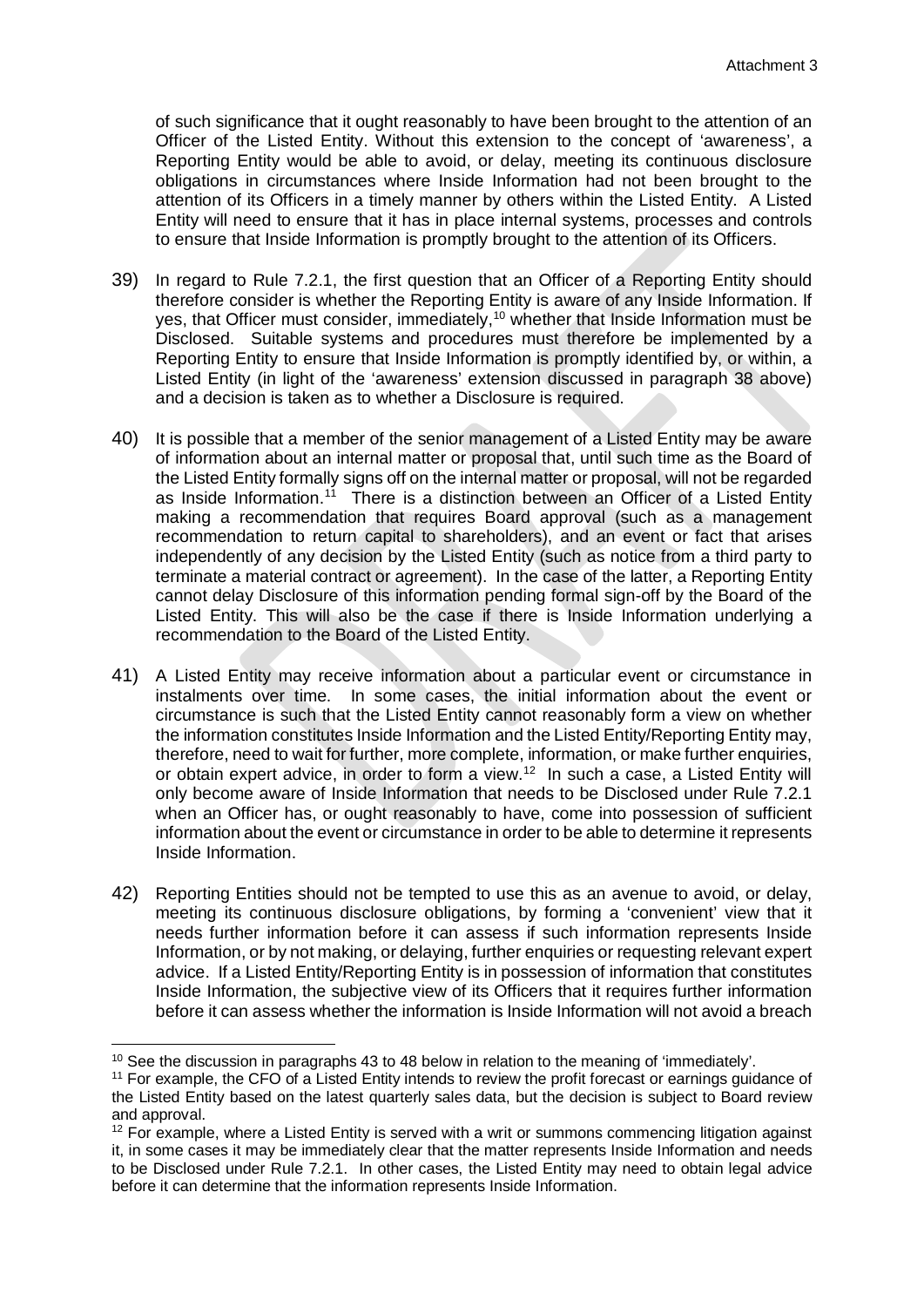of such significance that it ought reasonably to have been brought to the attention of an Officer of the Listed Entity. Without this extension to the concept of 'awareness', a Reporting Entity would be able to avoid, or delay, meeting its continuous disclosure obligations in circumstances where Inside Information had not been brought to the attention of its Officers in a timely manner by others within the Listed Entity. A Listed Entity will need to ensure that it has in place internal systems, processes and controls to ensure that Inside Information is promptly brought to the attention of its Officers.

- 39) In regard to Rule 7.2.1, the first question that an Officer of a Reporting Entity should therefore consider is whether the Reporting Entity is aware of any Inside Information. If yes, that Officer must consider, immediately, [10](#page-11-0) whether that Inside Information must be Disclosed. Suitable systems and procedures must therefore be implemented by a Reporting Entity to ensure that Inside Information is promptly identified by, or within, a Listed Entity (in light of the 'awareness' extension discussed in paragraph 38 above) and a decision is taken as to whether a Disclosure is required.
- 40) It is possible that a member of the senior management of a Listed Entity may be aware of information about an internal matter or proposal that, until such time as the Board of the Listed Entity formally signs off on the internal matter or proposal, will not be regarded as Inside Information.<sup>11</sup> There is a distinction between an Officer of a Listed Entity making a recommendation that requires Board approval (such as a management recommendation to return capital to shareholders), and an event or fact that arises independently of any decision by the Listed Entity (such as notice from a third party to terminate a material contract or agreement). In the case of the latter, a Reporting Entity cannot delay Disclosure of this information pending formal sign-off by the Board of the Listed Entity. This will also be the case if there is Inside Information underlying a recommendation to the Board of the Listed Entity.
- 41) A Listed Entity may receive information about a particular event or circumstance in instalments over time. In some cases, the initial information about the event or circumstance is such that the Listed Entity cannot reasonably form a view on whether the information constitutes Inside Information and the Listed Entity/Reporting Entity may, therefore, need to wait for further, more complete, information, or make further enquiries, or obtain expert advice, in order to form a view[.12](#page-11-2) In such a case, a Listed Entity will only become aware of Inside Information that needs to be Disclosed under Rule 7.2.1 when an Officer has, or ought reasonably to have, come into possession of sufficient information about the event or circumstance in order to be able to determine it represents Inside Information.
- 42) Reporting Entities should not be tempted to use this as an avenue to avoid, or delay, meeting its continuous disclosure obligations, by forming a 'convenient' view that it needs further information before it can assess if such information represents Inside Information, or by not making, or delaying, further enquiries or requesting relevant expert advice. If a Listed Entity/Reporting Entity is in possession of information that constitutes Inside Information, the subjective view of its Officers that it requires further information before it can assess whether the information is Inside Information will not avoid a breach

 $10$  See the discussion in paragraphs 43 to 48 below in relation to the meaning of 'immediately'.

<span id="page-11-1"></span><span id="page-11-0"></span><sup>&</sup>lt;sup>11</sup> For example, the CFO of a Listed Entity intends to review the profit forecast or earnings guidance of the Listed Entity based on the latest quarterly sales data, but the decision is subject to Board review and approval.

<span id="page-11-2"></span> $12$  For example, where a Listed Entity is served with a writ or summons commencing litigation against it, in some cases it may be immediately clear that the matter represents Inside Information and needs to be Disclosed under Rule 7.2.1. In other cases, the Listed Entity may need to obtain legal advice before it can determine that the information represents Inside Information.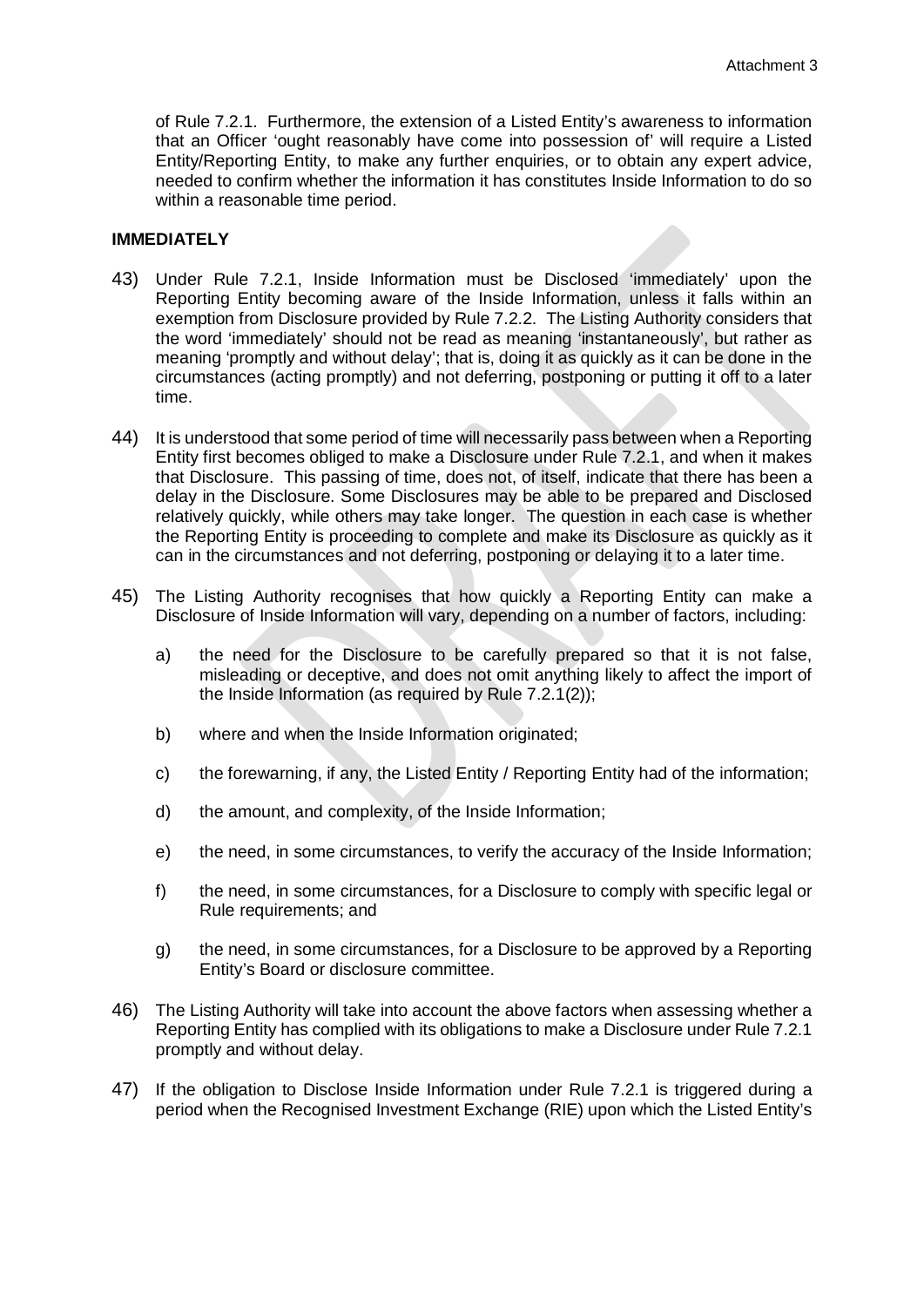of Rule 7.2.1. Furthermore, the extension of a Listed Entity's awareness to information that an Officer 'ought reasonably have come into possession of' will require a Listed Entity/Reporting Entity, to make any further enquiries, or to obtain any expert advice, needed to confirm whether the information it has constitutes Inside Information to do so within a reasonable time period.

#### <span id="page-12-0"></span>**IMMEDIATELY**

- 43) Under Rule 7.2.1, Inside Information must be Disclosed 'immediately' upon the Reporting Entity becoming aware of the Inside Information, unless it falls within an exemption from Disclosure provided by Rule 7.2.2. The Listing Authority considers that the word 'immediately' should not be read as meaning 'instantaneously', but rather as meaning 'promptly and without delay'; that is, doing it as quickly as it can be done in the circumstances (acting promptly) and not deferring, postponing or putting it off to a later time.
- 44) It is understood that some period of time will necessarily pass between when a Reporting Entity first becomes obliged to make a Disclosure under Rule 7.2.1, and when it makes that Disclosure. This passing of time, does not, of itself, indicate that there has been a delay in the Disclosure. Some Disclosures may be able to be prepared and Disclosed relatively quickly, while others may take longer. The question in each case is whether the Reporting Entity is proceeding to complete and make its Disclosure as quickly as it can in the circumstances and not deferring, postponing or delaying it to a later time.
- 45) The Listing Authority recognises that how quickly a Reporting Entity can make a Disclosure of Inside Information will vary, depending on a number of factors, including:
	- a) the need for the Disclosure to be carefully prepared so that it is not false, misleading or deceptive, and does not omit anything likely to affect the import of the Inside Information (as required by Rule 7.2.1(2));
	- b) where and when the Inside Information originated;
	- c) the forewarning, if any, the Listed Entity / Reporting Entity had of the information;
	- d) the amount, and complexity, of the Inside Information;
	- e) the need, in some circumstances, to verify the accuracy of the Inside Information;
	- f) the need, in some circumstances, for a Disclosure to comply with specific legal or Rule requirements; and
	- g) the need, in some circumstances, for a Disclosure to be approved by a Reporting Entity's Board or disclosure committee.
- 46) The Listing Authority will take into account the above factors when assessing whether a Reporting Entity has complied with its obligations to make a Disclosure under Rule 7.2.1 promptly and without delay.
- 47) If the obligation to Disclose Inside Information under Rule 7.2.1 is triggered during a period when the Recognised Investment Exchange (RIE) upon which the Listed Entity's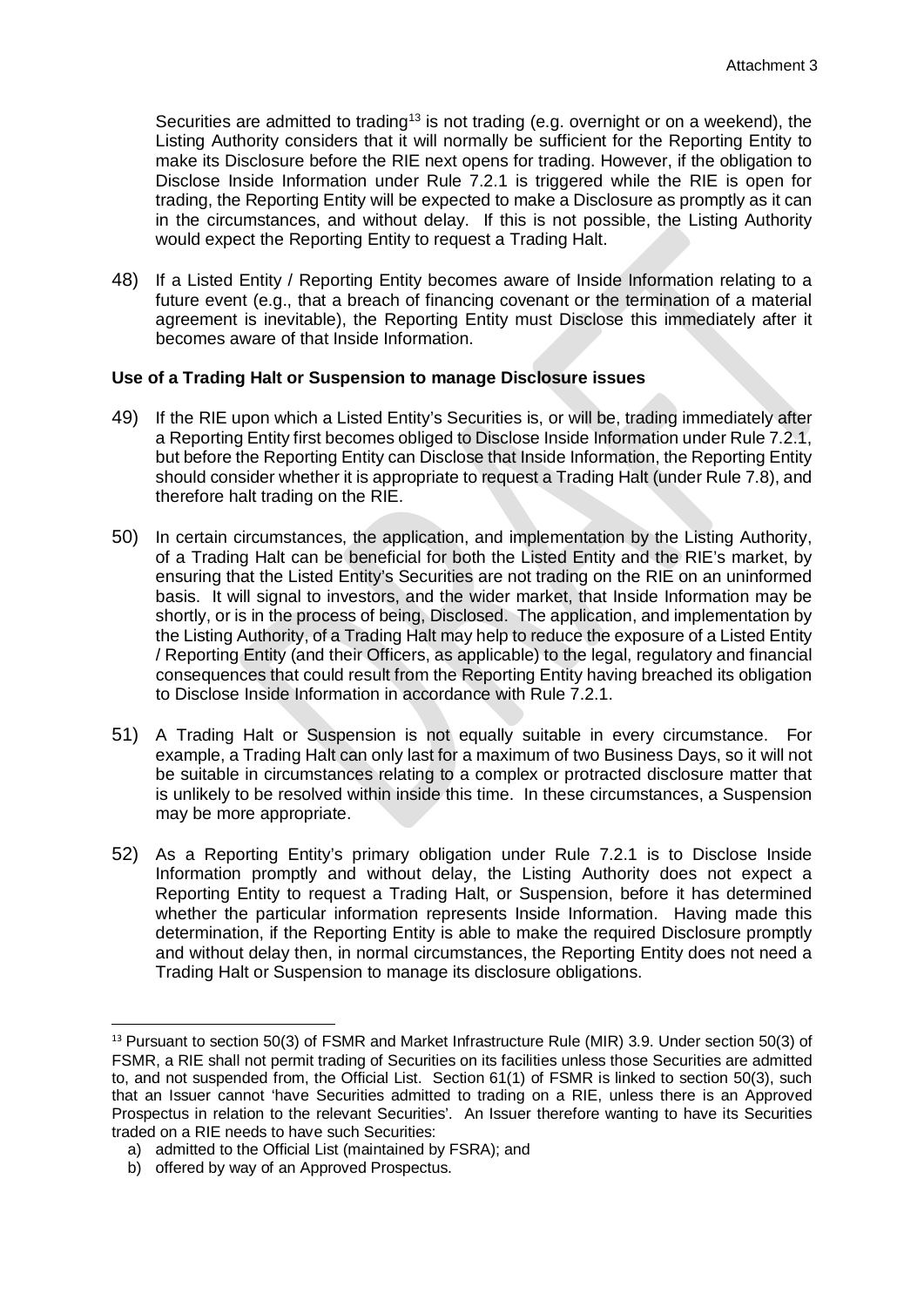Securities are admitted to trading<sup>[13](#page-13-1)</sup> is not trading (e.g. overnight or on a weekend), the Listing Authority considers that it will normally be sufficient for the Reporting Entity to make its Disclosure before the RIE next opens for trading. However, if the obligation to Disclose Inside Information under Rule 7.2.1 is triggered while the RIE is open for trading, the Reporting Entity will be expected to make a Disclosure as promptly as it can in the circumstances, and without delay. If this is not possible, the Listing Authority would expect the Reporting Entity to request a Trading Halt.

48) If a Listed Entity / Reporting Entity becomes aware of Inside Information relating to a future event (e.g., that a breach of financing covenant or the termination of a material agreement is inevitable), the Reporting Entity must Disclose this immediately after it becomes aware of that Inside Information.

## <span id="page-13-0"></span>**Use of a Trading Halt or Suspension to manage Disclosure issues**

- 49) If the RIE upon which a Listed Entity's Securities is, or will be, trading immediately after a Reporting Entity first becomes obliged to Disclose Inside Information under Rule 7.2.1, but before the Reporting Entity can Disclose that Inside Information, the Reporting Entity should consider whether it is appropriate to request a Trading Halt (under Rule 7.8), and therefore halt trading on the RIE.
- 50) In certain circumstances, the application, and implementation by the Listing Authority, of a Trading Halt can be beneficial for both the Listed Entity and the RIE's market, by ensuring that the Listed Entity's Securities are not trading on the RIE on an uninformed basis. It will signal to investors, and the wider market, that Inside Information may be shortly, or is in the process of being, Disclosed. The application, and implementation by the Listing Authority, of a Trading Halt may help to reduce the exposure of a Listed Entity / Reporting Entity (and their Officers, as applicable) to the legal, regulatory and financial consequences that could result from the Reporting Entity having breached its obligation to Disclose Inside Information in accordance with Rule 7.2.1.
- 51) A Trading Halt or Suspension is not equally suitable in every circumstance. For example, a Trading Halt can only last for a maximum of two Business Days, so it will not be suitable in circumstances relating to a complex or protracted disclosure matter that is unlikely to be resolved within inside this time. In these circumstances, a Suspension may be more appropriate.
- 52) As a Reporting Entity's primary obligation under Rule 7.2.1 is to Disclose Inside Information promptly and without delay, the Listing Authority does not expect a Reporting Entity to request a Trading Halt, or Suspension, before it has determined whether the particular information represents Inside Information. Having made this determination, if the Reporting Entity is able to make the required Disclosure promptly and without delay then, in normal circumstances, the Reporting Entity does not need a Trading Halt or Suspension to manage its disclosure obligations.

<span id="page-13-1"></span><sup>&</sup>lt;sup>13</sup> Pursuant to section 50(3) of FSMR and Market Infrastructure Rule (MIR) 3.9. Under section 50(3) of FSMR, a RIE shall not permit trading of Securities on its facilities unless those Securities are admitted to, and not suspended from, the Official List. Section 61(1) of FSMR is linked to section 50(3), such that an Issuer cannot 'have Securities admitted to trading on a RIE, unless there is an Approved Prospectus in relation to the relevant Securities'. An Issuer therefore wanting to have its Securities traded on a RIE needs to have such Securities:

a) admitted to the Official List (maintained by FSRA); and

b) offered by way of an Approved Prospectus.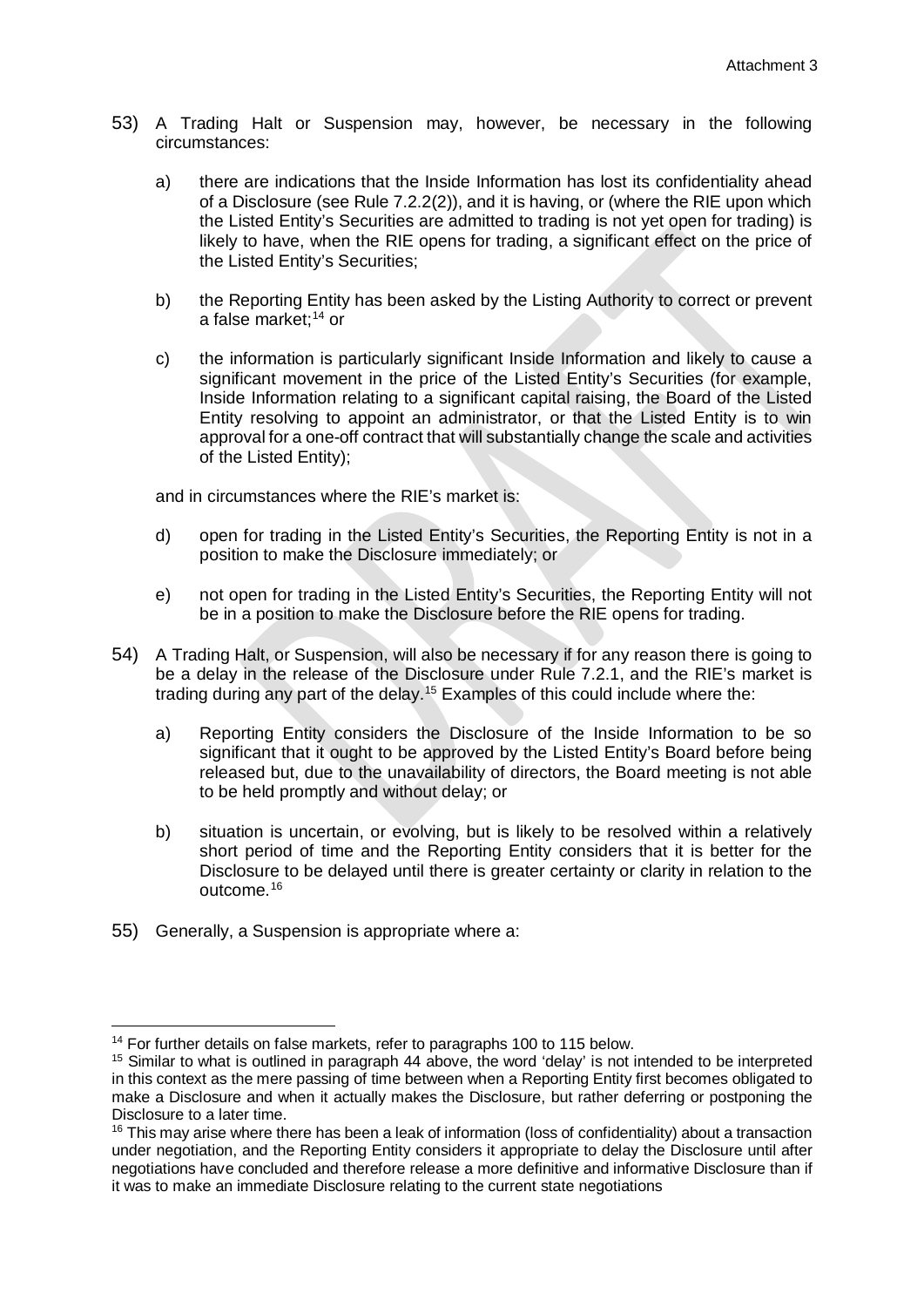- 53) A Trading Halt or Suspension may, however, be necessary in the following circumstances:
	- a) there are indications that the Inside Information has lost its confidentiality ahead of a Disclosure (see Rule 7.2.2(2)), and it is having, or (where the RIE upon which the Listed Entity's Securities are admitted to trading is not yet open for trading) is likely to have, when the RIE opens for trading, a significant effect on the price of the Listed Entity's Securities;
	- b) the Reporting Entity has been asked by the Listing Authority to correct or prevent a false market[;14](#page-14-0) or
	- c) the information is particularly significant Inside Information and likely to cause a significant movement in the price of the Listed Entity's Securities (for example, Inside Information relating to a significant capital raising, the Board of the Listed Entity resolving to appoint an administrator, or that the Listed Entity is to win approval for a one-off contract that will substantially change the scale and activities of the Listed Entity);

and in circumstances where the RIE's market is:

- d) open for trading in the Listed Entity's Securities, the Reporting Entity is not in a position to make the Disclosure immediately; or
- e) not open for trading in the Listed Entity's Securities, the Reporting Entity will not be in a position to make the Disclosure before the RIE opens for trading.
- 54) A Trading Halt, or Suspension, will also be necessary if for any reason there is going to be a delay in the release of the Disclosure under Rule 7.2.1, and the RIE's market is trading during any part of the delay.<sup>[15](#page-14-1)</sup> Examples of this could include where the:
	- a) Reporting Entity considers the Disclosure of the Inside Information to be so significant that it ought to be approved by the Listed Entity's Board before being released but, due to the unavailability of directors, the Board meeting is not able to be held promptly and without delay; or
	- b) situation is uncertain, or evolving, but is likely to be resolved within a relatively short period of time and the Reporting Entity considers that it is better for the Disclosure to be delayed until there is greater certainty or clarity in relation to the outcome. [16](#page-14-2)
- 55) Generally, a Suspension is appropriate where a:

 $\overline{a}$ 

<span id="page-14-0"></span><sup>&</sup>lt;sup>14</sup> For further details on false markets, refer to paragraphs 100 to 115 below.

<span id="page-14-1"></span><sup>&</sup>lt;sup>15</sup> Similar to what is outlined in paragraph 44 above, the word 'delay' is not intended to be interpreted in this context as the mere passing of time between when a Reporting Entity first becomes obligated to make a Disclosure and when it actually makes the Disclosure, but rather deferring or postponing the Disclosure to a later time.

<span id="page-14-2"></span> $16$  This may arise where there has been a leak of information (loss of confidentiality) about a transaction under negotiation, and the Reporting Entity considers it appropriate to delay the Disclosure until after negotiations have concluded and therefore release a more definitive and informative Disclosure than if it was to make an immediate Disclosure relating to the current state negotiations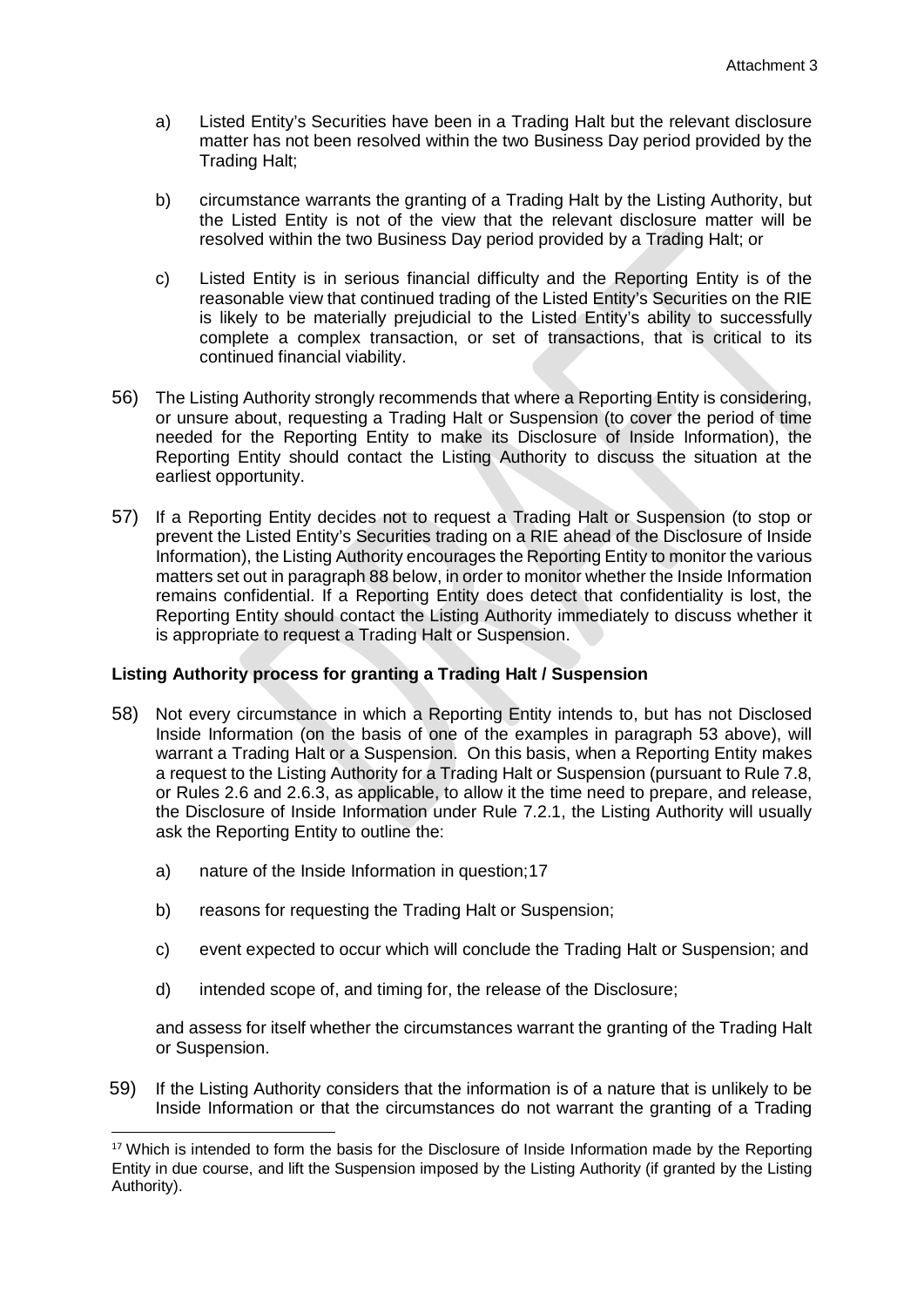- a) Listed Entity's Securities have been in a Trading Halt but the relevant disclosure matter has not been resolved within the two Business Day period provided by the Trading Halt;
- b) circumstance warrants the granting of a Trading Halt by the Listing Authority, but the Listed Entity is not of the view that the relevant disclosure matter will be resolved within the two Business Day period provided by a Trading Halt; or
- c) Listed Entity is in serious financial difficulty and the Reporting Entity is of the reasonable view that continued trading of the Listed Entity's Securities on the RIE is likely to be materially prejudicial to the Listed Entity's ability to successfully complete a complex transaction, or set of transactions, that is critical to its continued financial viability.
- 56) The Listing Authority strongly recommends that where a Reporting Entity is considering, or unsure about, requesting a Trading Halt or Suspension (to cover the period of time needed for the Reporting Entity to make its Disclosure of Inside Information), the Reporting Entity should contact the Listing Authority to discuss the situation at the earliest opportunity.
- 57) If a Reporting Entity decides not to request a Trading Halt or Suspension (to stop or prevent the Listed Entity's Securities trading on a RIE ahead of the Disclosure of Inside Information), the Listing Authority encourages the Reporting Entity to monitor the various matters set out in paragraph 88 below, in order to monitor whether the Inside Information remains confidential. If a Reporting Entity does detect that confidentiality is lost, the Reporting Entity should contact the Listing Authority immediately to discuss whether it is appropriate to request a Trading Halt or Suspension.

# <span id="page-15-0"></span>**Listing Authority process for granting a Trading Halt / Suspension**

- 58) Not every circumstance in which a Reporting Entity intends to, but has not Disclosed Inside Information (on the basis of one of the examples in paragraph 53 above), will warrant a Trading Halt or a Suspension. On this basis, when a Reporting Entity makes a request to the Listing Authority for a Trading Halt or Suspension (pursuant to Rule 7.8, or Rules 2.6 and 2.6.3, as applicable, to allow it the time need to prepare, and release, the Disclosure of Inside Information under Rule 7.2.1, the Listing Authority will usually ask the Reporting Entity to outline the:
	- a) nature of the Inside Information in question;[17](#page-15-1)
	- b) reasons for requesting the Trading Halt or Suspension;
	- c) event expected to occur which will conclude the Trading Halt or Suspension; and
	- d) intended scope of, and timing for, the release of the Disclosure;

and assess for itself whether the circumstances warrant the granting of the Trading Halt or Suspension.

59) If the Listing Authority considers that the information is of a nature that is unlikely to be Inside Information or that the circumstances do not warrant the granting of a Trading

<span id="page-15-1"></span><sup>&</sup>lt;sup>17</sup> Which is intended to form the basis for the Disclosure of Inside Information made by the Reporting Entity in due course, and lift the Suspension imposed by the Listing Authority (if granted by the Listing Authority).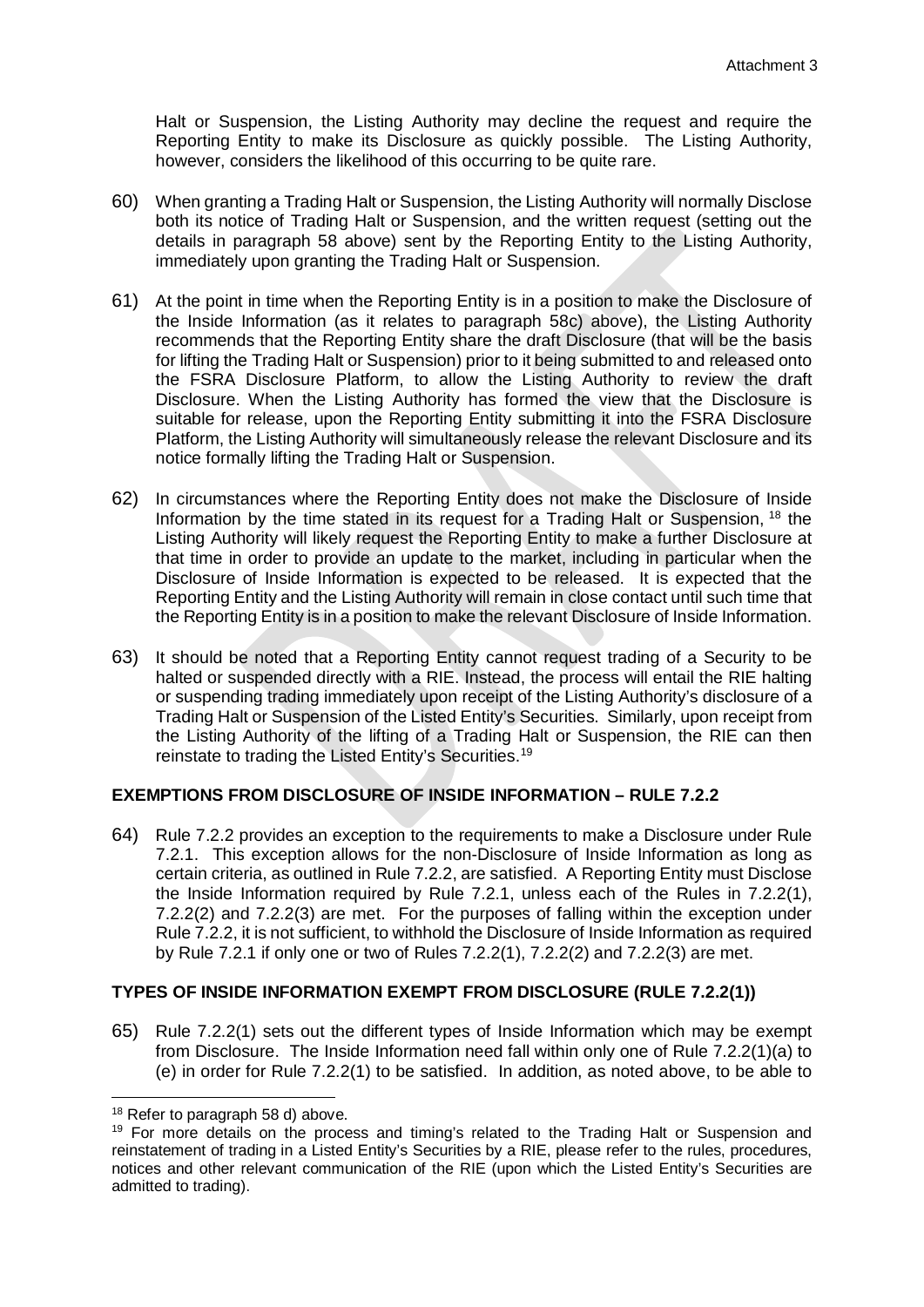Halt or Suspension, the Listing Authority may decline the request and require the Reporting Entity to make its Disclosure as quickly possible. The Listing Authority, however, considers the likelihood of this occurring to be quite rare.

- 60) When granting a Trading Halt or Suspension, the Listing Authority will normally Disclose both its notice of Trading Halt or Suspension, and the written request (setting out the details in paragraph 58 above) sent by the Reporting Entity to the Listing Authority, immediately upon granting the Trading Halt or Suspension.
- 61) At the point in time when the Reporting Entity is in a position to make the Disclosure of the Inside Information (as it relates to paragraph 58c) above), the Listing Authority recommends that the Reporting Entity share the draft Disclosure (that will be the basis for lifting the Trading Halt or Suspension) prior to it being submitted to and released onto the FSRA Disclosure Platform, to allow the Listing Authority to review the draft Disclosure. When the Listing Authority has formed the view that the Disclosure is suitable for release, upon the Reporting Entity submitting it into the FSRA Disclosure Platform, the Listing Authority will simultaneously release the relevant Disclosure and its notice formally lifting the Trading Halt or Suspension.
- 62) In circumstances where the Reporting Entity does not make the Disclosure of Inside Information by the time stated in its request for a Trading Halt or Suspension, [18](#page-16-2) the Listing Authority will likely request the Reporting Entity to make a further Disclosure at that time in order to provide an update to the market, including in particular when the Disclosure of Inside Information is expected to be released. It is expected that the Reporting Entity and the Listing Authority will remain in close contact until such time that the Reporting Entity is in a position to make the relevant Disclosure of Inside Information.
- 63) It should be noted that a Reporting Entity cannot request trading of a Security to be halted or suspended directly with a RIE. Instead, the process will entail the RIE halting or suspending trading immediately upon receipt of the Listing Authority's disclosure of a Trading Halt or Suspension of the Listed Entity's Securities. Similarly, upon receipt from the Listing Authority of the lifting of a Trading Halt or Suspension, the RIE can then reinstate to trading the Listed Entity's Securities.[19](#page-16-3)

# <span id="page-16-0"></span>**EXEMPTIONS FROM DISCLOSURE OF INSIDE INFORMATION – RULE 7.2.2**

64) Rule 7.2.2 provides an exception to the requirements to make a Disclosure under Rule 7.2.1. This exception allows for the non-Disclosure of Inside Information as long as certain criteria, as outlined in Rule 7.2.2, are satisfied. A Reporting Entity must Disclose the Inside Information required by Rule 7.2.1, unless each of the Rules in 7.2.2(1), 7.2.2(2) and 7.2.2(3) are met. For the purposes of falling within the exception under Rule 7.2.2, it is not sufficient, to withhold the Disclosure of Inside Information as required by Rule 7.2.1 if only one or two of Rules 7.2.2(1), 7.2.2(2) and 7.2.2(3) are met.

# <span id="page-16-1"></span>**TYPES OF INSIDE INFORMATION EXEMPT FROM DISCLOSURE (RULE 7.2.2(1))**

65) Rule 7.2.2(1) sets out the different types of Inside Information which may be exempt from Disclosure. The Inside Information need fall within only one of Rule 7.2.2(1)(a) to (e) in order for Rule 7.2.2(1) to be satisfied. In addition, as noted above, to be able to

<sup>&</sup>lt;sup>18</sup> Refer to paragraph 58 d) above.

<span id="page-16-3"></span><span id="page-16-2"></span><sup>&</sup>lt;sup>19</sup> For more details on the process and timing's related to the Trading Halt or Suspension and reinstatement of trading in a Listed Entity's Securities by a RIE, please refer to the rules, procedures, notices and other relevant communication of the RIE (upon which the Listed Entity's Securities are admitted to trading).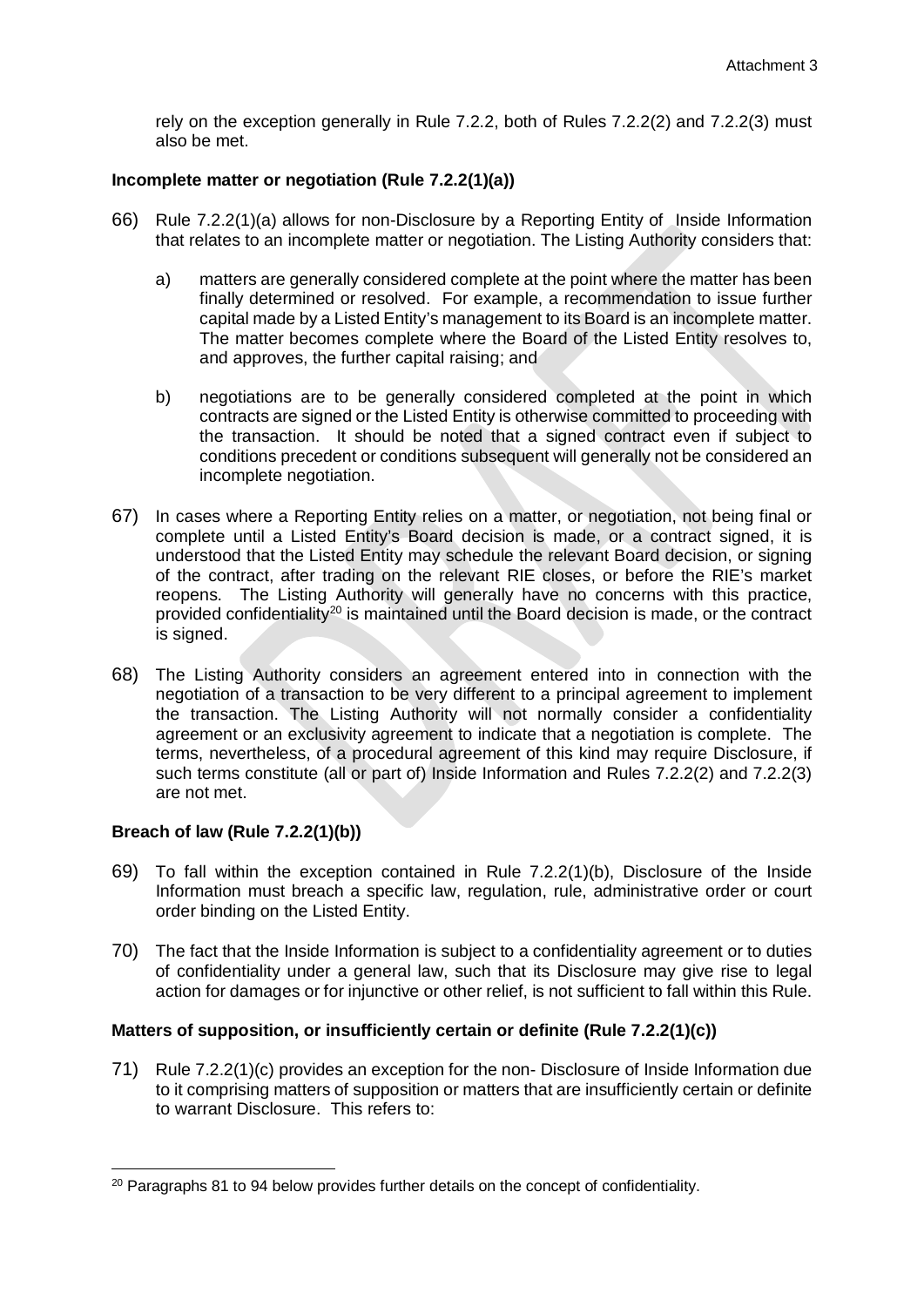rely on the exception generally in Rule 7.2.2, both of Rules 7.2.2(2) and 7.2.2(3) must also be met.

# <span id="page-17-0"></span>**Incomplete matter or negotiation (Rule 7.2.2(1)(a))**

- 66) Rule 7.2.2(1)(a) allows for non-Disclosure by a Reporting Entity of Inside Information that relates to an incomplete matter or negotiation. The Listing Authority considers that:
	- a) matters are generally considered complete at the point where the matter has been finally determined or resolved. For example, a recommendation to issue further capital made by a Listed Entity's management to its Board is an incomplete matter. The matter becomes complete where the Board of the Listed Entity resolves to, and approves, the further capital raising; and
	- b) negotiations are to be generally considered completed at the point in which contracts are signed or the Listed Entity is otherwise committed to proceeding with the transaction. It should be noted that a signed contract even if subject to conditions precedent or conditions subsequent will generally not be considered an incomplete negotiation.
- 67) In cases where a Reporting Entity relies on a matter, or negotiation, not being final or complete until a Listed Entity's Board decision is made, or a contract signed, it is understood that the Listed Entity may schedule the relevant Board decision, or signing of the contract, after trading on the relevant RIE closes, or before the RIE's market reopens. The Listing Authority will generally have no concerns with this practice, provided confidentiality<sup>[20](#page-17-3)</sup> is maintained until the Board decision is made, or the contract is signed.
- 68) The Listing Authority considers an agreement entered into in connection with the negotiation of a transaction to be very different to a principal agreement to implement the transaction. The Listing Authority will not normally consider a confidentiality agreement or an exclusivity agreement to indicate that a negotiation is complete. The terms, nevertheless, of a procedural agreement of this kind may require Disclosure, if such terms constitute (all or part of) Inside Information and Rules 7.2.2(2) and 7.2.2(3) are not met.

# <span id="page-17-1"></span>**Breach of law (Rule 7.2.2(1)(b))**

 $\overline{a}$ 

- 69) To fall within the exception contained in Rule 7.2.2(1)(b), Disclosure of the Inside Information must breach a specific law, regulation, rule, administrative order or court order binding on the Listed Entity.
- 70) The fact that the Inside Information is subject to a confidentiality agreement or to duties of confidentiality under a general law, such that its Disclosure may give rise to legal action for damages or for injunctive or other relief, is not sufficient to fall within this Rule.

# <span id="page-17-2"></span>**Matters of supposition, or insufficiently certain or definite (Rule 7.2.2(1)(c))**

71) Rule 7.2.2(1)(c) provides an exception for the non- Disclosure of Inside Information due to it comprising matters of supposition or matters that are insufficiently certain or definite to warrant Disclosure. This refers to:

<span id="page-17-3"></span><sup>&</sup>lt;sup>20</sup> Paragraphs 81 to 94 below provides further details on the concept of confidentiality.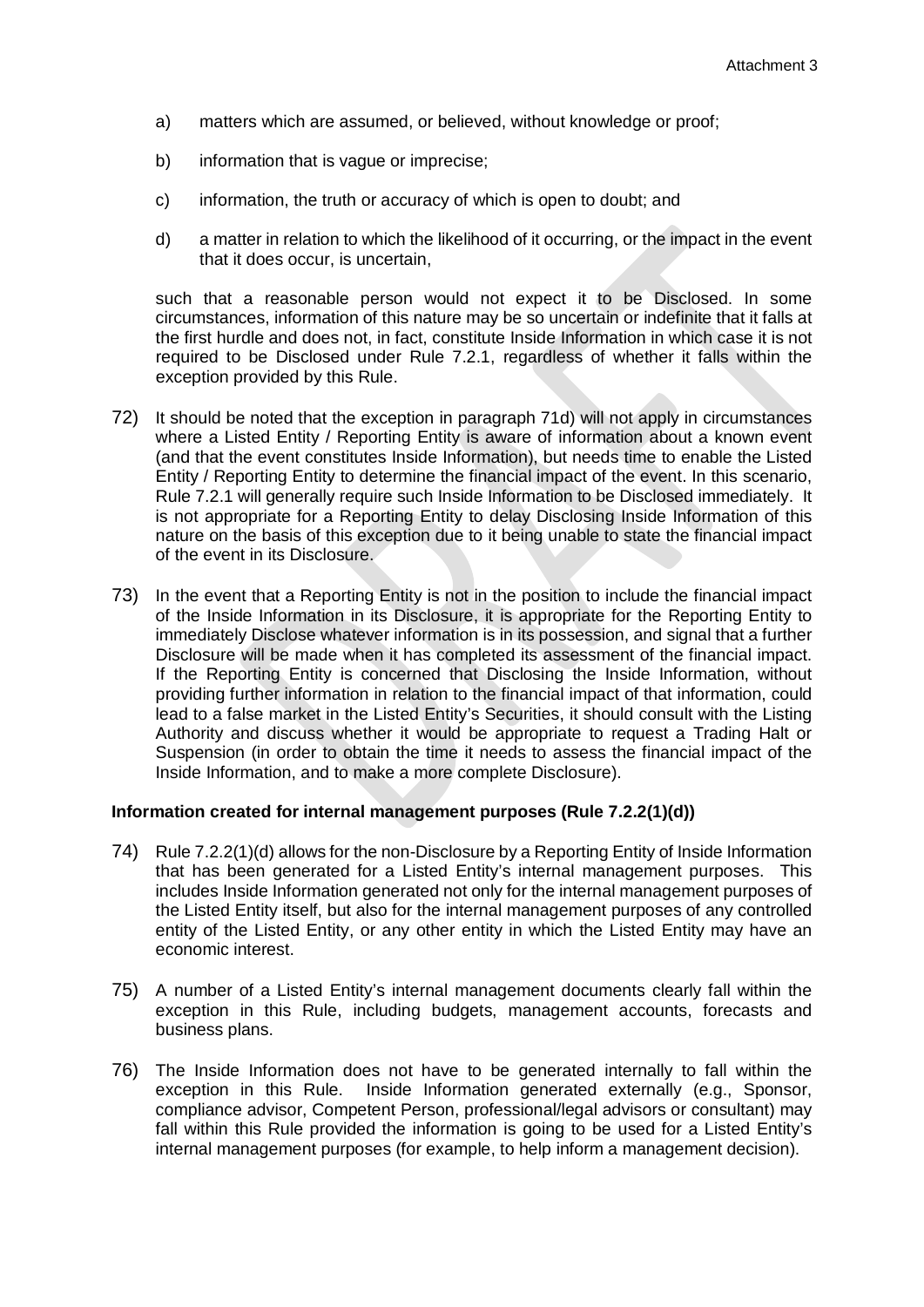- a) matters which are assumed, or believed, without knowledge or proof;
- b) information that is vague or imprecise;
- c) information, the truth or accuracy of which is open to doubt; and
- d) a matter in relation to which the likelihood of it occurring, or the impact in the event that it does occur, is uncertain,

such that a reasonable person would not expect it to be Disclosed. In some circumstances, information of this nature may be so uncertain or indefinite that it falls at the first hurdle and does not, in fact, constitute Inside Information in which case it is not required to be Disclosed under Rule 7.2.1, regardless of whether it falls within the exception provided by this Rule.

- 72) It should be noted that the exception in paragraph 71d) will not apply in circumstances where a Listed Entity / Reporting Entity is aware of information about a known event (and that the event constitutes Inside Information), but needs time to enable the Listed Entity / Reporting Entity to determine the financial impact of the event. In this scenario, Rule 7.2.1 will generally require such Inside Information to be Disclosed immediately. It is not appropriate for a Reporting Entity to delay Disclosing Inside Information of this nature on the basis of this exception due to it being unable to state the financial impact of the event in its Disclosure.
- 73) In the event that a Reporting Entity is not in the position to include the financial impact of the Inside Information in its Disclosure, it is appropriate for the Reporting Entity to immediately Disclose whatever information is in its possession, and signal that a further Disclosure will be made when it has completed its assessment of the financial impact. If the Reporting Entity is concerned that Disclosing the Inside Information, without providing further information in relation to the financial impact of that information, could lead to a false market in the Listed Entity's Securities, it should consult with the Listing Authority and discuss whether it would be appropriate to request a Trading Halt or Suspension (in order to obtain the time it needs to assess the financial impact of the Inside Information, and to make a more complete Disclosure).

#### <span id="page-18-0"></span>**Information created for internal management purposes (Rule 7.2.2(1)(d))**

- 74) Rule 7.2.2(1)(d) allows for the non-Disclosure by a Reporting Entity of Inside Information that has been generated for a Listed Entity's internal management purposes. This includes Inside Information generated not only for the internal management purposes of the Listed Entity itself, but also for the internal management purposes of any controlled entity of the Listed Entity, or any other entity in which the Listed Entity may have an economic interest.
- 75) A number of a Listed Entity's internal management documents clearly fall within the exception in this Rule, including budgets, management accounts, forecasts and business plans.
- 76) The Inside Information does not have to be generated internally to fall within the exception in this Rule. Inside Information generated externally (e.g., Sponsor, compliance advisor, Competent Person, professional/legal advisors or consultant) may fall within this Rule provided the information is going to be used for a Listed Entity's internal management purposes (for example, to help inform a management decision).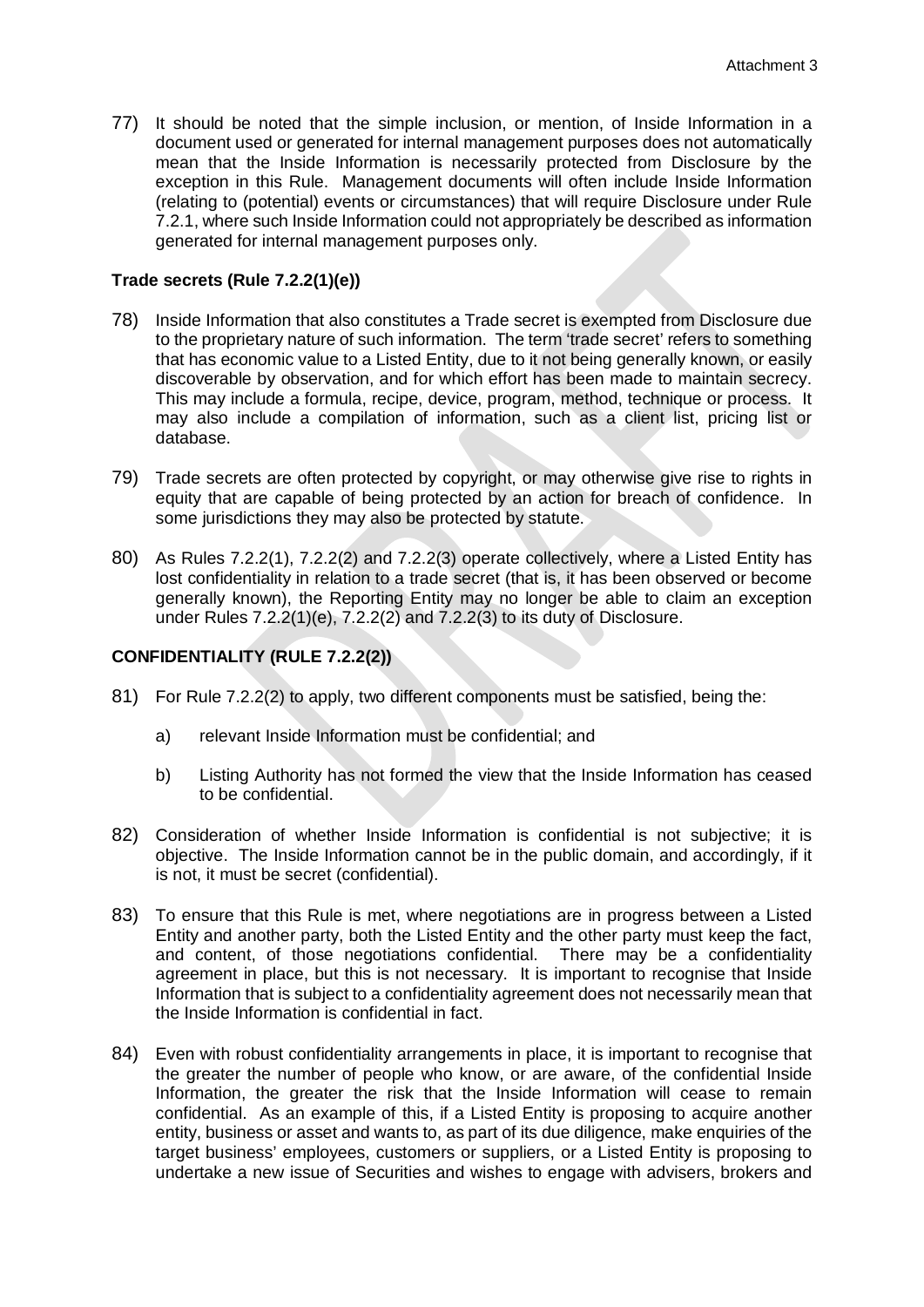77) It should be noted that the simple inclusion, or mention, of Inside Information in a document used or generated for internal management purposes does not automatically mean that the Inside Information is necessarily protected from Disclosure by the exception in this Rule. Management documents will often include Inside Information (relating to (potential) events or circumstances) that will require Disclosure under Rule 7.2.1, where such Inside Information could not appropriately be described as information generated for internal management purposes only.

# <span id="page-19-0"></span>**Trade secrets (Rule 7.2.2(1)(e))**

- 78) Inside Information that also constitutes a Trade secret is exempted from Disclosure due to the proprietary nature of such information. The term 'trade secret' refers to something that has economic value to a Listed Entity, due to it not being generally known, or easily discoverable by observation, and for which effort has been made to maintain secrecy. This may include a formula, recipe, device, program, method, technique or process. It may also include a compilation of information, such as a client list, pricing list or database.
- 79) Trade secrets are often protected by copyright, or may otherwise give rise to rights in equity that are capable of being protected by an action for breach of confidence. In some jurisdictions they may also be protected by statute.
- 80) As Rules 7.2.2(1), 7.2.2(2) and 7.2.2(3) operate collectively, where a Listed Entity has lost confidentiality in relation to a trade secret (that is, it has been observed or become generally known), the Reporting Entity may no longer be able to claim an exception under Rules 7.2.2(1)(e), 7.2.2(2) and 7.2.2(3) to its duty of Disclosure.

# <span id="page-19-1"></span>**CONFIDENTIALITY (RULE 7.2.2(2))**

- 81) For Rule 7.2.2(2) to apply, two different components must be satisfied, being the:
	- a) relevant Inside Information must be confidential; and
	- b) Listing Authority has not formed the view that the Inside Information has ceased to be confidential.
- 82) Consideration of whether Inside Information is confidential is not subjective; it is objective. The Inside Information cannot be in the public domain, and accordingly, if it is not, it must be secret (confidential).
- 83) To ensure that this Rule is met, where negotiations are in progress between a Listed Entity and another party, both the Listed Entity and the other party must keep the fact, and content, of those negotiations confidential. There may be a confidentiality agreement in place, but this is not necessary. It is important to recognise that Inside Information that is subject to a confidentiality agreement does not necessarily mean that the Inside Information is confidential in fact.
- 84) Even with robust confidentiality arrangements in place, it is important to recognise that the greater the number of people who know, or are aware, of the confidential Inside Information, the greater the risk that the Inside Information will cease to remain confidential. As an example of this, if a Listed Entity is proposing to acquire another entity, business or asset and wants to, as part of its due diligence, make enquiries of the target business' employees, customers or suppliers, or a Listed Entity is proposing to undertake a new issue of Securities and wishes to engage with advisers, brokers and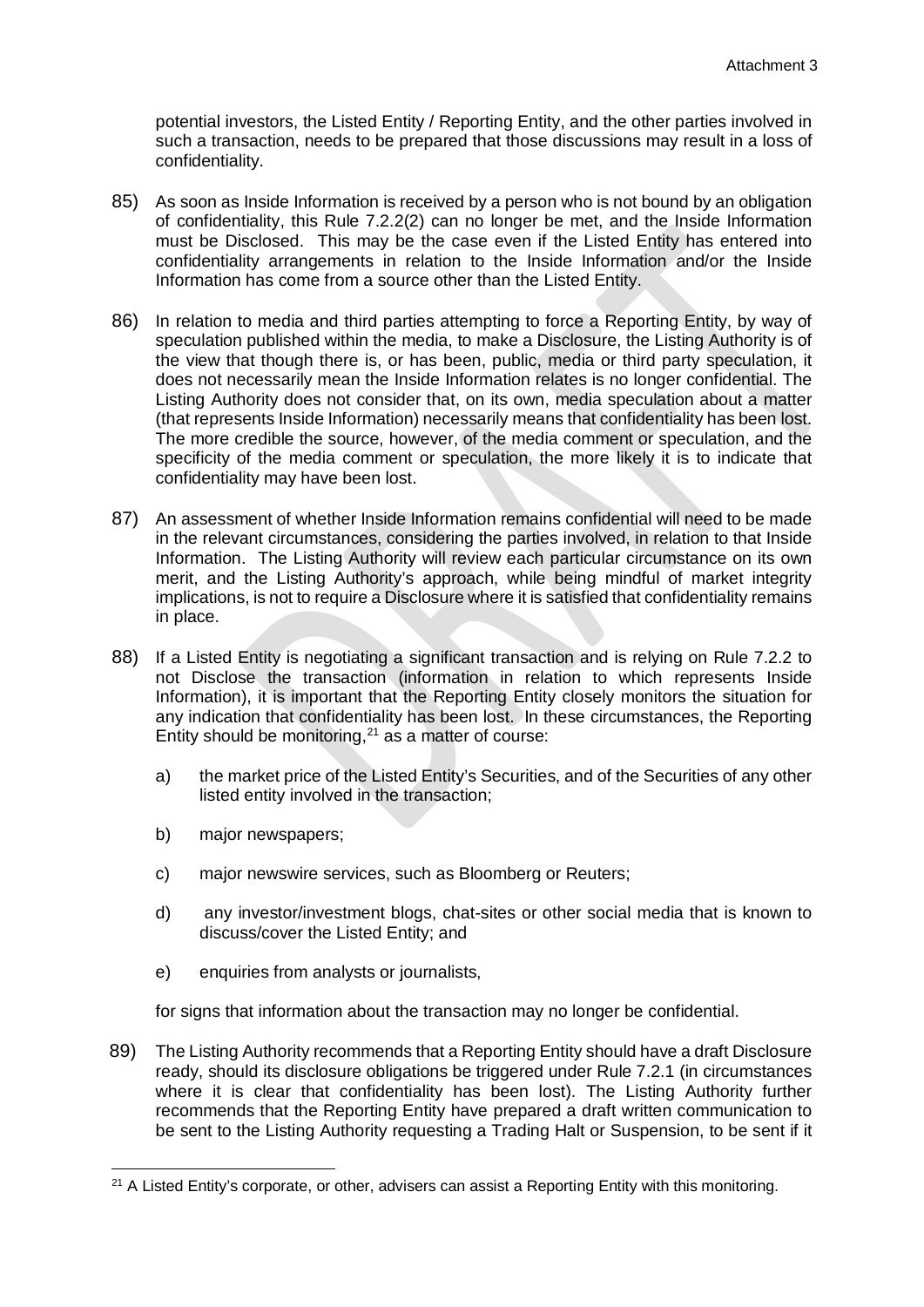potential investors, the Listed Entity / Reporting Entity, and the other parties involved in such a transaction, needs to be prepared that those discussions may result in a loss of confidentiality.

- 85) As soon as Inside Information is received by a person who is not bound by an obligation of confidentiality, this Rule 7.2.2(2) can no longer be met, and the Inside Information must be Disclosed. This may be the case even if the Listed Entity has entered into confidentiality arrangements in relation to the Inside Information and/or the Inside Information has come from a source other than the Listed Entity.
- 86) In relation to media and third parties attempting to force a Reporting Entity, by way of speculation published within the media, to make a Disclosure, the Listing Authority is of the view that though there is, or has been, public, media or third party speculation, it does not necessarily mean the Inside Information relates is no longer confidential. The Listing Authority does not consider that, on its own, media speculation about a matter (that represents Inside Information) necessarily means that confidentiality has been lost. The more credible the source, however, of the media comment or speculation, and the specificity of the media comment or speculation, the more likely it is to indicate that confidentiality may have been lost.
- 87) An assessment of whether Inside Information remains confidential will need to be made in the relevant circumstances, considering the parties involved, in relation to that Inside Information. The Listing Authority will review each particular circumstance on its own merit, and the Listing Authority's approach, while being mindful of market integrity implications, is not to require a Disclosure where it is satisfied that confidentiality remains in place.
- 88) If a Listed Entity is negotiating a significant transaction and is relying on Rule 7.2.2 to not Disclose the transaction (information in relation to which represents Inside Information), it is important that the Reporting Entity closely monitors the situation for any indication that confidentiality has been lost. In these circumstances, the Reporting Entity should be monitoring, [21](#page-20-0) as a matter of course:
	- a) the market price of the Listed Entity's Securities, and of the Securities of any other listed entity involved in the transaction;
	- b) major newspapers;

 $\overline{a}$ 

- c) major newswire services, such as Bloomberg or Reuters;
- d) any investor/investment blogs, chat-sites or other social media that is known to discuss/cover the Listed Entity; and
- e) enquiries from analysts or journalists,

for signs that information about the transaction may no longer be confidential.

89) The Listing Authority recommends that a Reporting Entity should have a draft Disclosure ready, should its disclosure obligations be triggered under Rule 7.2.1 (in circumstances where it is clear that confidentiality has been lost). The Listing Authority further recommends that the Reporting Entity have prepared a draft written communication to be sent to the Listing Authority requesting a Trading Halt or Suspension, to be sent if it

<span id="page-20-0"></span><sup>&</sup>lt;sup>21</sup> A Listed Entity's corporate, or other, advisers can assist a Reporting Entity with this monitoring.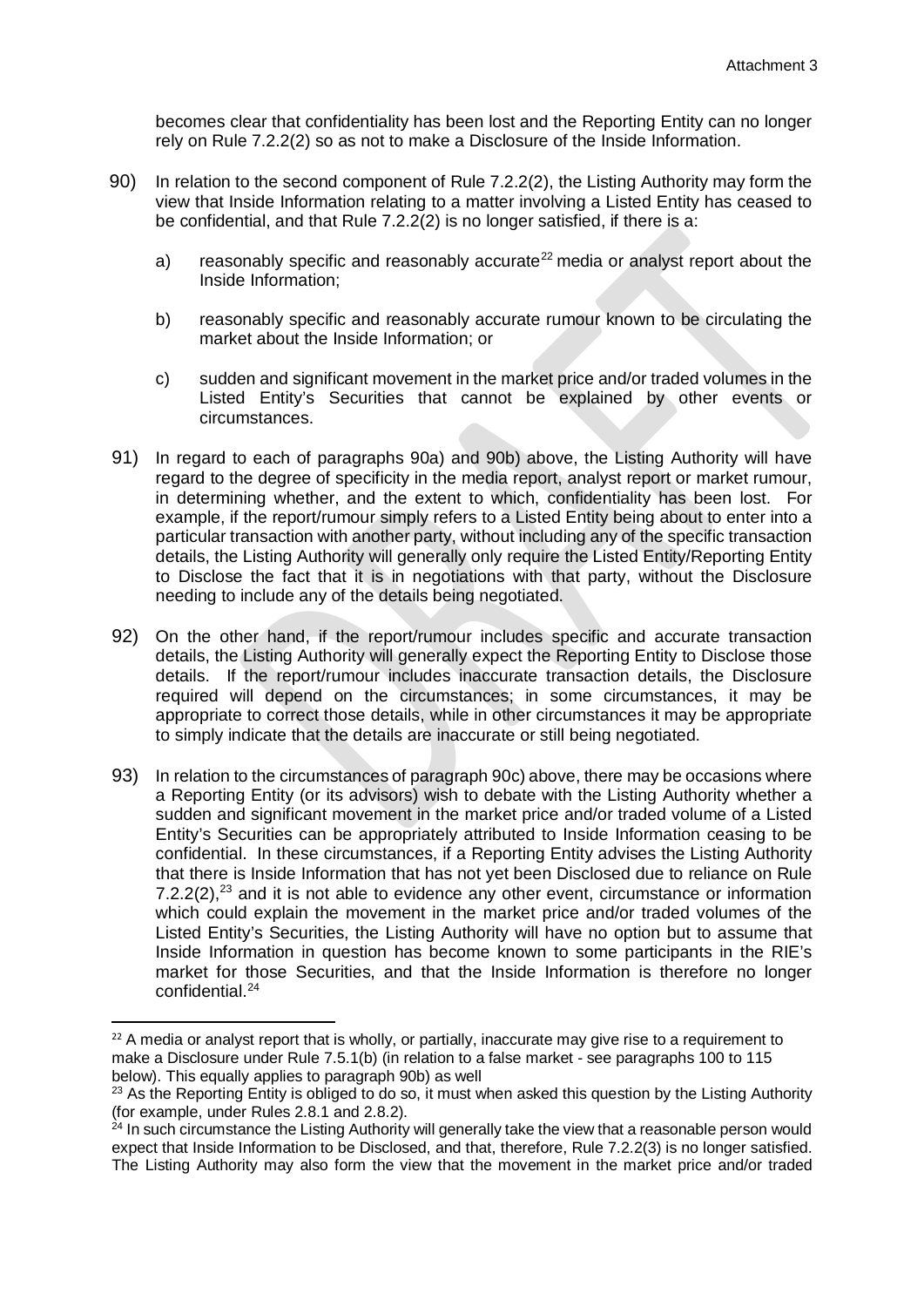becomes clear that confidentiality has been lost and the Reporting Entity can no longer rely on Rule 7.2.2(2) so as not to make a Disclosure of the Inside Information.

- 90) In relation to the second component of Rule 7.2.2(2), the Listing Authority may form the view that Inside Information relating to a matter involving a Listed Entity has ceased to be confidential, and that Rule 7.2.2(2) is no longer satisfied, if there is a:
	- a) reasonably specific and reasonably accurate<sup>[22](#page-21-0)</sup> media or analyst report about the Inside Information;
	- b) reasonably specific and reasonably accurate rumour known to be circulating the market about the Inside Information; or
	- c) sudden and significant movement in the market price and/or traded volumes in the Listed Entity's Securities that cannot be explained by other events or circumstances.
- 91) In regard to each of paragraphs 90a) and 90b) above, the Listing Authority will have regard to the degree of specificity in the media report, analyst report or market rumour, in determining whether, and the extent to which, confidentiality has been lost. For example, if the report/rumour simply refers to a Listed Entity being about to enter into a particular transaction with another party, without including any of the specific transaction details, the Listing Authority will generally only require the Listed Entity/Reporting Entity to Disclose the fact that it is in negotiations with that party, without the Disclosure needing to include any of the details being negotiated.
- 92) On the other hand, if the report/rumour includes specific and accurate transaction details, the Listing Authority will generally expect the Reporting Entity to Disclose those details. If the report/rumour includes inaccurate transaction details, the Disclosure required will depend on the circumstances; in some circumstances, it may be appropriate to correct those details, while in other circumstances it may be appropriate to simply indicate that the details are inaccurate or still being negotiated.
- 93) In relation to the circumstances of paragraph 90c) above, there may be occasions where a Reporting Entity (or its advisors) wish to debate with the Listing Authority whether a sudden and significant movement in the market price and/or traded volume of a Listed Entity's Securities can be appropriately attributed to Inside Information ceasing to be confidential. In these circumstances, if a Reporting Entity advises the Listing Authority that there is Inside Information that has not yet been Disclosed due to reliance on Rule 7.2.2(2),<sup>[23](#page-21-1)</sup> and it is not able to evidence any other event, circumstance or information which could explain the movement in the market price and/or traded volumes of the Listed Entity's Securities, the Listing Authority will have no option but to assume that Inside Information in question has become known to some participants in the RIE's market for those Securities, and that the Inside Information is therefore no longer confidential.[24](#page-21-2)

<span id="page-21-0"></span><sup>&</sup>lt;sup>22</sup> A media or analyst report that is wholly, or partially, inaccurate may give rise to a requirement to make a Disclosure under Rule 7.5.1(b) (in relation to a false market - see paragraphs 100 to 115 below). This equally applies to paragraph 90b) as well

<span id="page-21-1"></span><sup>&</sup>lt;sup>23</sup> As the Reporting Entity is obliged to do so, it must when asked this question by the Listing Authority (for example, under Rules 2.8.1 and 2.8.2).

<span id="page-21-2"></span> $24$  In such circumstance the Listing Authority will generally take the view that a reasonable person would expect that Inside Information to be Disclosed, and that, therefore, Rule 7.2.2(3) is no longer satisfied. The Listing Authority may also form the view that the movement in the market price and/or traded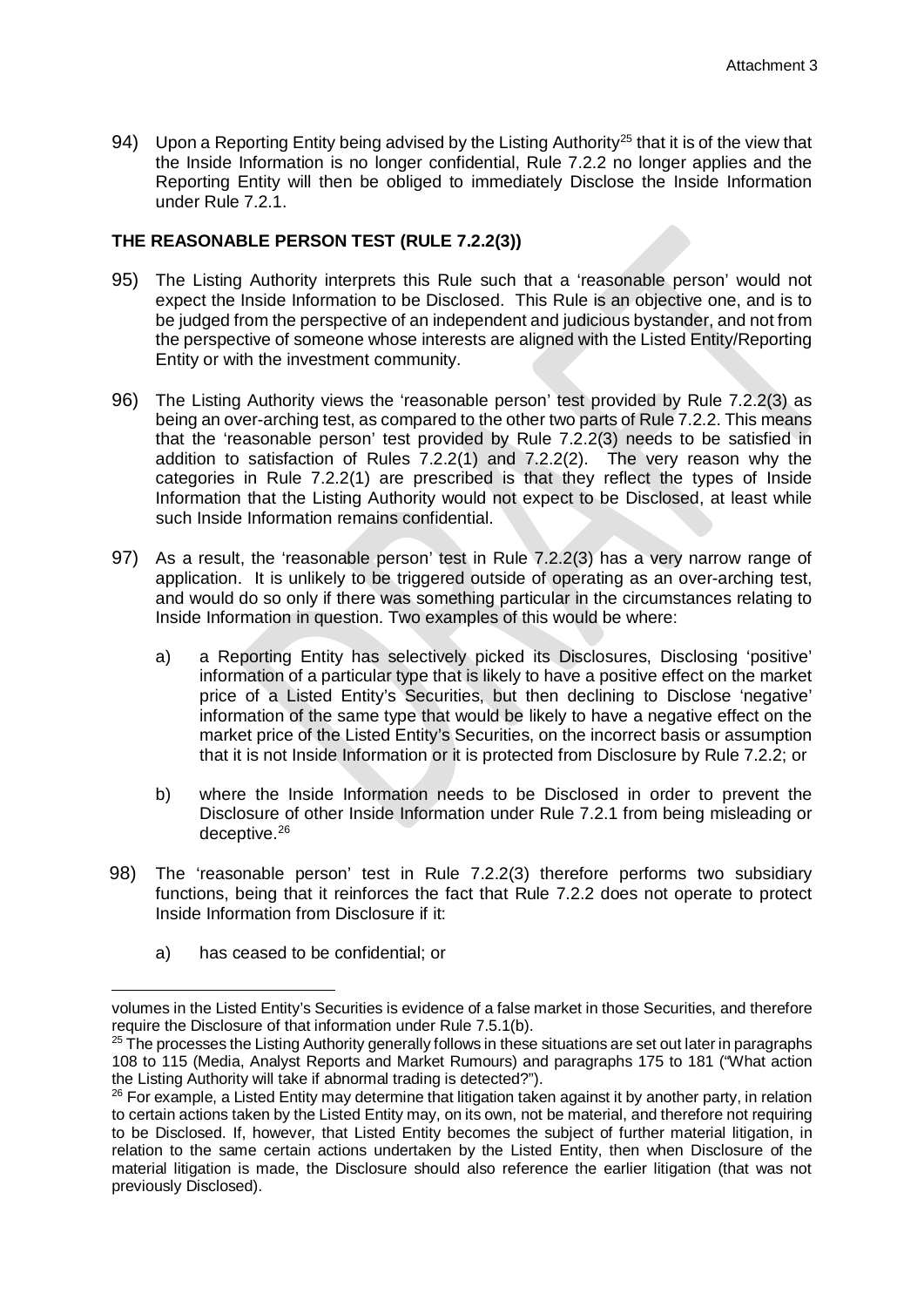94) Upon a Reporting Entity being advised by the Listing Authority<sup>[25](#page-22-1)</sup> that it is of the view that the Inside Information is no longer confidential, Rule 7.2.2 no longer applies and the Reporting Entity will then be obliged to immediately Disclose the Inside Information under Rule 7.2.1.

# <span id="page-22-0"></span>**THE REASONABLE PERSON TEST (RULE 7.2.2(3))**

- 95) The Listing Authority interprets this Rule such that a 'reasonable person' would not expect the Inside Information to be Disclosed. This Rule is an objective one, and is to be judged from the perspective of an independent and judicious bystander, and not from the perspective of someone whose interests are aligned with the Listed Entity/Reporting Entity or with the investment community.
- 96) The Listing Authority views the 'reasonable person' test provided by Rule 7.2.2(3) as being an over-arching test, as compared to the other two parts of Rule 7.2.2. This means that the 'reasonable person' test provided by Rule 7.2.2(3) needs to be satisfied in addition to satisfaction of Rules 7.2.2(1) and 7.2.2(2). The very reason why the categories in Rule 7.2.2(1) are prescribed is that they reflect the types of Inside Information that the Listing Authority would not expect to be Disclosed, at least while such Inside Information remains confidential.
- 97) As a result, the 'reasonable person' test in Rule 7.2.2(3) has a very narrow range of application. It is unlikely to be triggered outside of operating as an over-arching test, and would do so only if there was something particular in the circumstances relating to Inside Information in question. Two examples of this would be where:
	- a) a Reporting Entity has selectively picked its Disclosures, Disclosing 'positive' information of a particular type that is likely to have a positive effect on the market price of a Listed Entity's Securities, but then declining to Disclose 'negative' information of the same type that would be likely to have a negative effect on the market price of the Listed Entity's Securities, on the incorrect basis or assumption that it is not Inside Information or it is protected from Disclosure by Rule 7.2.2; or
	- b) where the Inside Information needs to be Disclosed in order to prevent the Disclosure of other Inside Information under Rule 7.2.1 from being misleading or deceptive.<sup>[26](#page-22-2)</sup>
- 98) The 'reasonable person' test in Rule 7.2.2(3) therefore performs two subsidiary functions, being that it reinforces the fact that Rule 7.2.2 does not operate to protect Inside Information from Disclosure if it:
	- a) has ceased to be confidential; or

volumes in the Listed Entity's Securities is evidence of a false market in those Securities, and therefore require the Disclosure of that information under Rule 7.5.1(b).

<span id="page-22-1"></span> $25$  The processes the Listing Authority generally follows in these situations are set out later in paragraphs 108 to 115 (Media, Analyst Reports and Market Rumours) and paragraphs 175 to 181 ("What action the Listing Authority will take if abnormal trading is detected?").

<span id="page-22-2"></span><sup>&</sup>lt;sup>26</sup> For example, a Listed Entity may determine that litigation taken against it by another party, in relation to certain actions taken by the Listed Entity may, on its own, not be material, and therefore not requiring to be Disclosed. If, however, that Listed Entity becomes the subject of further material litigation, in relation to the same certain actions undertaken by the Listed Entity, then when Disclosure of the material litigation is made, the Disclosure should also reference the earlier litigation (that was not previously Disclosed).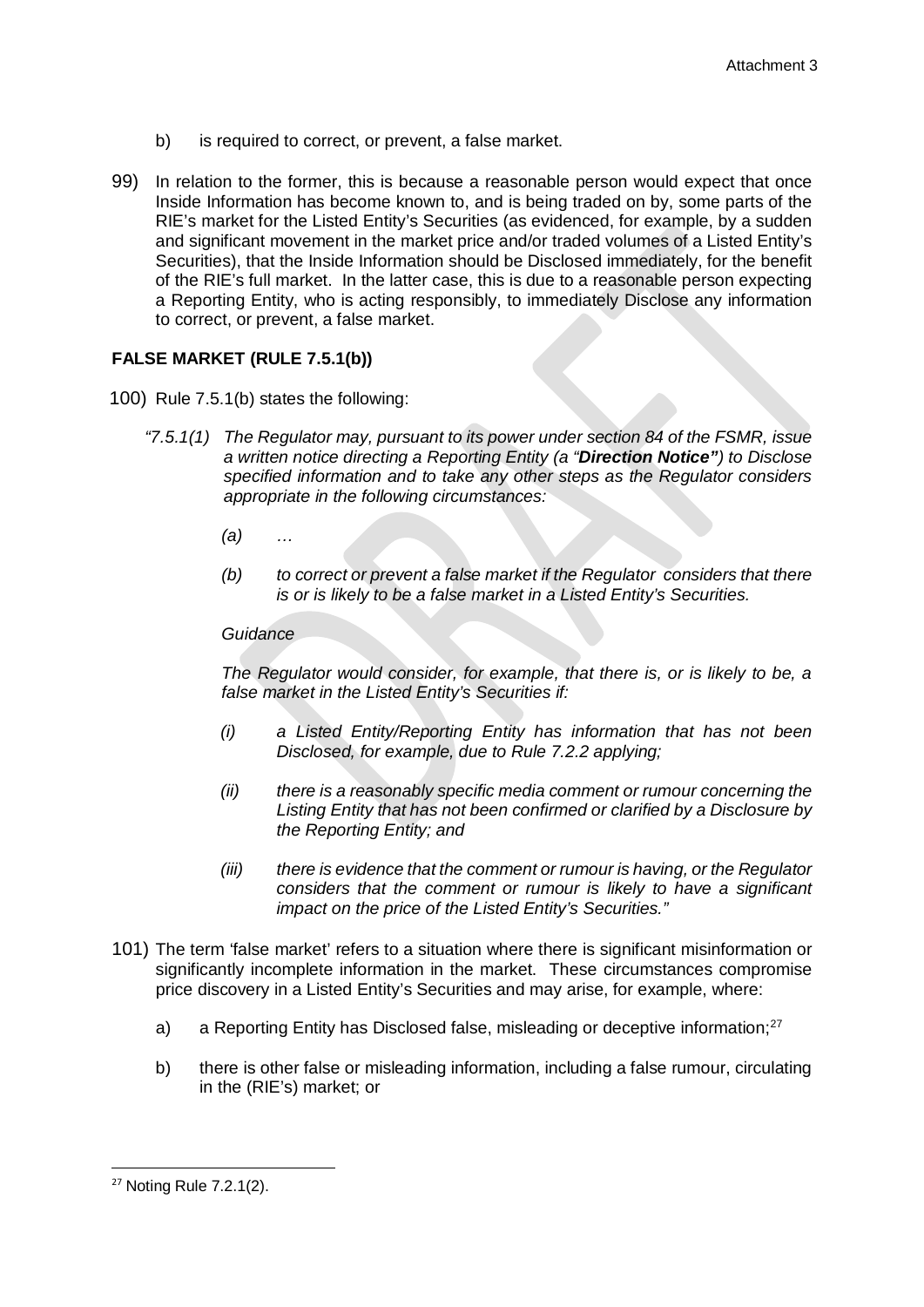- b) is required to correct, or prevent, a false market.
- 99) In relation to the former, this is because a reasonable person would expect that once Inside Information has become known to, and is being traded on by, some parts of the RIE's market for the Listed Entity's Securities (as evidenced, for example, by a sudden and significant movement in the market price and/or traded volumes of a Listed Entity's Securities), that the Inside Information should be Disclosed immediately, for the benefit of the RIE's full market. In the latter case, this is due to a reasonable person expecting a Reporting Entity, who is acting responsibly, to immediately Disclose any information to correct, or prevent, a false market.

# <span id="page-23-0"></span>**FALSE MARKET (RULE 7.5.1(b))**

- 100) Rule 7.5.1(b) states the following:
	- *"7.5.1(1) The Regulator may, pursuant to its power under section 84 of the FSMR, issue a written notice directing a Reporting Entity (a "Direction Notice") to Disclose specified information and to take any other steps as the Regulator considers appropriate in the following circumstances:* 
		- *(a) …*
		- *(b) to correct or prevent a false market if the Regulator considers that there is or is likely to be a false market in a Listed Entity's Securities.*

## *Guidance*

*The Regulator would consider, for example, that there is, or is likely to be, a false market in the Listed Entity's Securities if:*

- *(i) a Listed Entity/Reporting Entity has information that has not been Disclosed, for example, due to Rule 7.2.2 applying;*
- *(ii) there is a reasonably specific media comment or rumour concerning the Listing Entity that has not been confirmed or clarified by a Disclosure by the Reporting Entity; and*
- *(iii) there is evidence that the comment or rumour is having, or the Regulator considers that the comment or rumour is likely to have a significant impact on the price of the Listed Entity's Securities."*
- 101) The term 'false market' refers to a situation where there is significant misinformation or significantly incomplete information in the market. These circumstances compromise price discovery in a Listed Entity's Securities and may arise, for example, where:
	- a) a Reporting Entity has Disclosed false, misleading or deceptive information;<sup>[27](#page-23-1)</sup>
	- b) there is other false or misleading information, including a false rumour, circulating in the (RIE's) market; or

<span id="page-23-1"></span> <sup>27</sup> Noting Rule 7.2.1(2).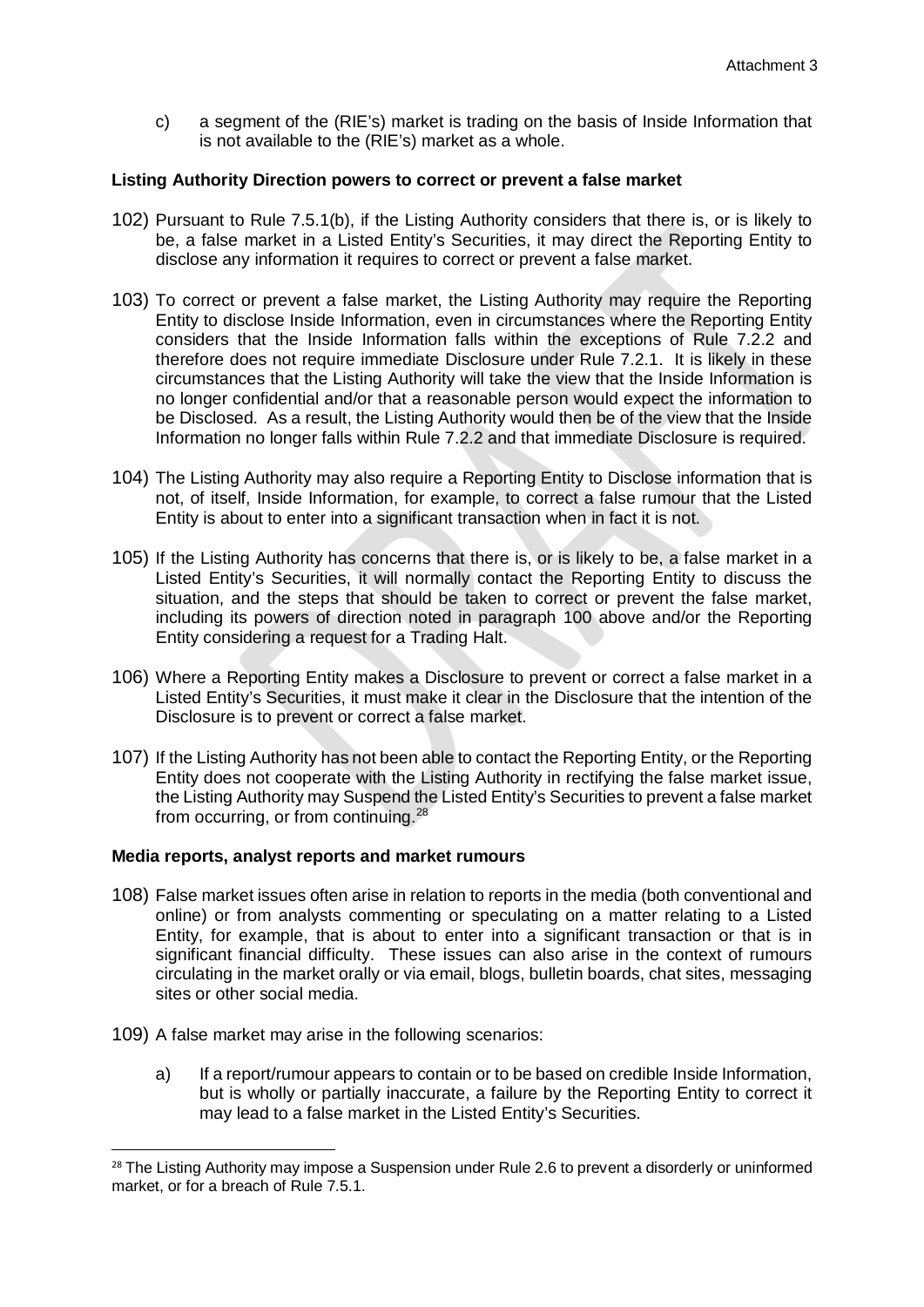c) a segment of the (RIE's) market is trading on the basis of Inside Information that is not available to the (RIE's) market as a whole.

## <span id="page-24-0"></span>**Listing Authority Direction powers to correct or prevent a false market**

- 102) Pursuant to Rule 7.5.1(b), if the Listing Authority considers that there is, or is likely to be, a false market in a Listed Entity's Securities, it may direct the Reporting Entity to disclose any information it requires to correct or prevent a false market.
- 103) To correct or prevent a false market, the Listing Authority may require the Reporting Entity to disclose Inside Information, even in circumstances where the Reporting Entity considers that the Inside Information falls within the exceptions of Rule 7.2.2 and therefore does not require immediate Disclosure under Rule 7.2.1. It is likely in these circumstances that the Listing Authority will take the view that the Inside Information is no longer confidential and/or that a reasonable person would expect the information to be Disclosed. As a result, the Listing Authority would then be of the view that the Inside Information no longer falls within Rule 7.2.2 and that immediate Disclosure is required.
- 104) The Listing Authority may also require a Reporting Entity to Disclose information that is not, of itself, Inside Information, for example, to correct a false rumour that the Listed Entity is about to enter into a significant transaction when in fact it is not.
- 105) If the Listing Authority has concerns that there is, or is likely to be, a false market in a Listed Entity's Securities, it will normally contact the Reporting Entity to discuss the situation, and the steps that should be taken to correct or prevent the false market, including its powers of direction noted in paragraph 100 above and/or the Reporting Entity considering a request for a Trading Halt.
- 106) Where a Reporting Entity makes a Disclosure to prevent or correct a false market in a Listed Entity's Securities, it must make it clear in the Disclosure that the intention of the Disclosure is to prevent or correct a false market.
- 107) If the Listing Authority has not been able to contact the Reporting Entity, or the Reporting Entity does not cooperate with the Listing Authority in rectifying the false market issue, the Listing Authority may Suspend the Listed Entity's Securities to prevent a false market from occurring, or from continuing[.28](#page-24-2)

#### <span id="page-24-1"></span>**Media reports, analyst reports and market rumours**

- 108) False market issues often arise in relation to reports in the media (both conventional and online) or from analysts commenting or speculating on a matter relating to a Listed Entity, for example, that is about to enter into a significant transaction or that is in significant financial difficulty. These issues can also arise in the context of rumours circulating in the market orally or via email, blogs, bulletin boards, chat sites, messaging sites or other social media.
- 109) A false market may arise in the following scenarios:
	- a) If a report/rumour appears to contain or to be based on credible Inside Information, but is wholly or partially inaccurate, a failure by the Reporting Entity to correct it may lead to a false market in the Listed Entity's Securities.

<span id="page-24-2"></span><sup>&</sup>lt;sup>28</sup> The Listing Authority may impose a Suspension under Rule 2.6 to prevent a disorderly or uninformed market, or for a breach of Rule 7.5.1.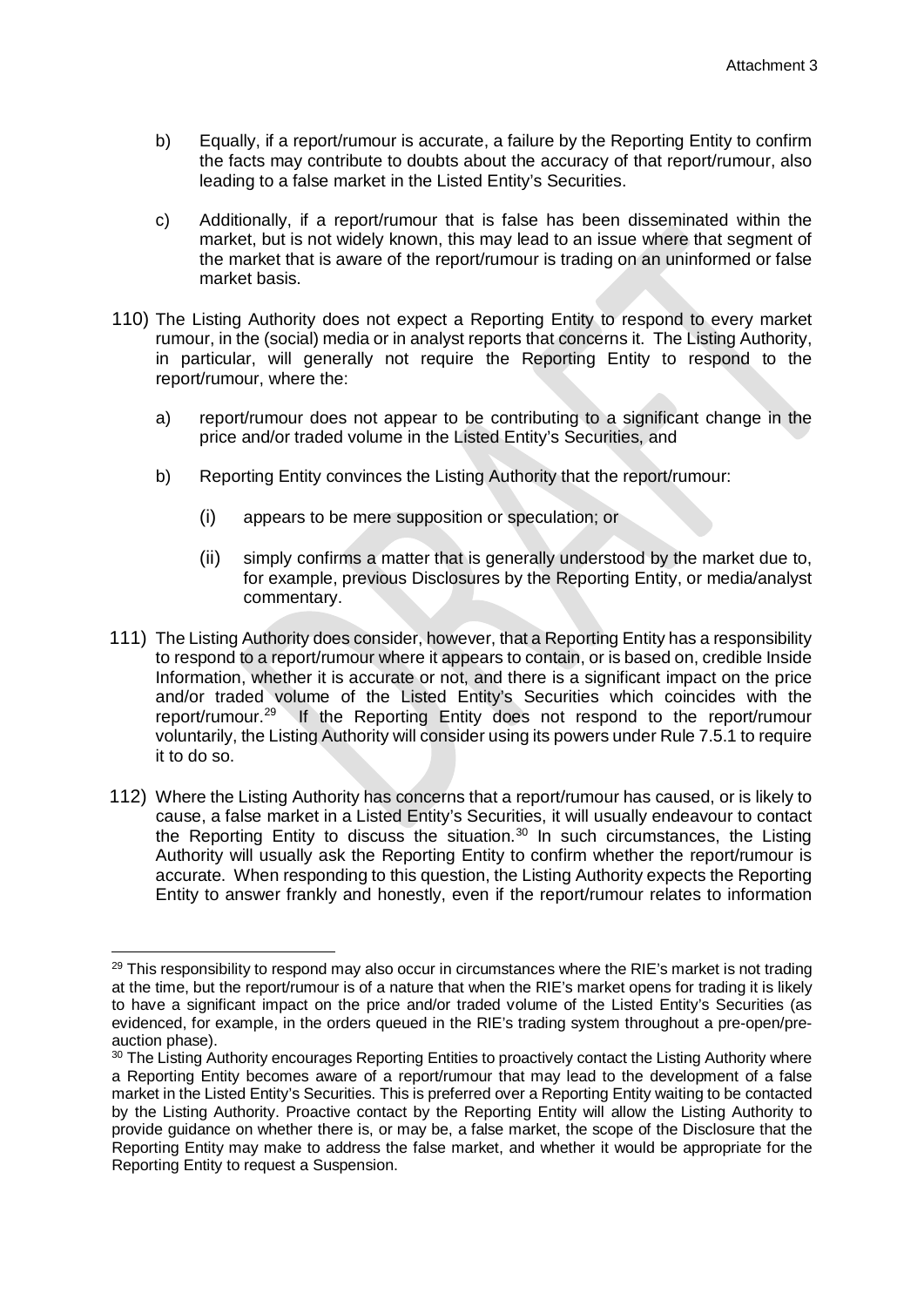- b) Equally, if a report/rumour is accurate, a failure by the Reporting Entity to confirm the facts may contribute to doubts about the accuracy of that report/rumour, also leading to a false market in the Listed Entity's Securities.
- c) Additionally, if a report/rumour that is false has been disseminated within the market, but is not widely known, this may lead to an issue where that segment of the market that is aware of the report/rumour is trading on an uninformed or false market basis.
- 110) The Listing Authority does not expect a Reporting Entity to respond to every market rumour, in the (social) media or in analyst reports that concerns it. The Listing Authority, in particular, will generally not require the Reporting Entity to respond to the report/rumour, where the:
	- a) report/rumour does not appear to be contributing to a significant change in the price and/or traded volume in the Listed Entity's Securities, and
	- b) Reporting Entity convinces the Listing Authority that the report/rumour:
		- (i) appears to be mere supposition or speculation; or
		- (ii) simply confirms a matter that is generally understood by the market due to, for example, previous Disclosures by the Reporting Entity, or media/analyst commentary.
- 111) The Listing Authority does consider, however, that a Reporting Entity has a responsibility to respond to a report/rumour where it appears to contain, or is based on, credible Inside Information, whether it is accurate or not, and there is a significant impact on the price and/or traded volume of the Listed Entity's Securities which coincides with the report/rumour[.29](#page-25-0) If the Reporting Entity does not respond to the report/rumour voluntarily, the Listing Authority will consider using its powers under Rule 7.5.1 to require it to do so.
- 112) Where the Listing Authority has concerns that a report/rumour has caused, or is likely to cause, a false market in a Listed Entity's Securities, it will usually endeavour to contact the Reporting Entity to discuss the situation.<sup>[30](#page-25-1)</sup> In such circumstances, the Listing Authority will usually ask the Reporting Entity to confirm whether the report/rumour is accurate. When responding to this question, the Listing Authority expects the Reporting Entity to answer frankly and honestly, even if the report/rumour relates to information

<span id="page-25-0"></span> $\overline{a}$  $29$  This responsibility to respond may also occur in circumstances where the RIE's market is not trading at the time, but the report/rumour is of a nature that when the RIE's market opens for trading it is likely to have a significant impact on the price and/or traded volume of the Listed Entity's Securities (as evidenced, for example, in the orders queued in the RIE's trading system throughout a pre-open/preauction phase).

<span id="page-25-1"></span><sup>&</sup>lt;sup>30</sup> The Listing Authority encourages Reporting Entities to proactively contact the Listing Authority where a Reporting Entity becomes aware of a report/rumour that may lead to the development of a false market in the Listed Entity's Securities. This is preferred over a Reporting Entity waiting to be contacted by the Listing Authority. Proactive contact by the Reporting Entity will allow the Listing Authority to provide guidance on whether there is, or may be, a false market, the scope of the Disclosure that the Reporting Entity may make to address the false market, and whether it would be appropriate for the Reporting Entity to request a Suspension.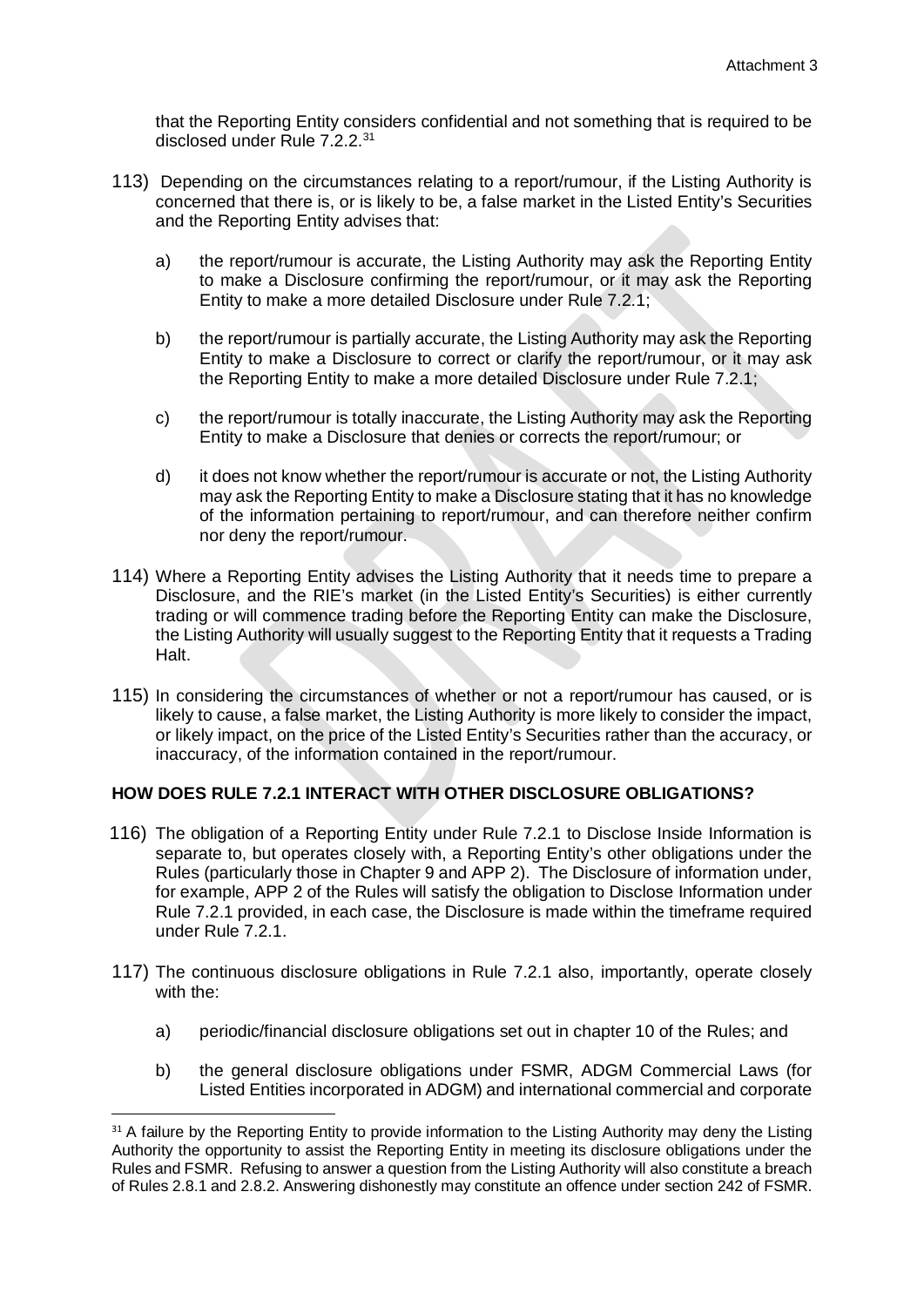that the Reporting Entity considers confidential and not something that is required to be disclosed under Rule 7.2.2.[31](#page-26-1)

- 113) Depending on the circumstances relating to a report/rumour, if the Listing Authority is concerned that there is, or is likely to be, a false market in the Listed Entity's Securities and the Reporting Entity advises that:
	- a) the report/rumour is accurate, the Listing Authority may ask the Reporting Entity to make a Disclosure confirming the report/rumour, or it may ask the Reporting Entity to make a more detailed Disclosure under Rule 7.2.1;
	- b) the report/rumour is partially accurate, the Listing Authority may ask the Reporting Entity to make a Disclosure to correct or clarify the report/rumour, or it may ask the Reporting Entity to make a more detailed Disclosure under Rule 7.2.1;
	- c) the report/rumour is totally inaccurate, the Listing Authority may ask the Reporting Entity to make a Disclosure that denies or corrects the report/rumour; or
	- d) it does not know whether the report/rumour is accurate or not, the Listing Authority may ask the Reporting Entity to make a Disclosure stating that it has no knowledge of the information pertaining to report/rumour, and can therefore neither confirm nor deny the report/rumour.
- 114) Where a Reporting Entity advises the Listing Authority that it needs time to prepare a Disclosure, and the RIE's market (in the Listed Entity's Securities) is either currently trading or will commence trading before the Reporting Entity can make the Disclosure, the Listing Authority will usually suggest to the Reporting Entity that it requests a Trading Halt.
- 115) In considering the circumstances of whether or not a report/rumour has caused, or is likely to cause, a false market, the Listing Authority is more likely to consider the impact, or likely impact, on the price of the Listed Entity's Securities rather than the accuracy, or inaccuracy, of the information contained in the report/rumour.

# <span id="page-26-0"></span>**HOW DOES RULE 7.2.1 INTERACT WITH OTHER DISCLOSURE OBLIGATIONS?**

- 116) The obligation of a Reporting Entity under Rule 7.2.1 to Disclose Inside Information is separate to, but operates closely with, a Reporting Entity's other obligations under the Rules (particularly those in Chapter 9 and APP 2). The Disclosure of information under, for example, APP 2 of the Rules will satisfy the obligation to Disclose Information under Rule 7.2.1 provided, in each case, the Disclosure is made within the timeframe required under Rule 7.2.1.
- 117) The continuous disclosure obligations in Rule 7.2.1 also, importantly, operate closely with the:
	- a) periodic/financial disclosure obligations set out in chapter 10 of the Rules; and
	- b) the general disclosure obligations under FSMR, ADGM Commercial Laws (for Listed Entities incorporated in ADGM) and international commercial and corporate

<span id="page-26-1"></span><sup>&</sup>lt;sup>31</sup> A failure by the Reporting Entity to provide information to the Listing Authority may deny the Listing Authority the opportunity to assist the Reporting Entity in meeting its disclosure obligations under the Rules and FSMR. Refusing to answer a question from the Listing Authority will also constitute a breach of Rules 2.8.1 and 2.8.2. Answering dishonestly may constitute an offence under section 242 of FSMR.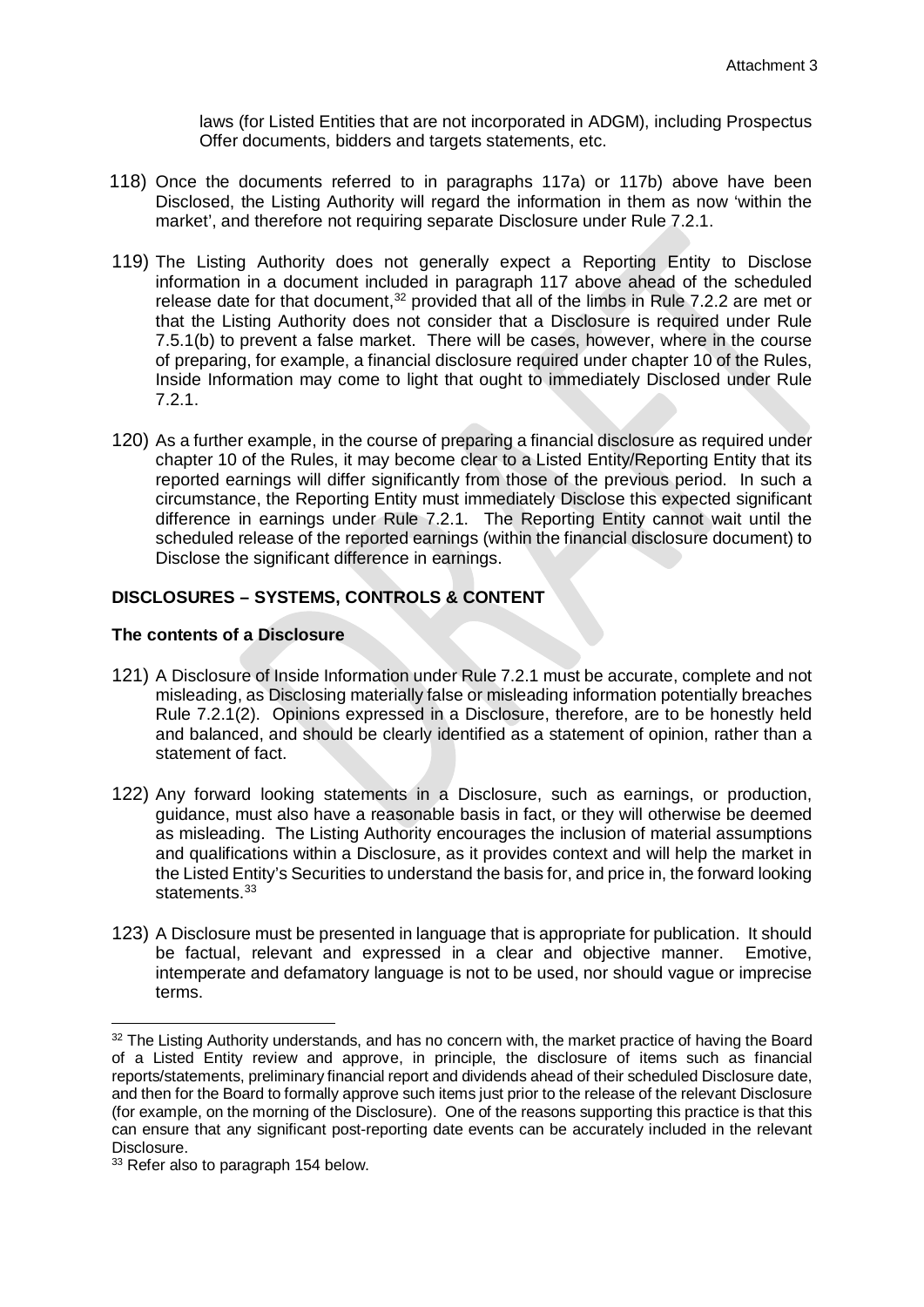laws (for Listed Entities that are not incorporated in ADGM), including Prospectus Offer documents, bidders and targets statements, etc.

- 118) Once the documents referred to in paragraphs 117a) or 117b) above have been Disclosed, the Listing Authority will regard the information in them as now 'within the market', and therefore not requiring separate Disclosure under Rule 7.2.1.
- 119) The Listing Authority does not generally expect a Reporting Entity to Disclose information in a document included in paragraph 117 above ahead of the scheduled release date for that document, $32$  provided that all of the limbs in Rule 7.2.2 are met or that the Listing Authority does not consider that a Disclosure is required under Rule 7.5.1(b) to prevent a false market. There will be cases, however, where in the course of preparing, for example, a financial disclosure required under chapter 10 of the Rules, Inside Information may come to light that ought to immediately Disclosed under Rule 7.2.1.
- 120) As a further example, in the course of preparing a financial disclosure as required under chapter 10 of the Rules, it may become clear to a Listed Entity/Reporting Entity that its reported earnings will differ significantly from those of the previous period. In such a circumstance, the Reporting Entity must immediately Disclose this expected significant difference in earnings under Rule 7.2.1. The Reporting Entity cannot wait until the scheduled release of the reported earnings (within the financial disclosure document) to Disclose the significant difference in earnings.

# <span id="page-27-0"></span>**DISCLOSURES – SYSTEMS, CONTROLS & CONTENT**

## <span id="page-27-1"></span>**The contents of a Disclosure**

- 121) A Disclosure of Inside Information under Rule 7.2.1 must be accurate, complete and not misleading, as Disclosing materially false or misleading information potentially breaches Rule 7.2.1(2). Opinions expressed in a Disclosure, therefore, are to be honestly held and balanced, and should be clearly identified as a statement of opinion, rather than a statement of fact.
- 122) Any forward looking statements in a Disclosure, such as earnings, or production, guidance, must also have a reasonable basis in fact, or they will otherwise be deemed as misleading. The Listing Authority encourages the inclusion of material assumptions and qualifications within a Disclosure, as it provides context and will help the market in the Listed Entity's Securities to understand the basis for, and price in, the forward looking statements.<sup>[33](#page-27-3)</sup>
- 123) A Disclosure must be presented in language that is appropriate for publication. It should be factual, relevant and expressed in a clear and objective manner. Emotive, intemperate and defamatory language is not to be used, nor should vague or imprecise terms.

1

<span id="page-27-2"></span><sup>&</sup>lt;sup>32</sup> The Listing Authority understands, and has no concern with, the market practice of having the Board of a Listed Entity review and approve, in principle, the disclosure of items such as financial reports/statements, preliminary financial report and dividends ahead of their scheduled Disclosure date, and then for the Board to formally approve such items just prior to the release of the relevant Disclosure (for example, on the morning of the Disclosure). One of the reasons supporting this practice is that this can ensure that any significant post-reporting date events can be accurately included in the relevant Disclosure.

<span id="page-27-3"></span><sup>&</sup>lt;sup>33</sup> Refer also to paragraph 154 below.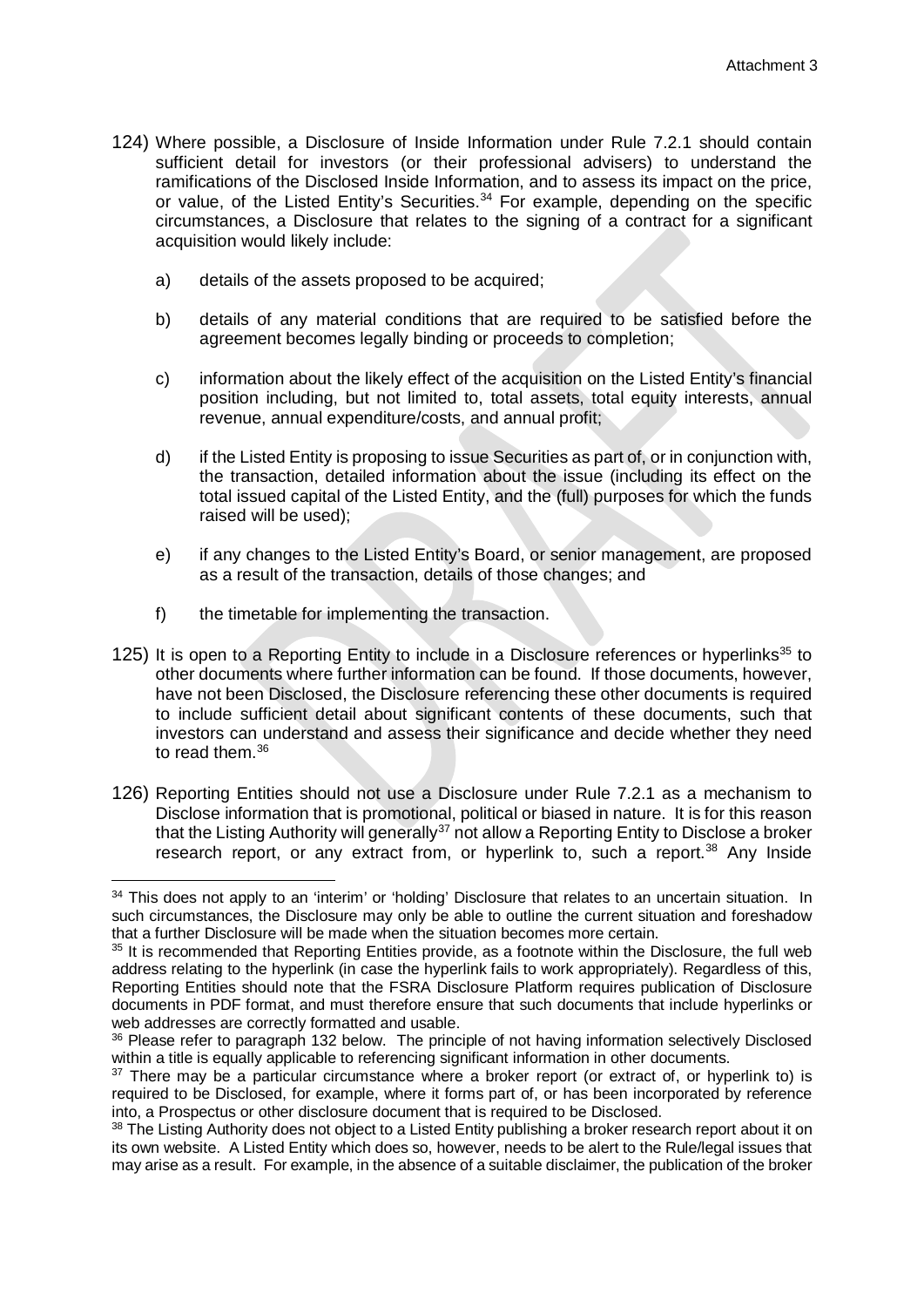- 124) Where possible, a Disclosure of Inside Information under Rule 7.2.1 should contain sufficient detail for investors (or their professional advisers) to understand the ramifications of the Disclosed Inside Information, and to assess its impact on the price, or value, of the Listed Entity's Securities. $34$  For example, depending on the specific circumstances, a Disclosure that relates to the signing of a contract for a significant acquisition would likely include:
	- a) details of the assets proposed to be acquired;
	- b) details of any material conditions that are required to be satisfied before the agreement becomes legally binding or proceeds to completion;
	- c) information about the likely effect of the acquisition on the Listed Entity's financial position including, but not limited to, total assets, total equity interests, annual revenue, annual expenditure/costs, and annual profit;
	- d) if the Listed Entity is proposing to issue Securities as part of, or in conjunction with, the transaction, detailed information about the issue (including its effect on the total issued capital of the Listed Entity, and the (full) purposes for which the funds raised will be used);
	- e) if any changes to the Listed Entity's Board, or senior management, are proposed as a result of the transaction, details of those changes; and
	- f) the timetable for implementing the transaction.

 $\overline{a}$ 

- 125) It is open to a Reporting Entity to include in a Disclosure references or hyperlinks<sup>[35](#page-28-1)</sup> to other documents where further information can be found. If those documents, however, have not been Disclosed, the Disclosure referencing these other documents is required to include sufficient detail about significant contents of these documents, such that investors can understand and assess their significance and decide whether they need to read them.<sup>[36](#page-28-2)</sup>
- 126) Reporting Entities should not use a Disclosure under Rule 7.2.1 as a mechanism to Disclose information that is promotional, political or biased in nature. It is for this reason that the Listing Authority will generally<sup>37</sup> not allow a Reporting Entity to Disclose a broker research report, or any extract from, or hyperlink to, such a report.<sup>[38](#page-28-4)</sup> Any Inside

<span id="page-28-0"></span><sup>&</sup>lt;sup>34</sup> This does not apply to an 'interim' or 'holding' Disclosure that relates to an uncertain situation. In such circumstances, the Disclosure may only be able to outline the current situation and foreshadow that a further Disclosure will be made when the situation becomes more certain.

<span id="page-28-1"></span><sup>&</sup>lt;sup>35</sup> It is recommended that Reporting Entities provide, as a footnote within the Disclosure, the full web address relating to the hyperlink (in case the hyperlink fails to work appropriately). Regardless of this, Reporting Entities should note that the FSRA Disclosure Platform requires publication of Disclosure documents in PDF format, and must therefore ensure that such documents that include hyperlinks or web addresses are correctly formatted and usable.

<span id="page-28-2"></span><sup>&</sup>lt;sup>36</sup> Please refer to paragraph 132 below. The principle of not having information selectively Disclosed within a title is equally applicable to referencing significant information in other documents.

<span id="page-28-3"></span> $37$  There may be a particular circumstance where a broker report (or extract of, or hyperlink to) is required to be Disclosed, for example, where it forms part of, or has been incorporated by reference into, a Prospectus or other disclosure document that is required to be Disclosed.

<span id="page-28-4"></span><sup>&</sup>lt;sup>38</sup> The Listing Authority does not object to a Listed Entity publishing a broker research report about it on its own website. A Listed Entity which does so, however, needs to be alert to the Rule/legal issues that may arise as a result. For example, in the absence of a suitable disclaimer, the publication of the broker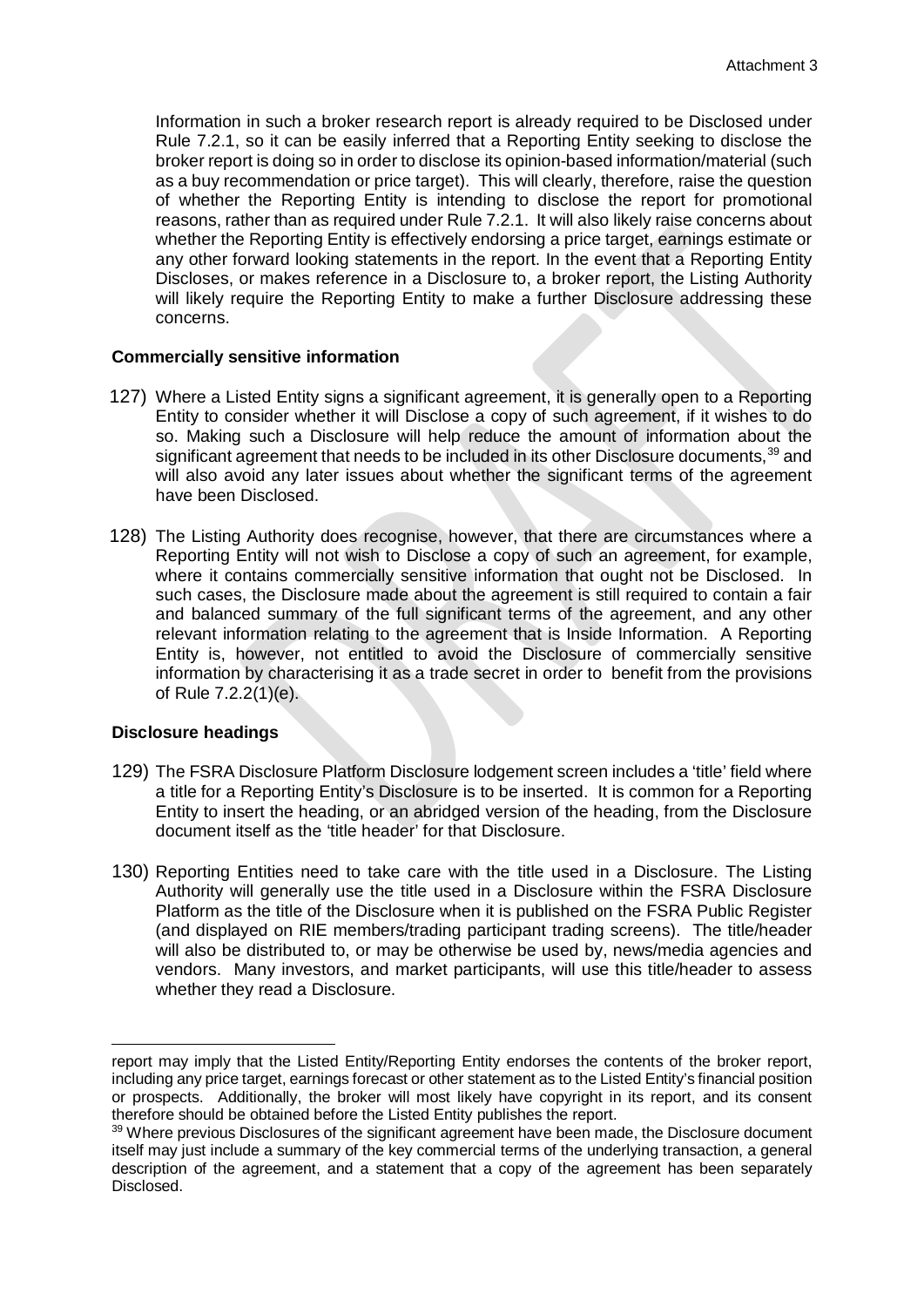Information in such a broker research report is already required to be Disclosed under Rule 7.2.1, so it can be easily inferred that a Reporting Entity seeking to disclose the broker report is doing so in order to disclose its opinion-based information/material (such as a buy recommendation or price target). This will clearly, therefore, raise the question of whether the Reporting Entity is intending to disclose the report for promotional reasons, rather than as required under Rule 7.2.1. It will also likely raise concerns about whether the Reporting Entity is effectively endorsing a price target, earnings estimate or any other forward looking statements in the report. In the event that a Reporting Entity Discloses, or makes reference in a Disclosure to, a broker report, the Listing Authority will likely require the Reporting Entity to make a further Disclosure addressing these concerns.

# <span id="page-29-0"></span>**Commercially sensitive information**

- 127) Where a Listed Entity signs a significant agreement, it is generally open to a Reporting Entity to consider whether it will Disclose a copy of such agreement, if it wishes to do so. Making such a Disclosure will help reduce the amount of information about the significant agreement that needs to be included in its other Disclosure documents,<sup>[39](#page-29-2)</sup> and will also avoid any later issues about whether the significant terms of the agreement have been Disclosed.
- 128) The Listing Authority does recognise, however, that there are circumstances where a Reporting Entity will not wish to Disclose a copy of such an agreement, for example, where it contains commercially sensitive information that ought not be Disclosed. In such cases, the Disclosure made about the agreement is still required to contain a fair and balanced summary of the full significant terms of the agreement, and any other relevant information relating to the agreement that is Inside Information. A Reporting Entity is, however, not entitled to avoid the Disclosure of commercially sensitive information by characterising it as a trade secret in order to benefit from the provisions of Rule  $7.2.2(1)(e)$ .

#### <span id="page-29-1"></span>**Disclosure headings**

- 129) The FSRA Disclosure Platform Disclosure lodgement screen includes a 'title' field where a title for a Reporting Entity's Disclosure is to be inserted. It is common for a Reporting Entity to insert the heading, or an abridged version of the heading, from the Disclosure document itself as the 'title header' for that Disclosure.
- 130) Reporting Entities need to take care with the title used in a Disclosure. The Listing Authority will generally use the title used in a Disclosure within the FSRA Disclosure Platform as the title of the Disclosure when it is published on the FSRA Public Register (and displayed on RIE members/trading participant trading screens). The title/header will also be distributed to, or may be otherwise be used by, news/media agencies and vendors. Many investors, and market participants, will use this title/header to assess whether they read a Disclosure.

report may imply that the Listed Entity/Reporting Entity endorses the contents of the broker report, including any price target, earnings forecast or other statement as to the Listed Entity's financial position or prospects. Additionally, the broker will most likely have copyright in its report, and its consent therefore should be obtained before the Listed Entity publishes the report.

<span id="page-29-2"></span><sup>&</sup>lt;sup>39</sup> Where previous Disclosures of the significant agreement have been made, the Disclosure document itself may just include a summary of the key commercial terms of the underlying transaction, a general description of the agreement, and a statement that a copy of the agreement has been separately Disclosed.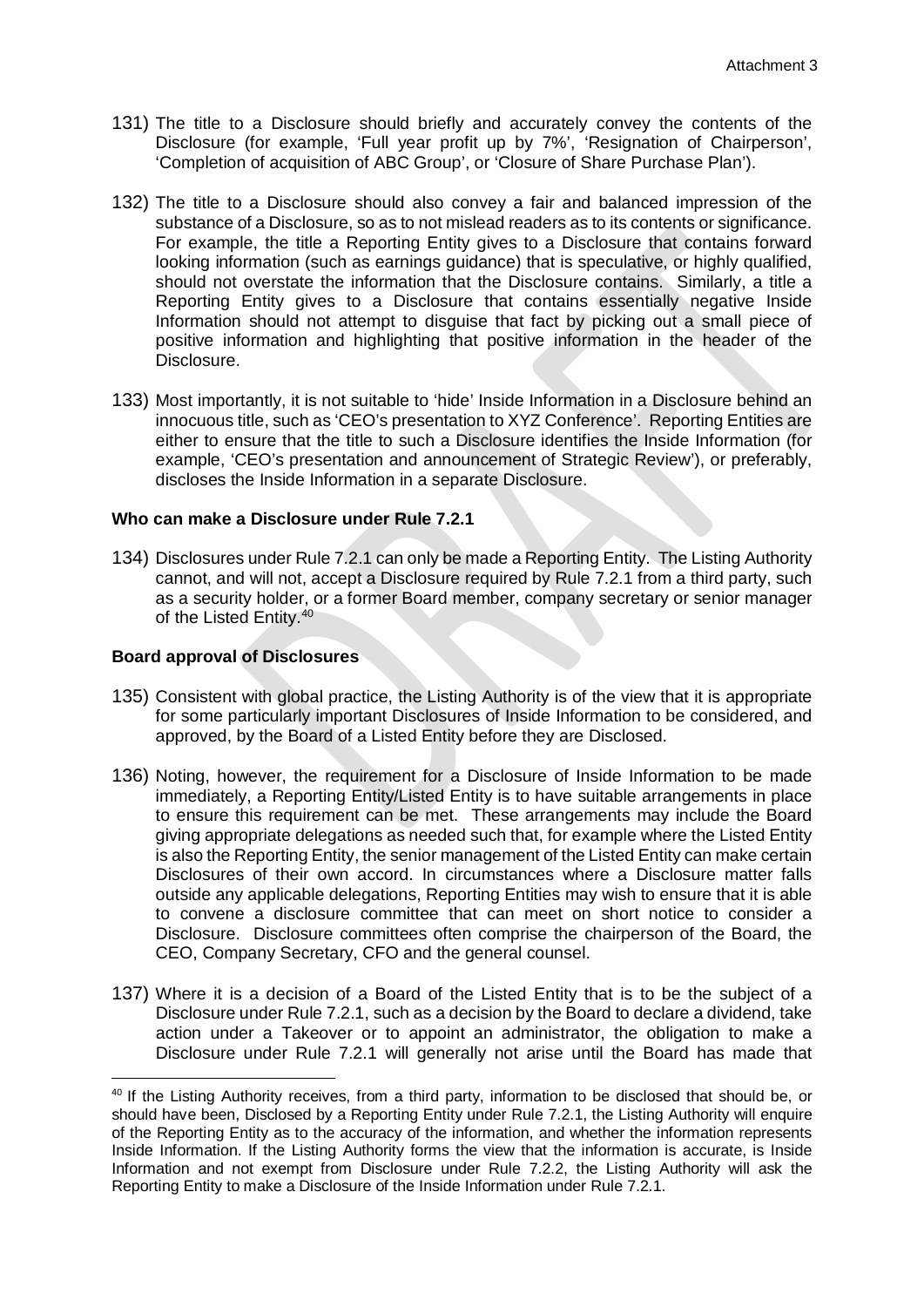- 131) The title to a Disclosure should briefly and accurately convey the contents of the Disclosure (for example, 'Full year profit up by 7%', 'Resignation of Chairperson', 'Completion of acquisition of ABC Group', or 'Closure of Share Purchase Plan').
- 132) The title to a Disclosure should also convey a fair and balanced impression of the substance of a Disclosure, so as to not mislead readers as to its contents or significance. For example, the title a Reporting Entity gives to a Disclosure that contains forward looking information (such as earnings guidance) that is speculative, or highly qualified, should not overstate the information that the Disclosure contains. Similarly, a title a Reporting Entity gives to a Disclosure that contains essentially negative Inside Information should not attempt to disguise that fact by picking out a small piece of positive information and highlighting that positive information in the header of the Disclosure.
- 133) Most importantly, it is not suitable to 'hide' Inside Information in a Disclosure behind an innocuous title, such as 'CEO's presentation to XYZ Conference'. Reporting Entities are either to ensure that the title to such a Disclosure identifies the Inside Information (for example, 'CEO's presentation and announcement of Strategic Review'), or preferably, discloses the Inside Information in a separate Disclosure.

## <span id="page-30-0"></span>**Who can make a Disclosure under Rule 7.2.1**

134) Disclosures under Rule 7.2.1 can only be made a Reporting Entity. The Listing Authority cannot, and will not, accept a Disclosure required by Rule 7.2.1 from a third party, such as a security holder, or a former Board member, company secretary or senior manager of the Listed Entity.<sup>40</sup>

# <span id="page-30-1"></span>**Board approval of Disclosures**

- 135) Consistent with global practice, the Listing Authority is of the view that it is appropriate for some particularly important Disclosures of Inside Information to be considered, and approved, by the Board of a Listed Entity before they are Disclosed.
- 136) Noting, however, the requirement for a Disclosure of Inside Information to be made immediately, a Reporting Entity/Listed Entity is to have suitable arrangements in place to ensure this requirement can be met. These arrangements may include the Board giving appropriate delegations as needed such that, for example where the Listed Entity is also the Reporting Entity, the senior management of the Listed Entity can make certain Disclosures of their own accord. In circumstances where a Disclosure matter falls outside any applicable delegations, Reporting Entities may wish to ensure that it is able to convene a disclosure committee that can meet on short notice to consider a Disclosure. Disclosure committees often comprise the chairperson of the Board, the CEO, Company Secretary, CFO and the general counsel.
- 137) Where it is a decision of a Board of the Listed Entity that is to be the subject of a Disclosure under Rule 7.2.1, such as a decision by the Board to declare a dividend, take action under a Takeover or to appoint an administrator, the obligation to make a Disclosure under Rule 7.2.1 will generally not arise until the Board has made that

<span id="page-30-2"></span> <sup>40</sup> If the Listing Authority receives, from a third party, information to be disclosed that should be, or should have been, Disclosed by a Reporting Entity under Rule 7.2.1, the Listing Authority will enquire of the Reporting Entity as to the accuracy of the information, and whether the information represents Inside Information. If the Listing Authority forms the view that the information is accurate, is Inside Information and not exempt from Disclosure under Rule 7.2.2, the Listing Authority will ask the Reporting Entity to make a Disclosure of the Inside Information under Rule 7.2.1.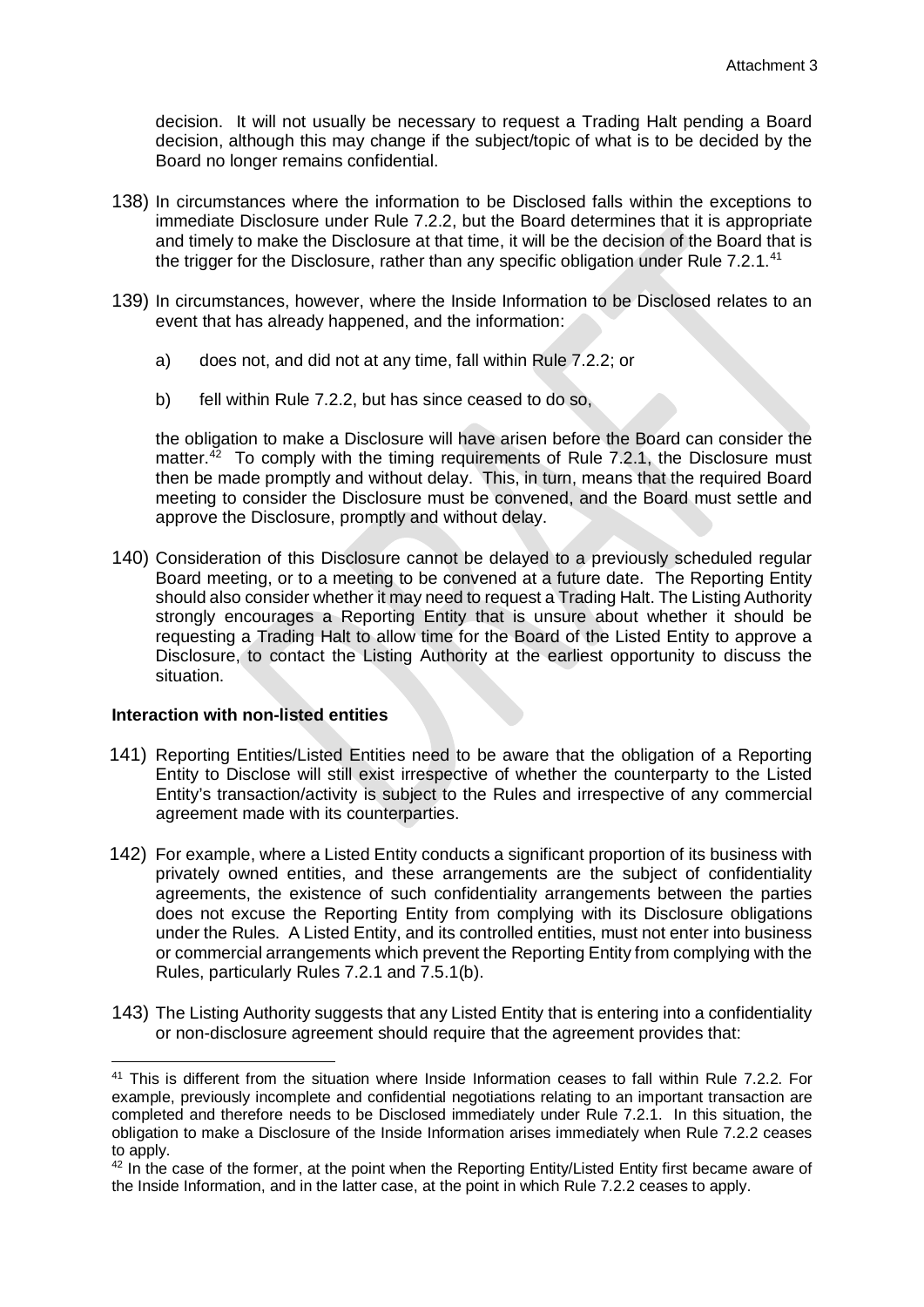decision. It will not usually be necessary to request a Trading Halt pending a Board decision, although this may change if the subject/topic of what is to be decided by the Board no longer remains confidential.

- 138) In circumstances where the information to be Disclosed falls within the exceptions to immediate Disclosure under Rule 7.2.2, but the Board determines that it is appropriate and timely to make the Disclosure at that time, it will be the decision of the Board that is the trigger for the Disclosure, rather than any specific obligation under Rule 7.2.1.<sup>[41](#page-31-1)</sup>
- 139) In circumstances, however, where the Inside Information to be Disclosed relates to an event that has already happened, and the information:
	- a) does not, and did not at any time, fall within Rule 7.2.2; or
	- b) fell within Rule 7.2.2, but has since ceased to do so,

the obligation to make a Disclosure will have arisen before the Board can consider the matter.<sup>42</sup> To comply with the timing requirements of Rule  $7.2.1$ , the Disclosure must then be made promptly and without delay. This, in turn, means that the required Board meeting to consider the Disclosure must be convened, and the Board must settle and approve the Disclosure, promptly and without delay.

140) Consideration of this Disclosure cannot be delayed to a previously scheduled regular Board meeting, or to a meeting to be convened at a future date. The Reporting Entity should also consider whether it may need to request a Trading Halt. The Listing Authority strongly encourages a Reporting Entity that is unsure about whether it should be requesting a Trading Halt to allow time for the Board of the Listed Entity to approve a Disclosure, to contact the Listing Authority at the earliest opportunity to discuss the situation.

#### <span id="page-31-0"></span>**Interaction with non-listed entities**

- 141) Reporting Entities/Listed Entities need to be aware that the obligation of a Reporting Entity to Disclose will still exist irrespective of whether the counterparty to the Listed Entity's transaction/activity is subject to the Rules and irrespective of any commercial agreement made with its counterparties.
- 142) For example, where a Listed Entity conducts a significant proportion of its business with privately owned entities, and these arrangements are the subject of confidentiality agreements, the existence of such confidentiality arrangements between the parties does not excuse the Reporting Entity from complying with its Disclosure obligations under the Rules. A Listed Entity, and its controlled entities, must not enter into business or commercial arrangements which prevent the Reporting Entity from complying with the Rules, particularly Rules 7.2.1 and 7.5.1(b).
- 143) The Listing Authority suggests that any Listed Entity that is entering into a confidentiality or non-disclosure agreement should require that the agreement provides that:

<span id="page-31-1"></span><sup>&</sup>lt;sup>41</sup> This is different from the situation where Inside Information ceases to fall within Rule 7.2.2. For example, previously incomplete and confidential negotiations relating to an important transaction are completed and therefore needs to be Disclosed immediately under Rule 7.2.1. In this situation, the obligation to make a Disclosure of the Inside Information arises immediately when Rule 7.2.2 ceases to apply.

<span id="page-31-2"></span><sup>&</sup>lt;sup>42</sup> In the case of the former, at the point when the Reporting Entity/Listed Entity first became aware of the Inside Information, and in the latter case, at the point in which Rule 7.2.2 ceases to apply.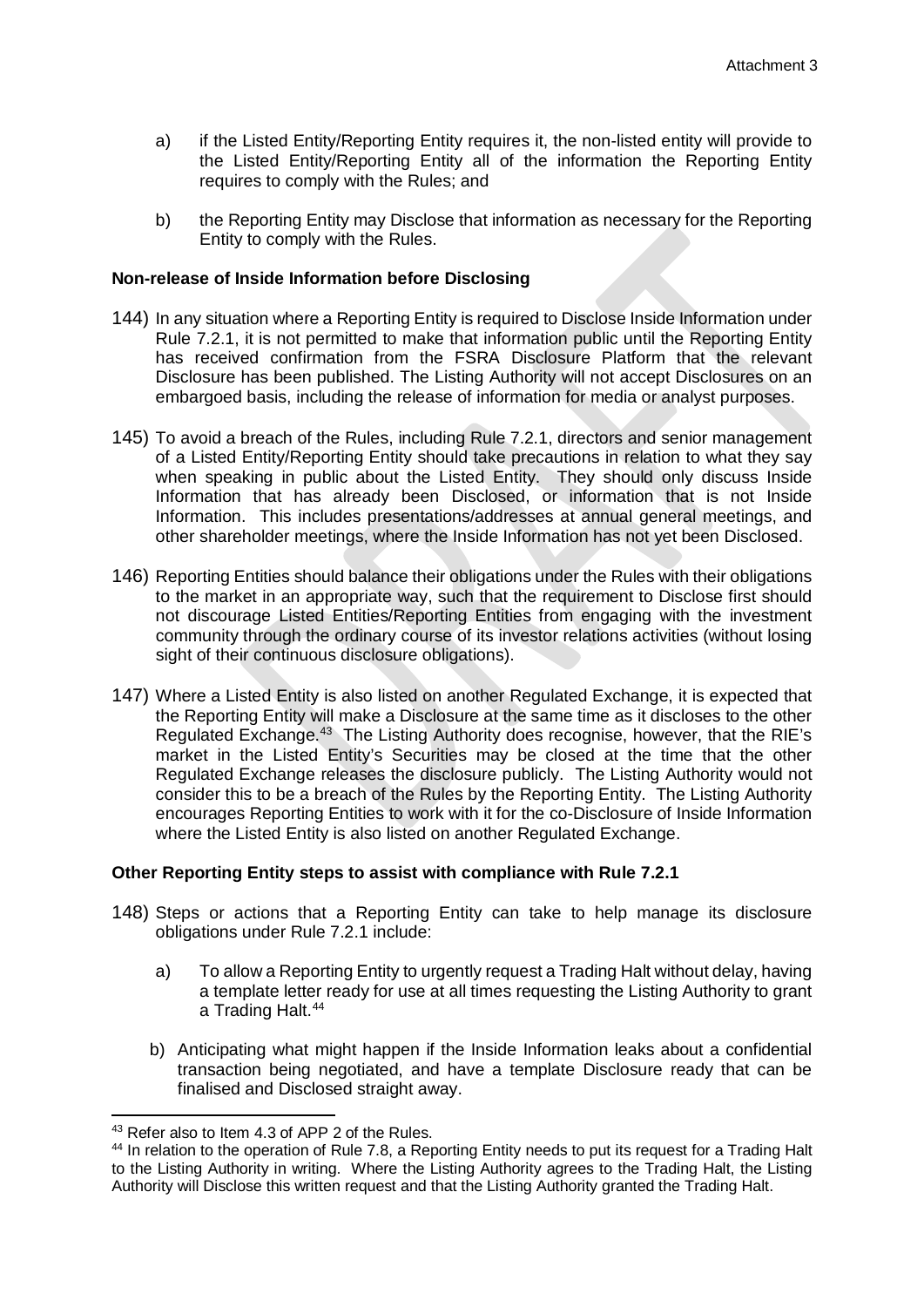- a) if the Listed Entity/Reporting Entity requires it, the non-listed entity will provide to the Listed Entity/Reporting Entity all of the information the Reporting Entity requires to comply with the Rules; and
- b) the Reporting Entity may Disclose that information as necessary for the Reporting Entity to comply with the Rules.

#### <span id="page-32-0"></span>**Non-release of Inside Information before Disclosing**

- 144) In any situation where a Reporting Entity is required to Disclose Inside Information under Rule 7.2.1, it is not permitted to make that information public until the Reporting Entity has received confirmation from the FSRA Disclosure Platform that the relevant Disclosure has been published. The Listing Authority will not accept Disclosures on an embargoed basis, including the release of information for media or analyst purposes.
- 145) To avoid a breach of the Rules, including Rule 7.2.1, directors and senior management of a Listed Entity/Reporting Entity should take precautions in relation to what they say when speaking in public about the Listed Entity. They should only discuss Inside Information that has already been Disclosed, or information that is not Inside Information. This includes presentations/addresses at annual general meetings, and other shareholder meetings, where the Inside Information has not yet been Disclosed.
- 146) Reporting Entities should balance their obligations under the Rules with their obligations to the market in an appropriate way, such that the requirement to Disclose first should not discourage Listed Entities/Reporting Entities from engaging with the investment community through the ordinary course of its investor relations activities (without losing sight of their continuous disclosure obligations).
- 147) Where a Listed Entity is also listed on another Regulated Exchange, it is expected that the Reporting Entity will make a Disclosure at the same time as it discloses to the other Regulated Exchange[.43](#page-32-2) The Listing Authority does recognise, however, that the RIE's market in the Listed Entity's Securities may be closed at the time that the other Regulated Exchange releases the disclosure publicly. The Listing Authority would not consider this to be a breach of the Rules by the Reporting Entity. The Listing Authority encourages Reporting Entities to work with it for the co-Disclosure of Inside Information where the Listed Entity is also listed on another Regulated Exchange.

#### <span id="page-32-1"></span>**Other Reporting Entity steps to assist with compliance with Rule 7.2.1**

- 148) Steps or actions that a Reporting Entity can take to help manage its disclosure obligations under Rule 7.2.1 include:
	- a) To allow a Reporting Entity to urgently request a Trading Halt without delay, having a template letter ready for use at all times requesting the Listing Authority to grant a Trading Halt. [44](#page-32-3)
	- b) Anticipating what might happen if the Inside Information leaks about a confidential transaction being negotiated, and have a template Disclosure ready that can be finalised and Disclosed straight away.

 $\overline{a}$ 43 Refer also to Item 4.3 of APP 2 of the Rules.

<span id="page-32-3"></span><span id="page-32-2"></span><sup>44</sup> In relation to the operation of Rule 7.8, a Reporting Entity needs to put its request for a Trading Halt to the Listing Authority in writing. Where the Listing Authority agrees to the Trading Halt, the Listing Authority will Disclose this written request and that the Listing Authority granted the Trading Halt.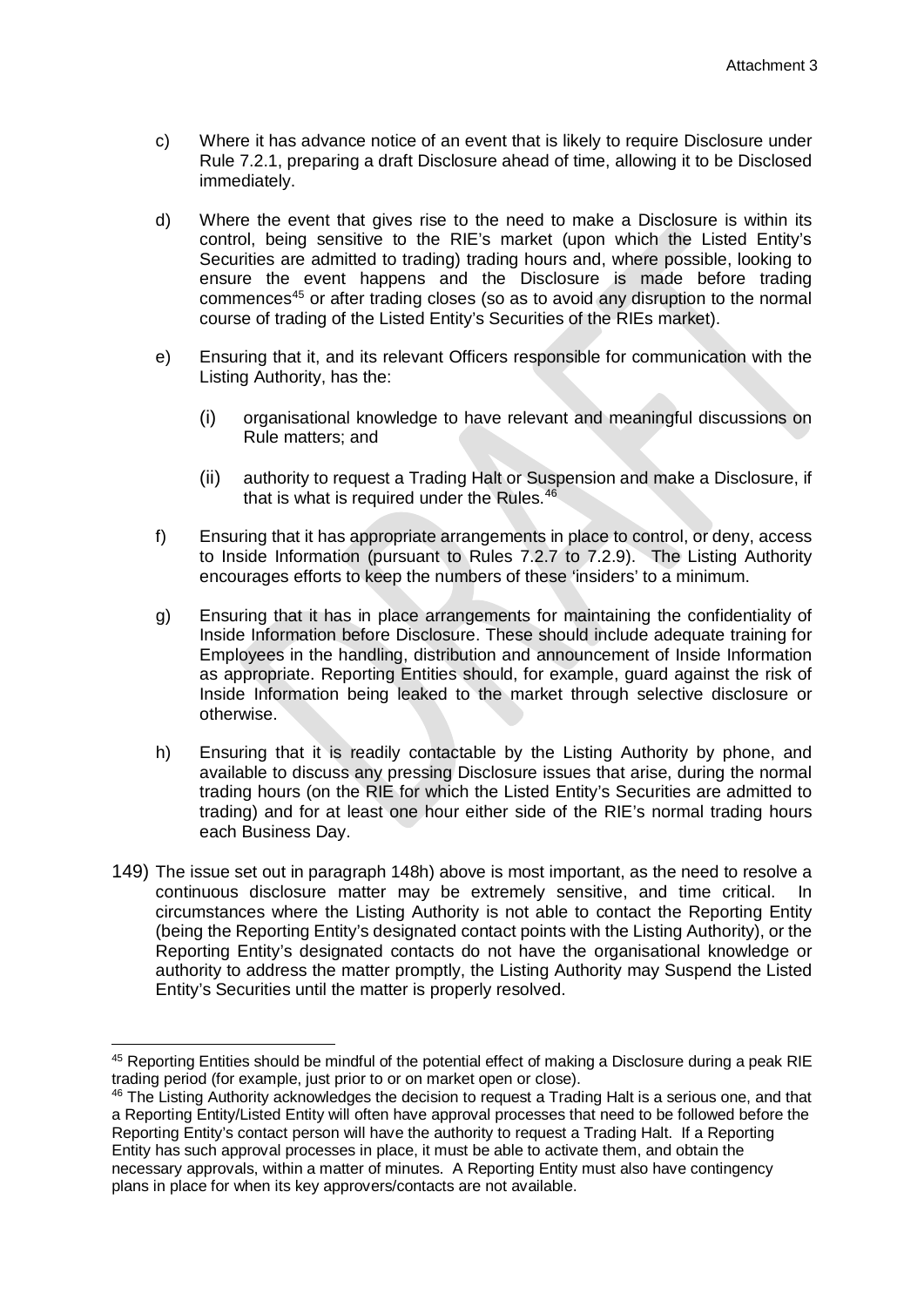- c) Where it has advance notice of an event that is likely to require Disclosure under Rule 7.2.1, preparing a draft Disclosure ahead of time, allowing it to be Disclosed immediately.
- d) Where the event that gives rise to the need to make a Disclosure is within its control, being sensitive to the RIE's market (upon which the Listed Entity's Securities are admitted to trading) trading hours and, where possible, looking to ensure the event happens and the Disclosure is made before trading commences<sup>45</sup> or after trading closes (so as to avoid any disruption to the normal course of trading of the Listed Entity's Securities of the RIEs market).
- e) Ensuring that it, and its relevant Officers responsible for communication with the Listing Authority, has the:
	- (i) organisational knowledge to have relevant and meaningful discussions on Rule matters; and
	- (ii) authority to request a Trading Halt or Suspension and make a Disclosure, if that is what is required under the Rules.<sup>[46](#page-33-1)</sup>
- f) Ensuring that it has appropriate arrangements in place to control, or deny, access to Inside Information (pursuant to Rules 7.2.7 to 7.2.9). The Listing Authority encourages efforts to keep the numbers of these 'insiders' to a minimum.
- g) Ensuring that it has in place arrangements for maintaining the confidentiality of Inside Information before Disclosure. These should include adequate training for Employees in the handling, distribution and announcement of Inside Information as appropriate. Reporting Entities should, for example, guard against the risk of Inside Information being leaked to the market through selective disclosure or otherwise.
- h) Ensuring that it is readily contactable by the Listing Authority by phone, and available to discuss any pressing Disclosure issues that arise, during the normal trading hours (on the RIE for which the Listed Entity's Securities are admitted to trading) and for at least one hour either side of the RIE's normal trading hours each Business Day.
- 149) The issue set out in paragraph 148h) above is most important, as the need to resolve a continuous disclosure matter may be extremely sensitive, and time critical. In circumstances where the Listing Authority is not able to contact the Reporting Entity (being the Reporting Entity's designated contact points with the Listing Authority), or the Reporting Entity's designated contacts do not have the organisational knowledge or authority to address the matter promptly, the Listing Authority may Suspend the Listed Entity's Securities until the matter is properly resolved.

<span id="page-33-0"></span><sup>&</sup>lt;sup>45</sup> Reporting Entities should be mindful of the potential effect of making a Disclosure during a peak RIE trading period (for example, just prior to or on market open or close).

<span id="page-33-1"></span><sup>46</sup> The Listing Authority acknowledges the decision to request a Trading Halt is a serious one, and that a Reporting Entity/Listed Entity will often have approval processes that need to be followed before the Reporting Entity's contact person will have the authority to request a Trading Halt. If a Reporting Entity has such approval processes in place, it must be able to activate them, and obtain the necessary approvals, within a matter of minutes. A Reporting Entity must also have contingency plans in place for when its key approvers/contacts are not available.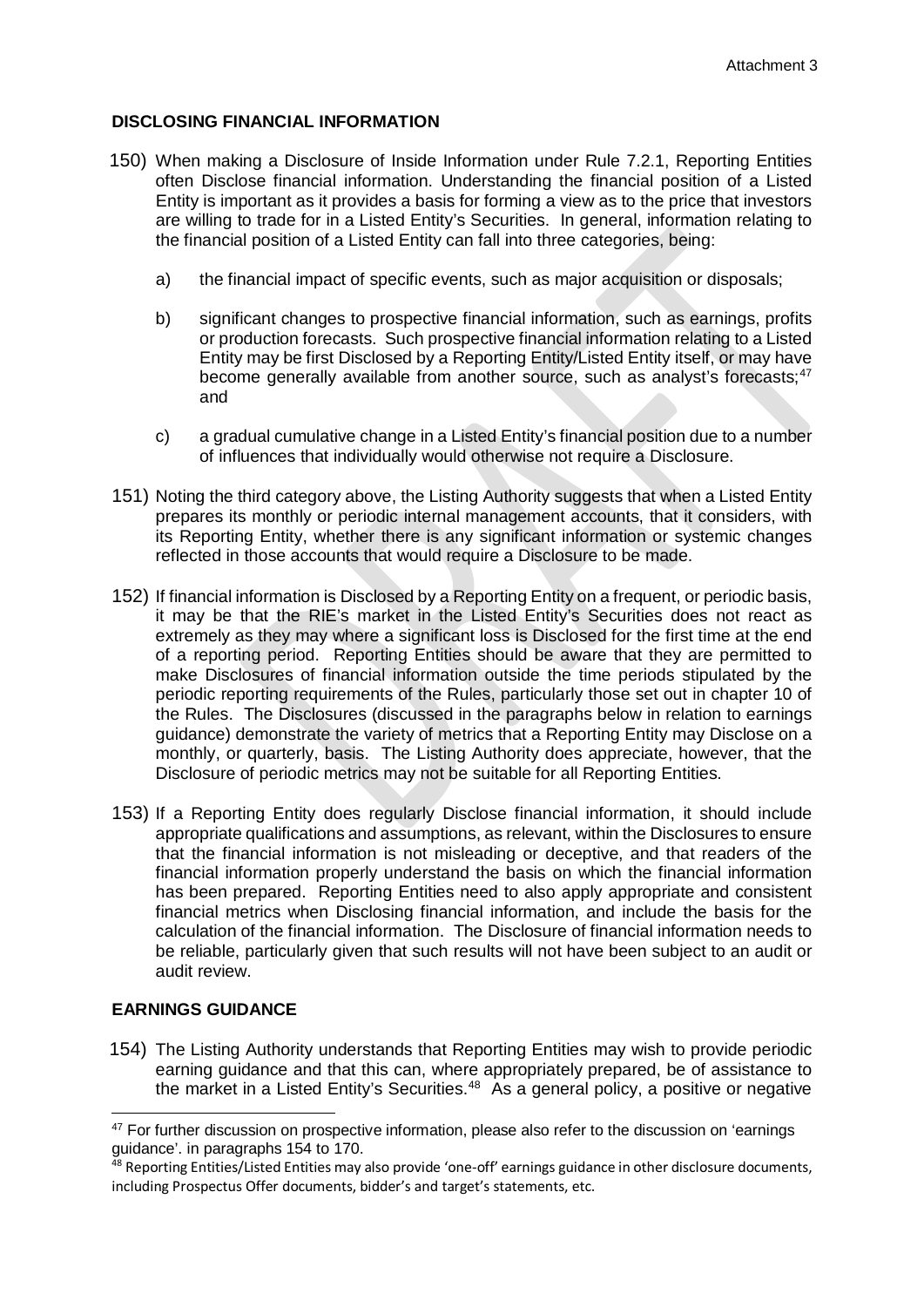## <span id="page-34-0"></span>**DISCLOSING FINANCIAL INFORMATION**

- 150) When making a Disclosure of Inside Information under Rule 7.2.1, Reporting Entities often Disclose financial information. Understanding the financial position of a Listed Entity is important as it provides a basis for forming a view as to the price that investors are willing to trade for in a Listed Entity's Securities. In general, information relating to the financial position of a Listed Entity can fall into three categories, being:
	- a) the financial impact of specific events, such as major acquisition or disposals;
	- b) significant changes to prospective financial information, such as earnings, profits or production forecasts. Such prospective financial information relating to a Listed Entity may be first Disclosed by a Reporting Entity/Listed Entity itself, or may have become generally available from another source, such as analyst's forecasts;<sup>[47](#page-34-2)</sup> and
	- c) a gradual cumulative change in a Listed Entity's financial position due to a number of influences that individually would otherwise not require a Disclosure.
- 151) Noting the third category above, the Listing Authority suggests that when a Listed Entity prepares its monthly or periodic internal management accounts, that it considers, with its Reporting Entity, whether there is any significant information or systemic changes reflected in those accounts that would require a Disclosure to be made.
- 152) If financial information is Disclosed by a Reporting Entity on a frequent, or periodic basis, it may be that the RIE's market in the Listed Entity's Securities does not react as extremely as they may where a significant loss is Disclosed for the first time at the end of a reporting period. Reporting Entities should be aware that they are permitted to make Disclosures of financial information outside the time periods stipulated by the periodic reporting requirements of the Rules, particularly those set out in chapter 10 of the Rules. The Disclosures (discussed in the paragraphs below in relation to earnings guidance) demonstrate the variety of metrics that a Reporting Entity may Disclose on a monthly, or quarterly, basis. The Listing Authority does appreciate, however, that the Disclosure of periodic metrics may not be suitable for all Reporting Entities.
- 153) If a Reporting Entity does regularly Disclose financial information, it should include appropriate qualifications and assumptions, as relevant, within the Disclosures to ensure that the financial information is not misleading or deceptive, and that readers of the financial information properly understand the basis on which the financial information has been prepared. Reporting Entities need to also apply appropriate and consistent financial metrics when Disclosing financial information, and include the basis for the calculation of the financial information. The Disclosure of financial information needs to be reliable, particularly given that such results will not have been subject to an audit or audit review.

# <span id="page-34-1"></span>**EARNINGS GUIDANCE**

 $\overline{a}$ 

154) The Listing Authority understands that Reporting Entities may wish to provide periodic earning guidance and that this can, where appropriately prepared, be of assistance to the market in a Listed Entity's Securities.[48](#page-34-3) As a general policy, a positive or negative

<span id="page-34-2"></span><sup>&</sup>lt;sup>47</sup> For further discussion on prospective information, please also refer to the discussion on 'earnings guidance'. in paragraphs 154 to 170.

<span id="page-34-3"></span> $48$  Reporting Entities/Listed Entities may also provide 'one-off' earnings guidance in other disclosure documents, including Prospectus Offer documents, bidder's and target's statements, etc.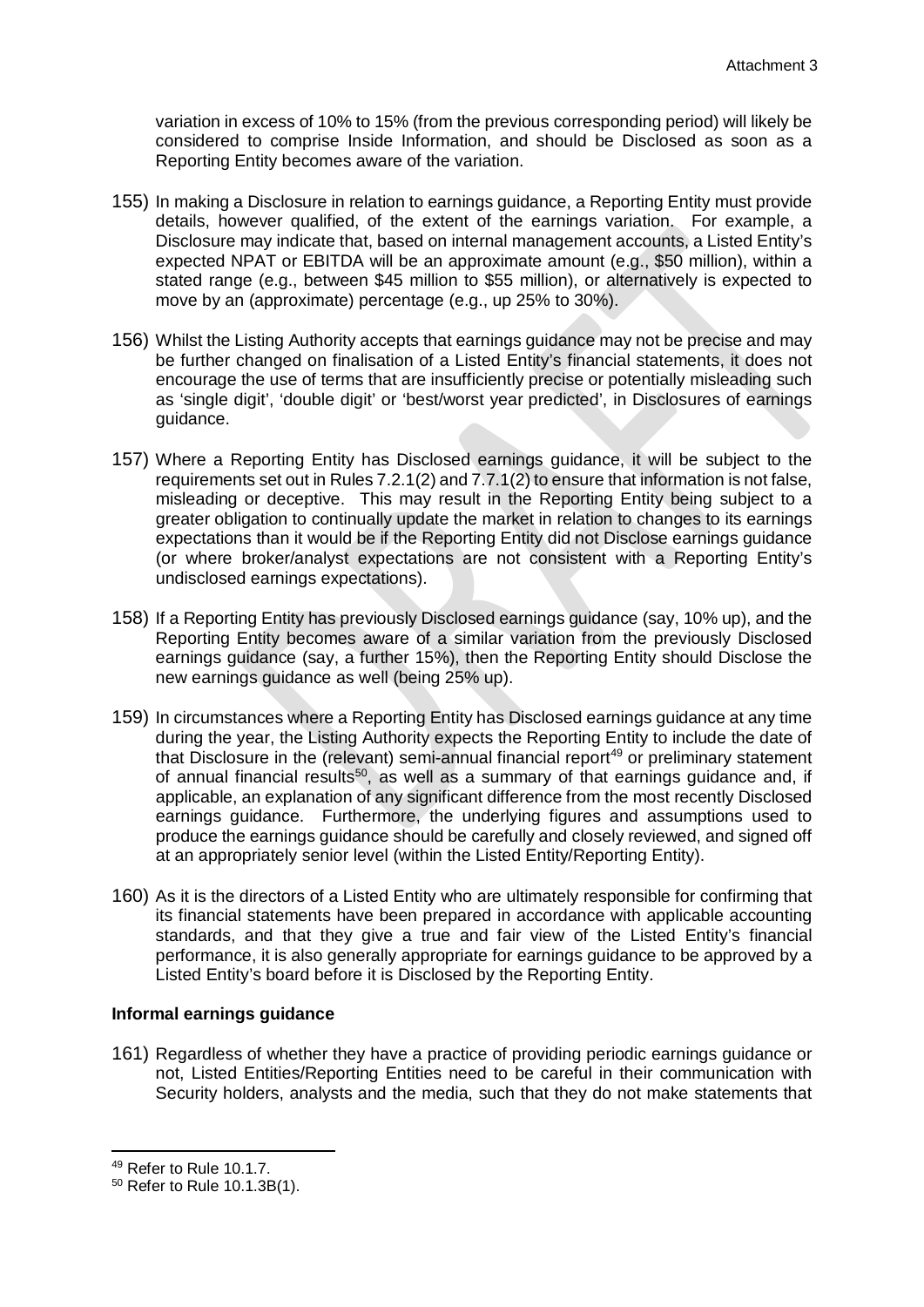variation in excess of 10% to 15% (from the previous corresponding period) will likely be considered to comprise Inside Information, and should be Disclosed as soon as a Reporting Entity becomes aware of the variation.

- 155) In making a Disclosure in relation to earnings guidance, a Reporting Entity must provide details, however qualified, of the extent of the earnings variation. For example, a Disclosure may indicate that, based on internal management accounts, a Listed Entity's expected NPAT or EBITDA will be an approximate amount (e.g., \$50 million), within a stated range (e.g., between \$45 million to \$55 million), or alternatively is expected to move by an (approximate) percentage (e.g., up 25% to 30%).
- 156) Whilst the Listing Authority accepts that earnings guidance may not be precise and may be further changed on finalisation of a Listed Entity's financial statements, it does not encourage the use of terms that are insufficiently precise or potentially misleading such as 'single digit', 'double digit' or 'best/worst year predicted', in Disclosures of earnings guidance.
- 157) Where a Reporting Entity has Disclosed earnings guidance, it will be subject to the requirements set out in Rules 7.2.1(2) and 7.7.1(2) to ensure that information is not false, misleading or deceptive. This may result in the Reporting Entity being subject to a greater obligation to continually update the market in relation to changes to its earnings expectations than it would be if the Reporting Entity did not Disclose earnings guidance (or where broker/analyst expectations are not consistent with a Reporting Entity's undisclosed earnings expectations).
- 158) If a Reporting Entity has previously Disclosed earnings guidance (say, 10% up), and the Reporting Entity becomes aware of a similar variation from the previously Disclosed earnings guidance (say, a further 15%), then the Reporting Entity should Disclose the new earnings guidance as well (being 25% up).
- 159) In circumstances where a Reporting Entity has Disclosed earnings guidance at any time during the year, the Listing Authority expects the Reporting Entity to include the date of that Disclosure in the (relevant) semi-annual financial report<sup>[49](#page-35-1)</sup> or preliminary statement of annual financial results<sup>50</sup>, as well as a summary of that earnings guidance and, if applicable, an explanation of any significant difference from the most recently Disclosed earnings guidance. Furthermore, the underlying figures and assumptions used to produce the earnings guidance should be carefully and closely reviewed, and signed off at an appropriately senior level (within the Listed Entity/Reporting Entity).
- 160) As it is the directors of a Listed Entity who are ultimately responsible for confirming that its financial statements have been prepared in accordance with applicable accounting standards, and that they give a true and fair view of the Listed Entity's financial performance, it is also generally appropriate for earnings guidance to be approved by a Listed Entity's board before it is Disclosed by the Reporting Entity.

# <span id="page-35-0"></span>**Informal earnings guidance**

161) Regardless of whether they have a practice of providing periodic earnings guidance or not, Listed Entities/Reporting Entities need to be careful in their communication with Security holders, analysts and the media, such that they do not make statements that

<span id="page-35-1"></span><sup>49</sup> Refer to Rule 10.1.7.

<span id="page-35-2"></span><sup>50</sup> Refer to Rule 10.1.3B(1).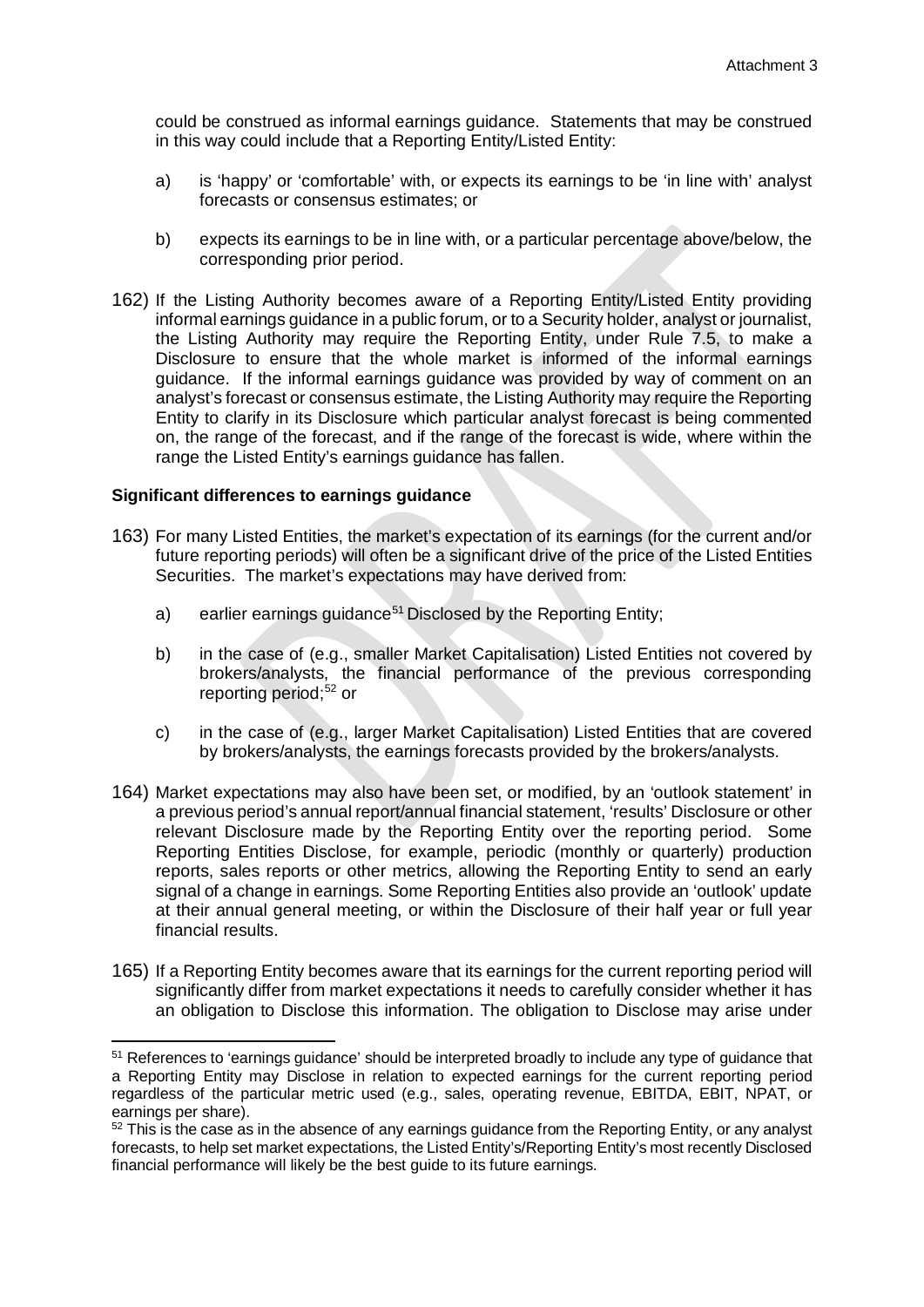could be construed as informal earnings guidance. Statements that may be construed in this way could include that a Reporting Entity/Listed Entity:

- a) is 'happy' or 'comfortable' with, or expects its earnings to be 'in line with' analyst forecasts or consensus estimates; or
- b) expects its earnings to be in line with, or a particular percentage above/below, the corresponding prior period.
- 162) If the Listing Authority becomes aware of a Reporting Entity/Listed Entity providing informal earnings guidance in a public forum, or to a Security holder, analyst or journalist, the Listing Authority may require the Reporting Entity, under Rule 7.5, to make a Disclosure to ensure that the whole market is informed of the informal earnings guidance. If the informal earnings guidance was provided by way of comment on an analyst's forecast or consensus estimate, the Listing Authority may require the Reporting Entity to clarify in its Disclosure which particular analyst forecast is being commented on, the range of the forecast, and if the range of the forecast is wide, where within the range the Listed Entity's earnings guidance has fallen.

## <span id="page-36-0"></span>**Significant differences to earnings guidance**

- 163) For many Listed Entities, the market's expectation of its earnings (for the current and/or future reporting periods) will often be a significant drive of the price of the Listed Entities Securities. The market's expectations may have derived from:
	- a) earlier earnings guidance<sup>[51](#page-36-1)</sup> Disclosed by the Reporting Entity;
	- b) in the case of (e.g., smaller Market Capitalisation) Listed Entities not covered by brokers/analysts, the financial performance of the previous corresponding reporting period;<sup>[52](#page-36-2)</sup> or
	- c) in the case of (e.g., larger Market Capitalisation) Listed Entities that are covered by brokers/analysts, the earnings forecasts provided by the brokers/analysts.
- 164) Market expectations may also have been set, or modified, by an 'outlook statement' in a previous period's annual report/annual financial statement, 'results' Disclosure or other relevant Disclosure made by the Reporting Entity over the reporting period. Some Reporting Entities Disclose, for example, periodic (monthly or quarterly) production reports, sales reports or other metrics, allowing the Reporting Entity to send an early signal of a change in earnings. Some Reporting Entities also provide an 'outlook' update at their annual general meeting, or within the Disclosure of their half year or full year financial results.
- 165) If a Reporting Entity becomes aware that its earnings for the current reporting period will significantly differ from market expectations it needs to carefully consider whether it has an obligation to Disclose this information. The obligation to Disclose may arise under

<span id="page-36-1"></span><sup>51</sup> References to 'earnings guidance' should be interpreted broadly to include any type of guidance that a Reporting Entity may Disclose in relation to expected earnings for the current reporting period regardless of the particular metric used (e.g., sales, operating revenue, EBITDA, EBIT, NPAT, or earnings per share).

<span id="page-36-2"></span> $52$  This is the case as in the absence of any earnings guidance from the Reporting Entity, or any analyst forecasts, to help set market expectations, the Listed Entity's/Reporting Entity's most recently Disclosed financial performance will likely be the best guide to its future earnings.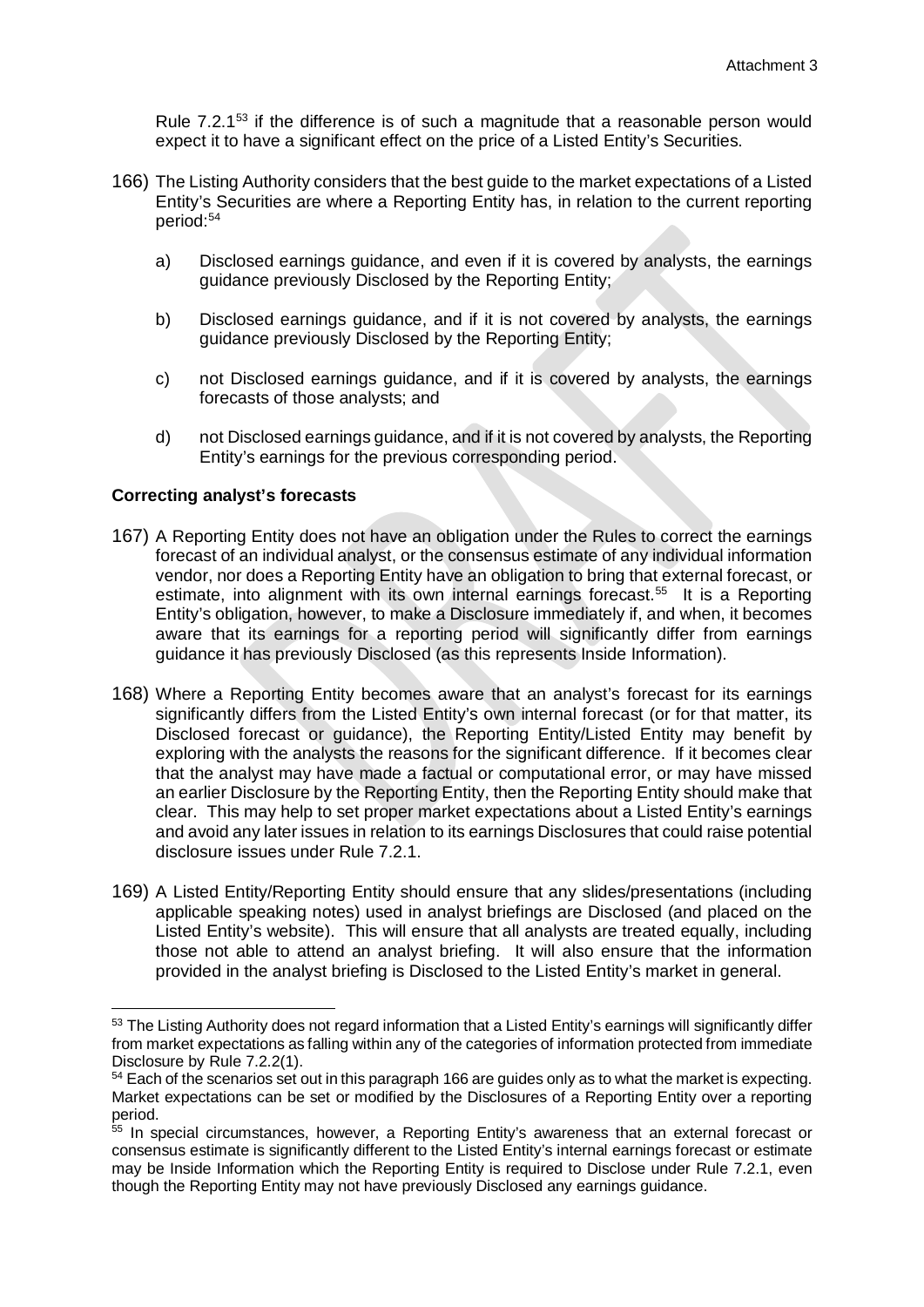Rule 7.2.1[53](#page-37-1) if the difference is of such a magnitude that a reasonable person would expect it to have a significant effect on the price of a Listed Entity's Securities.

- 166) The Listing Authority considers that the best guide to the market expectations of a Listed Entity's Securities are where a Reporting Entity has, in relation to the current reporting period: [54](#page-37-2)
	- a) Disclosed earnings guidance, and even if it is covered by analysts, the earnings guidance previously Disclosed by the Reporting Entity;
	- b) Disclosed earnings guidance, and if it is not covered by analysts, the earnings guidance previously Disclosed by the Reporting Entity;
	- c) not Disclosed earnings guidance, and if it is covered by analysts, the earnings forecasts of those analysts; and
	- d) not Disclosed earnings guidance, and if it is not covered by analysts, the Reporting Entity's earnings for the previous corresponding period.

## <span id="page-37-0"></span>**Correcting analyst's forecasts**

- 167) A Reporting Entity does not have an obligation under the Rules to correct the earnings forecast of an individual analyst, or the consensus estimate of any individual information vendor, nor does a Reporting Entity have an obligation to bring that external forecast, or estimate, into alignment with its own internal earnings forecast.<sup>55</sup> It is a Reporting Entity's obligation, however, to make a Disclosure immediately if, and when, it becomes aware that its earnings for a reporting period will significantly differ from earnings guidance it has previously Disclosed (as this represents Inside Information).
- 168) Where a Reporting Entity becomes aware that an analyst's forecast for its earnings significantly differs from the Listed Entity's own internal forecast (or for that matter, its Disclosed forecast or guidance), the Reporting Entity/Listed Entity may benefit by exploring with the analysts the reasons for the significant difference. If it becomes clear that the analyst may have made a factual or computational error, or may have missed an earlier Disclosure by the Reporting Entity, then the Reporting Entity should make that clear. This may help to set proper market expectations about a Listed Entity's earnings and avoid any later issues in relation to its earnings Disclosures that could raise potential disclosure issues under Rule 7.2.1.
- 169) A Listed Entity/Reporting Entity should ensure that any slides/presentations (including applicable speaking notes) used in analyst briefings are Disclosed (and placed on the Listed Entity's website). This will ensure that all analysts are treated equally, including those not able to attend an analyst briefing. It will also ensure that the information provided in the analyst briefing is Disclosed to the Listed Entity's market in general.

<span id="page-37-1"></span><sup>53</sup> The Listing Authority does not regard information that a Listed Entity's earnings will significantly differ from market expectations as falling within any of the categories of information protected from immediate Disclosure by Rule 7.2.2(1).

<span id="page-37-2"></span><sup>&</sup>lt;sup>54</sup> Each of the scenarios set out in this paragraph 166 are guides only as to what the market is expecting. Market expectations can be set or modified by the Disclosures of a Reporting Entity over a reporting period.

<span id="page-37-3"></span><sup>&</sup>lt;sup>55</sup> In special circumstances, however, a Reporting Entity's awareness that an external forecast or consensus estimate is significantly different to the Listed Entity's internal earnings forecast or estimate may be Inside Information which the Reporting Entity is required to Disclose under Rule 7.2.1, even though the Reporting Entity may not have previously Disclosed any earnings guidance.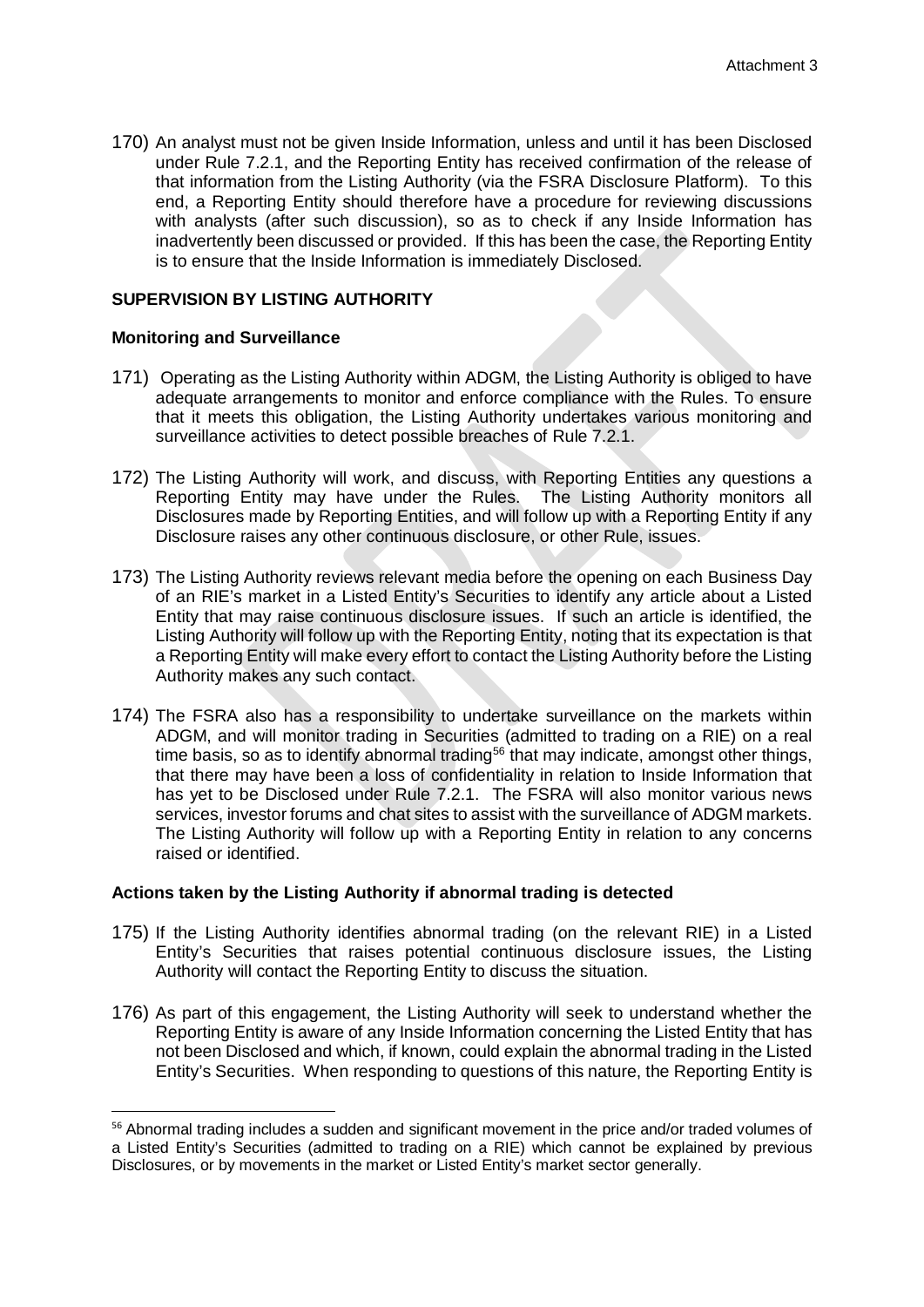170) An analyst must not be given Inside Information, unless and until it has been Disclosed under Rule 7.2.1, and the Reporting Entity has received confirmation of the release of that information from the Listing Authority (via the FSRA Disclosure Platform). To this end, a Reporting Entity should therefore have a procedure for reviewing discussions with analysts (after such discussion), so as to check if any Inside Information has inadvertently been discussed or provided. If this has been the case, the Reporting Entity is to ensure that the Inside Information is immediately Disclosed.

## <span id="page-38-0"></span>**SUPERVISION BY LISTING AUTHORITY**

#### <span id="page-38-1"></span>**Monitoring and Surveillance**

- 171) Operating as the Listing Authority within ADGM, the Listing Authority is obliged to have adequate arrangements to monitor and enforce compliance with the Rules. To ensure that it meets this obligation, the Listing Authority undertakes various monitoring and surveillance activities to detect possible breaches of Rule 7.2.1.
- 172) The Listing Authority will work, and discuss, with Reporting Entities any questions a Reporting Entity may have under the Rules. The Listing Authority monitors all Disclosures made by Reporting Entities, and will follow up with a Reporting Entity if any Disclosure raises any other continuous disclosure, or other Rule, issues.
- 173) The Listing Authority reviews relevant media before the opening on each Business Day of an RIE's market in a Listed Entity's Securities to identify any article about a Listed Entity that may raise continuous disclosure issues. If such an article is identified, the Listing Authority will follow up with the Reporting Entity, noting that its expectation is that a Reporting Entity will make every effort to contact the Listing Authority before the Listing Authority makes any such contact.
- 174) The FSRA also has a responsibility to undertake surveillance on the markets within ADGM, and will monitor trading in Securities (admitted to trading on a RIE) on a real time basis, so as to identify abnormal trading<sup>[56](#page-38-3)</sup> that may indicate, amongst other things, that there may have been a loss of confidentiality in relation to Inside Information that has yet to be Disclosed under Rule 7.2.1. The FSRA will also monitor various news services, investor forums and chat sites to assist with the surveillance of ADGM markets. The Listing Authority will follow up with a Reporting Entity in relation to any concerns raised or identified.

# <span id="page-38-2"></span>**Actions taken by the Listing Authority if abnormal trading is detected**

- 175) If the Listing Authority identifies abnormal trading (on the relevant RIE) in a Listed Entity's Securities that raises potential continuous disclosure issues, the Listing Authority will contact the Reporting Entity to discuss the situation.
- 176) As part of this engagement, the Listing Authority will seek to understand whether the Reporting Entity is aware of any Inside Information concerning the Listed Entity that has not been Disclosed and which, if known, could explain the abnormal trading in the Listed Entity's Securities. When responding to questions of this nature, the Reporting Entity is

<span id="page-38-3"></span><sup>&</sup>lt;sup>56</sup> Abnormal trading includes a sudden and significant movement in the price and/or traded volumes of a Listed Entity's Securities (admitted to trading on a RIE) which cannot be explained by previous Disclosures, or by movements in the market or Listed Entity's market sector generally.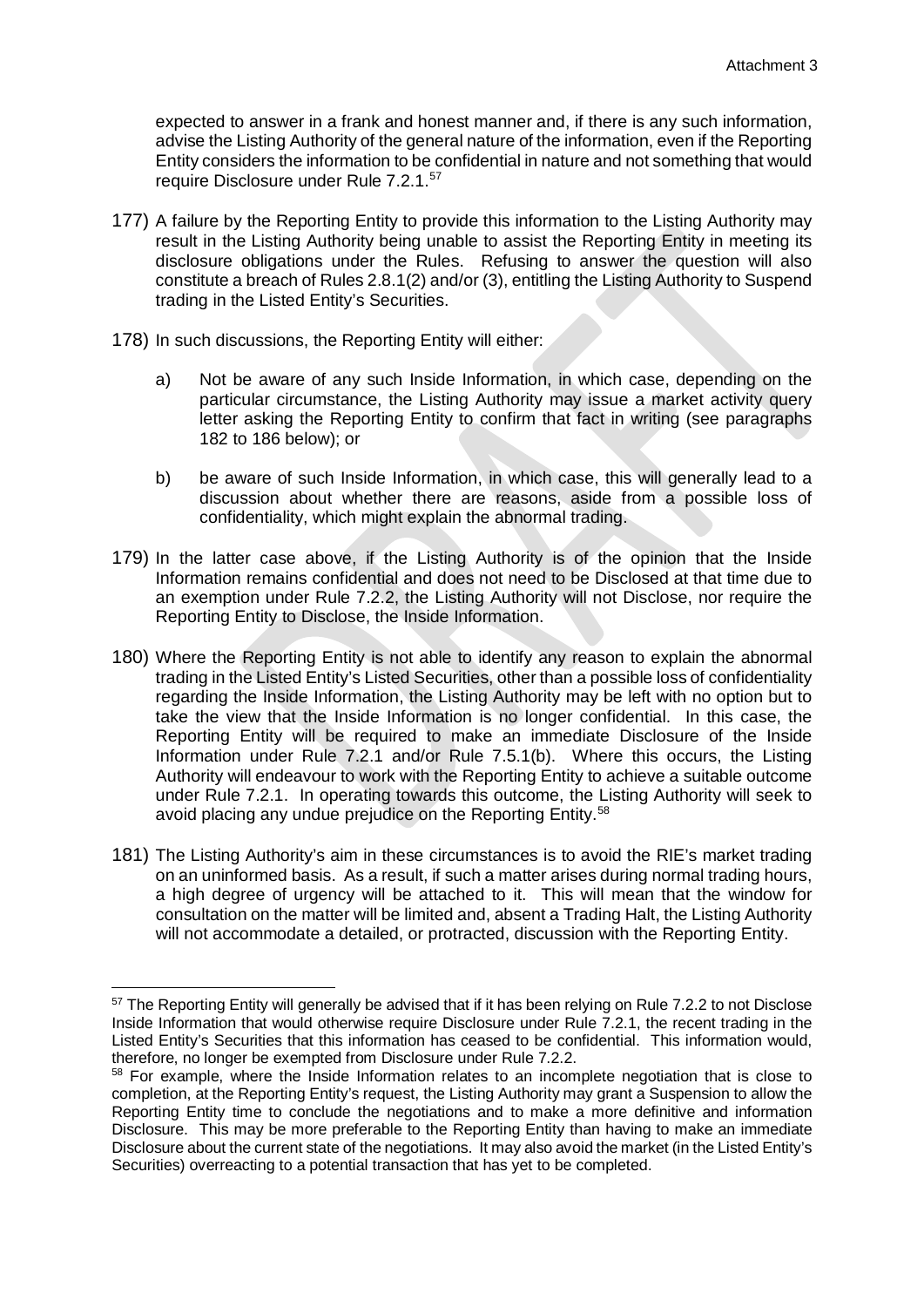expected to answer in a frank and honest manner and, if there is any such information, advise the Listing Authority of the general nature of the information, even if the Reporting Entity considers the information to be confidential in nature and not something that would require Disclosure under Rule 7.2.1.[57](#page-39-0) 

- 177) A failure by the Reporting Entity to provide this information to the Listing Authority may result in the Listing Authority being unable to assist the Reporting Entity in meeting its disclosure obligations under the Rules. Refusing to answer the question will also constitute a breach of Rules 2.8.1(2) and/or (3), entitling the Listing Authority to Suspend trading in the Listed Entity's Securities.
- 178) In such discussions, the Reporting Entity will either:

- a) Not be aware of any such Inside Information, in which case, depending on the particular circumstance, the Listing Authority may issue a market activity query letter asking the Reporting Entity to confirm that fact in writing (see paragraphs 182 to 186 below); or
- b) be aware of such Inside Information, in which case, this will generally lead to a discussion about whether there are reasons, aside from a possible loss of confidentiality, which might explain the abnormal trading.
- 179) In the latter case above, if the Listing Authority is of the opinion that the Inside Information remains confidential and does not need to be Disclosed at that time due to an exemption under Rule 7.2.2, the Listing Authority will not Disclose, nor require the Reporting Entity to Disclose, the Inside Information.
- 180) Where the Reporting Entity is not able to identify any reason to explain the abnormal trading in the Listed Entity's Listed Securities, other than a possible loss of confidentiality regarding the Inside Information, the Listing Authority may be left with no option but to take the view that the Inside Information is no longer confidential. In this case, the Reporting Entity will be required to make an immediate Disclosure of the Inside Information under Rule 7.2.1 and/or Rule 7.5.1(b). Where this occurs, the Listing Authority will endeavour to work with the Reporting Entity to achieve a suitable outcome under Rule 7.2.1. In operating towards this outcome, the Listing Authority will seek to avoid placing any undue prejudice on the Reporting Entity.<sup>58</sup>
- 181) The Listing Authority's aim in these circumstances is to avoid the RIE's market trading on an uninformed basis. As a result, if such a matter arises during normal trading hours, a high degree of urgency will be attached to it. This will mean that the window for consultation on the matter will be limited and, absent a Trading Halt, the Listing Authority will not accommodate a detailed, or protracted, discussion with the Reporting Entity.

<span id="page-39-0"></span><sup>&</sup>lt;sup>57</sup> The Reporting Entity will generally be advised that if it has been relying on Rule 7.2.2 to not Disclose Inside Information that would otherwise require Disclosure under Rule 7.2.1, the recent trading in the Listed Entity's Securities that this information has ceased to be confidential. This information would, therefore, no longer be exempted from Disclosure under Rule 7.2.2.

<span id="page-39-1"></span><sup>&</sup>lt;sup>58</sup> For example, where the Inside Information relates to an incomplete negotiation that is close to completion, at the Reporting Entity's request, the Listing Authority may grant a Suspension to allow the Reporting Entity time to conclude the negotiations and to make a more definitive and information Disclosure. This may be more preferable to the Reporting Entity than having to make an immediate Disclosure about the current state of the negotiations. It may also avoid the market (in the Listed Entity's Securities) overreacting to a potential transaction that has yet to be completed.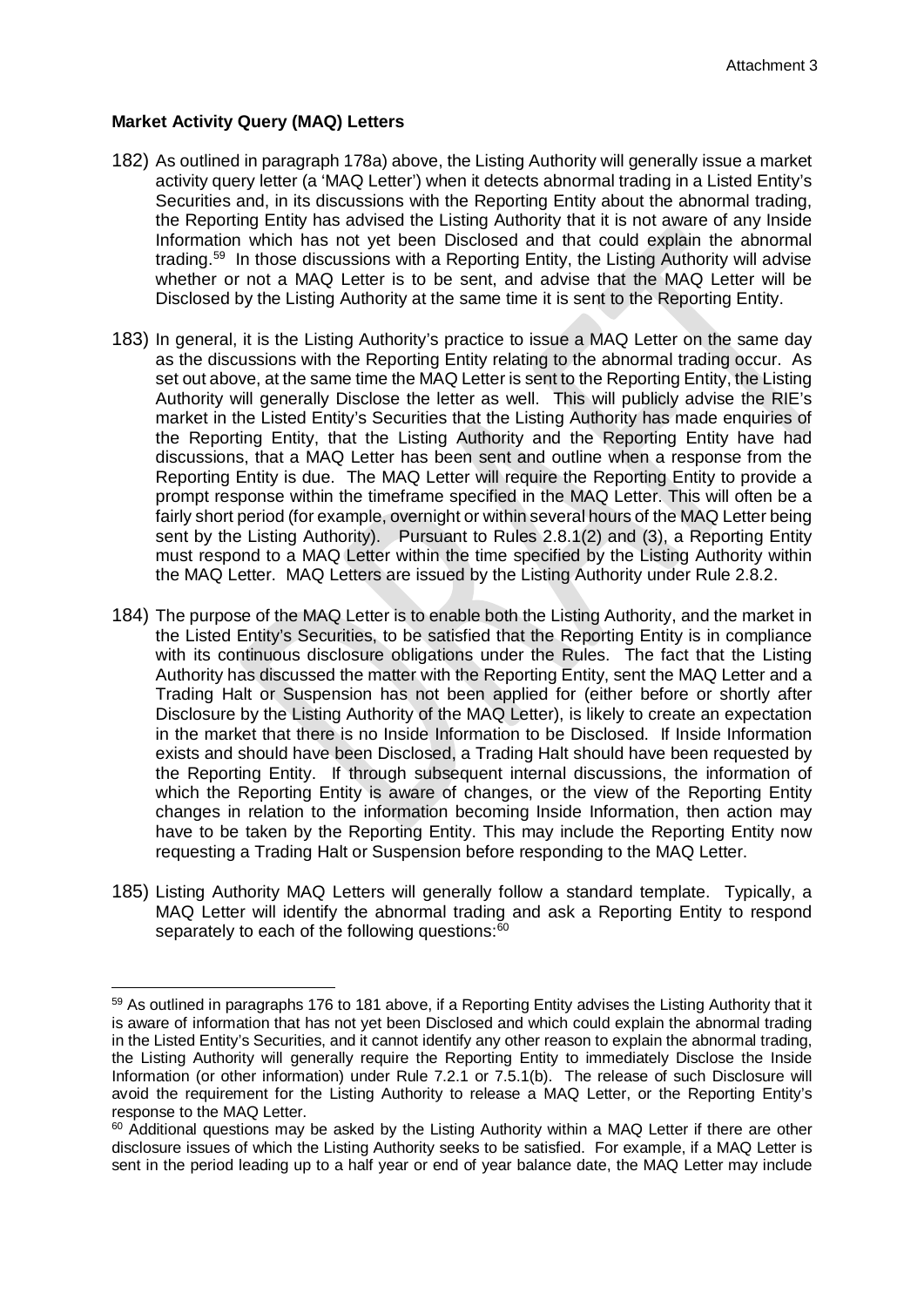## <span id="page-40-0"></span>**Market Activity Query (MAQ) Letters**

- 182) As outlined in paragraph 178a) above, the Listing Authority will generally issue a market activity query letter (a 'MAQ Letter') when it detects abnormal trading in a Listed Entity's Securities and, in its discussions with the Reporting Entity about the abnormal trading, the Reporting Entity has advised the Listing Authority that it is not aware of any Inside Information which has not yet been Disclosed and that could explain the abnormal trading.[59](#page-40-1) In those discussions with a Reporting Entity, the Listing Authority will advise whether or not a MAQ Letter is to be sent, and advise that the MAQ Letter will be Disclosed by the Listing Authority at the same time it is sent to the Reporting Entity.
- 183) In general, it is the Listing Authority's practice to issue a MAQ Letter on the same day as the discussions with the Reporting Entity relating to the abnormal trading occur. As set out above, at the same time the MAQ Letter is sent to the Reporting Entity, the Listing Authority will generally Disclose the letter as well. This will publicly advise the RIE's market in the Listed Entity's Securities that the Listing Authority has made enquiries of the Reporting Entity, that the Listing Authority and the Reporting Entity have had discussions, that a MAQ Letter has been sent and outline when a response from the Reporting Entity is due. The MAQ Letter will require the Reporting Entity to provide a prompt response within the timeframe specified in the MAQ Letter. This will often be a fairly short period (for example, overnight or within several hours of the MAQ Letter being sent by the Listing Authority). Pursuant to Rules 2.8.1(2) and (3), a Reporting Entity must respond to a MAQ Letter within the time specified by the Listing Authority within the MAQ Letter. MAQ Letters are issued by the Listing Authority under Rule 2.8.2.
- 184) The purpose of the MAQ Letter is to enable both the Listing Authority, and the market in the Listed Entity's Securities, to be satisfied that the Reporting Entity is in compliance with its continuous disclosure obligations under the Rules. The fact that the Listing Authority has discussed the matter with the Reporting Entity, sent the MAQ Letter and a Trading Halt or Suspension has not been applied for (either before or shortly after Disclosure by the Listing Authority of the MAQ Letter), is likely to create an expectation in the market that there is no Inside Information to be Disclosed. If Inside Information exists and should have been Disclosed, a Trading Halt should have been requested by the Reporting Entity. If through subsequent internal discussions, the information of which the Reporting Entity is aware of changes, or the view of the Reporting Entity changes in relation to the information becoming Inside Information, then action may have to be taken by the Reporting Entity. This may include the Reporting Entity now requesting a Trading Halt or Suspension before responding to the MAQ Letter.
- 185) Listing Authority MAQ Letters will generally follow a standard template. Typically, a MAQ Letter will identify the abnormal trading and ask a Reporting Entity to respond separately to each of the following questions:<sup> $\bar{60}$ </sup>

<span id="page-40-1"></span><sup>&</sup>lt;sup>59</sup> As outlined in paragraphs 176 to 181 above, if a Reporting Entity advises the Listing Authority that it is aware of information that has not yet been Disclosed and which could explain the abnormal trading in the Listed Entity's Securities, and it cannot identify any other reason to explain the abnormal trading, the Listing Authority will generally require the Reporting Entity to immediately Disclose the Inside Information (or other information) under Rule 7.2.1 or 7.5.1(b). The release of such Disclosure will avoid the requirement for the Listing Authority to release a MAQ Letter, or the Reporting Entity's response to the MAQ Letter.

<span id="page-40-2"></span> $60$  Additional questions may be asked by the Listing Authority within a MAQ Letter if there are other disclosure issues of which the Listing Authority seeks to be satisfied. For example, if a MAQ Letter is sent in the period leading up to a half year or end of year balance date, the MAQ Letter may include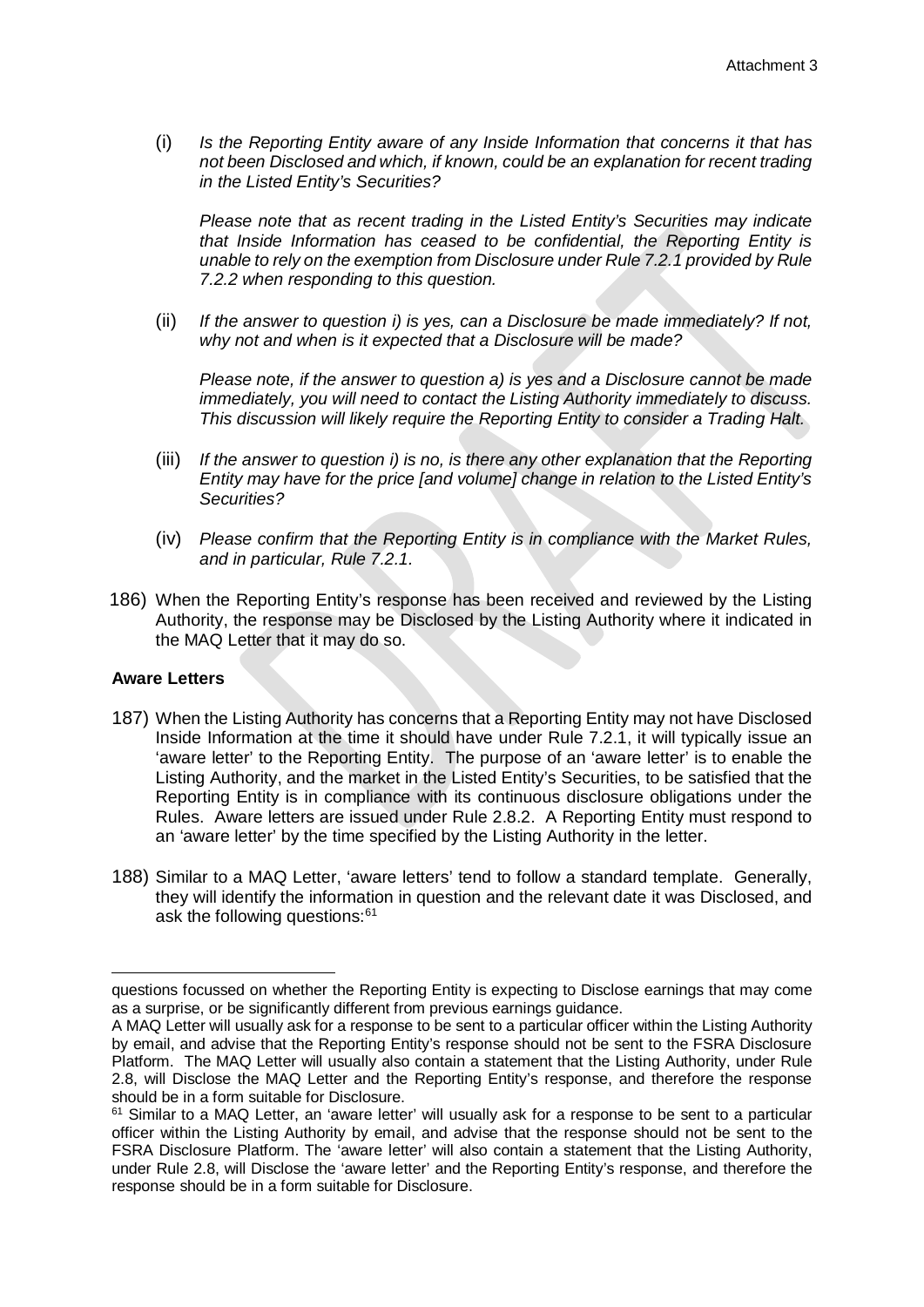(i) *Is the Reporting Entity aware of any Inside Information that concerns it that has not been Disclosed and which, if known, could be an explanation for recent trading in the Listed Entity's Securities?* 

*Please note that as recent trading in the Listed Entity's Securities may indicate that Inside Information has ceased to be confidential, the Reporting Entity is unable to rely on the exemption from Disclosure under Rule 7.2.1 provided by Rule 7.2.2 when responding to this question.*

(ii) *If the answer to question i) is yes, can a Disclosure be made immediately? If not, why not and when is it expected that a Disclosure will be made?*

*Please note, if the answer to question a) is yes and a Disclosure cannot be made immediately, you will need to contact the Listing Authority immediately to discuss. This discussion will likely require the Reporting Entity to consider a Trading Halt.*

- (iii) *If the answer to question i) is no, is there any other explanation that the Reporting Entity may have for the price [and volume] change in relation to the Listed Entity's Securities?*
- (iv) *Please confirm that the Reporting Entity is in compliance with the Market Rules, and in particular, Rule 7.2.1.*
- 186) When the Reporting Entity's response has been received and reviewed by the Listing Authority, the response may be Disclosed by the Listing Authority where it indicated in the MAQ Letter that it may do so.

# <span id="page-41-0"></span>**Aware Letters**

1

- 187) When the Listing Authority has concerns that a Reporting Entity may not have Disclosed Inside Information at the time it should have under Rule 7.2.1, it will typically issue an 'aware letter' to the Reporting Entity. The purpose of an 'aware letter' is to enable the Listing Authority, and the market in the Listed Entity's Securities, to be satisfied that the Reporting Entity is in compliance with its continuous disclosure obligations under the Rules. Aware letters are issued under Rule 2.8.2. A Reporting Entity must respond to an 'aware letter' by the time specified by the Listing Authority in the letter.
- 188) Similar to a MAQ Letter, 'aware letters' tend to follow a standard template. Generally, they will identify the information in question and the relevant date it was Disclosed, and ask the following questions:<sup>[61](#page-41-1)</sup>

questions focussed on whether the Reporting Entity is expecting to Disclose earnings that may come as a surprise, or be significantly different from previous earnings guidance.

A MAQ Letter will usually ask for a response to be sent to a particular officer within the Listing Authority by email, and advise that the Reporting Entity's response should not be sent to the FSRA Disclosure Platform. The MAQ Letter will usually also contain a statement that the Listing Authority, under Rule 2.8, will Disclose the MAQ Letter and the Reporting Entity's response, and therefore the response should be in a form suitable for Disclosure.

<span id="page-41-1"></span><sup>&</sup>lt;sup>61</sup> Similar to a MAQ Letter, an 'aware letter' will usually ask for a response to be sent to a particular officer within the Listing Authority by email, and advise that the response should not be sent to the FSRA Disclosure Platform. The 'aware letter' will also contain a statement that the Listing Authority, under Rule 2.8, will Disclose the 'aware letter' and the Reporting Entity's response, and therefore the response should be in a form suitable for Disclosure.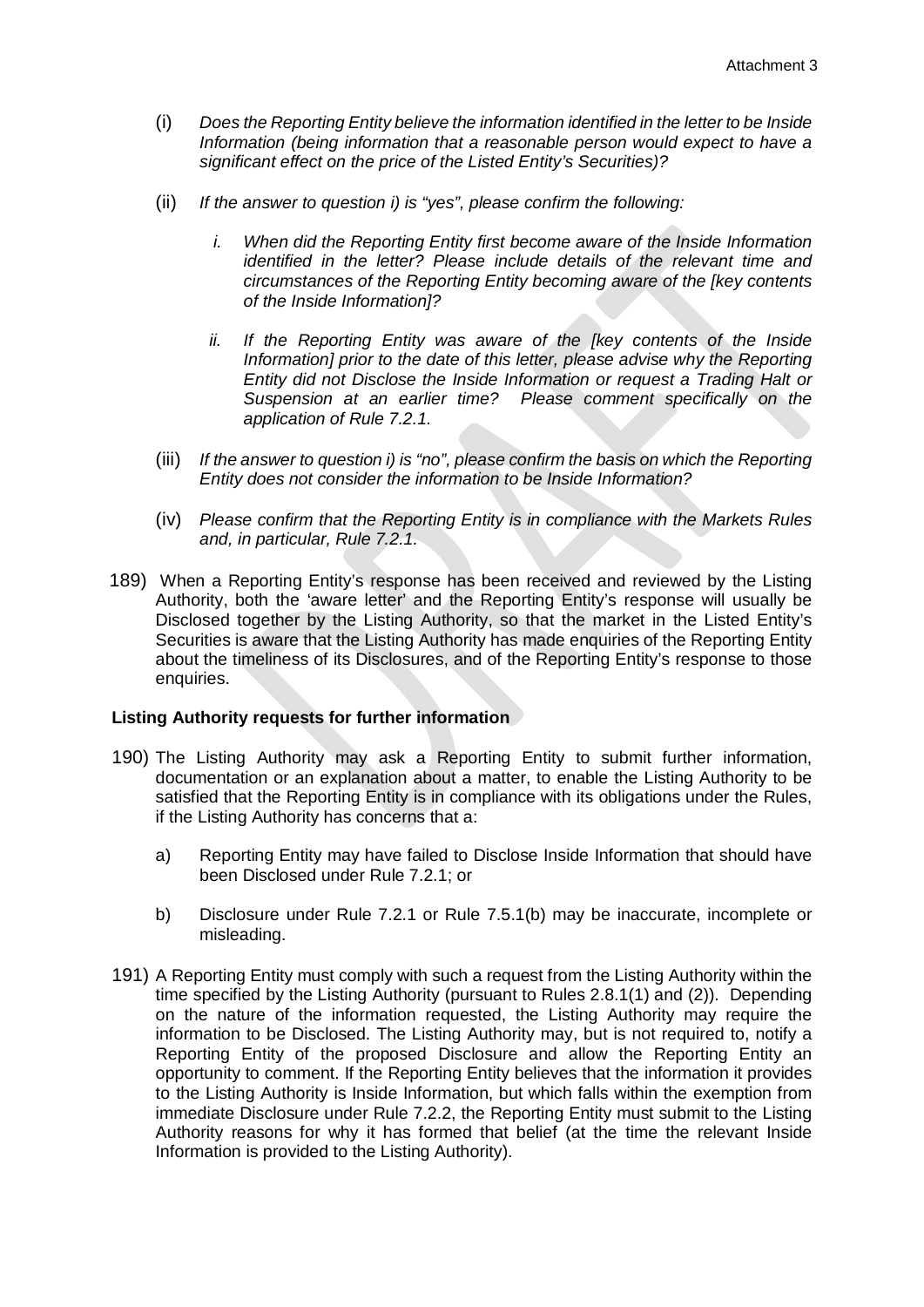- (i) *Does the Reporting Entity believe the information identified in the letter to be Inside Information (being information that a reasonable person would expect to have a significant effect on the price of the Listed Entity's Securities)?*
- (ii) *If the answer to question i) is "yes", please confirm the following:*
	- *i. When did the Reporting Entity first become aware of the Inside Information identified in the letter? Please include details of the relevant time and circumstances of the Reporting Entity becoming aware of the [key contents of the Inside Information]?*
	- *ii. If the Reporting Entity was aware of the [key contents of the Inside Information] prior to the date of this letter, please advise why the Reporting Entity did not Disclose the Inside Information or request a Trading Halt or Suspension at an earlier time? Please comment specifically on the application of Rule 7.2.1.*
- (iii) *If the answer to question i) is "no", please confirm the basis on which the Reporting Entity does not consider the information to be Inside Information?*
- (iv) *Please confirm that the Reporting Entity is in compliance with the Markets Rules and, in particular, Rule 7.2.1.*
- 189) When a Reporting Entity's response has been received and reviewed by the Listing Authority, both the 'aware letter' and the Reporting Entity's response will usually be Disclosed together by the Listing Authority, so that the market in the Listed Entity's Securities is aware that the Listing Authority has made enquiries of the Reporting Entity about the timeliness of its Disclosures, and of the Reporting Entity's response to those enquiries.

#### <span id="page-42-0"></span>**Listing Authority requests for further information**

- 190) The Listing Authority may ask a Reporting Entity to submit further information, documentation or an explanation about a matter, to enable the Listing Authority to be satisfied that the Reporting Entity is in compliance with its obligations under the Rules, if the Listing Authority has concerns that a:
	- a) Reporting Entity may have failed to Disclose Inside Information that should have been Disclosed under Rule 7.2.1; or
	- b) Disclosure under Rule 7.2.1 or Rule 7.5.1(b) may be inaccurate, incomplete or misleading.
- 191) A Reporting Entity must comply with such a request from the Listing Authority within the time specified by the Listing Authority (pursuant to Rules 2.8.1(1) and (2)). Depending on the nature of the information requested, the Listing Authority may require the information to be Disclosed. The Listing Authority may, but is not required to, notify a Reporting Entity of the proposed Disclosure and allow the Reporting Entity an opportunity to comment. If the Reporting Entity believes that the information it provides to the Listing Authority is Inside Information, but which falls within the exemption from immediate Disclosure under Rule 7.2.2, the Reporting Entity must submit to the Listing Authority reasons for why it has formed that belief (at the time the relevant Inside Information is provided to the Listing Authority).